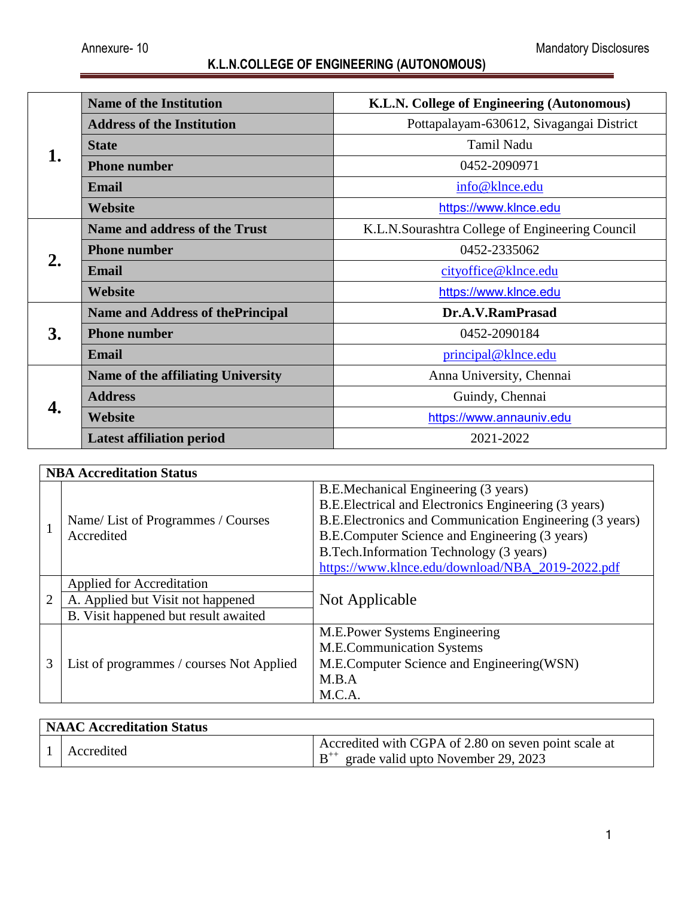| 1. | <b>Name of the Institution</b>           | K.L.N. College of Engineering (Autonomous)       |  |
|----|------------------------------------------|--------------------------------------------------|--|
|    | <b>Address of the Institution</b>        | Pottapalayam-630612, Sivagangai District         |  |
|    | <b>State</b>                             | Tamil Nadu                                       |  |
|    | <b>Phone number</b>                      | 0452-2090971                                     |  |
|    | <b>Email</b>                             | info@klnce.edu                                   |  |
|    | Website                                  | https://www.klnce.edu                            |  |
|    | <b>Name and address of the Trust</b>     | K.L.N. Sourashtra College of Engineering Council |  |
|    | <b>Phone number</b>                      | 0452-2335062                                     |  |
| 2. | <b>Email</b>                             | cityoffice@klnce.edu                             |  |
|    | Website                                  | https://www.klnce.edu                            |  |
|    | <b>Name and Address of the Principal</b> | Dr.A.V.RamPrasad                                 |  |
| 3. | <b>Phone number</b>                      | 0452-2090184                                     |  |
|    | Email                                    | principal@klnce.edu                              |  |
|    | Name of the affiliating University       | Anna University, Chennai                         |  |
|    | <b>Address</b>                           | Guindy, Chennai                                  |  |
| 4. | Website                                  | https://www.annauniv.edu                         |  |
|    | <b>Latest affiliation period</b>         | 2021-2022                                        |  |

|                | <b>NBA Accreditation Status</b>                 |                                                          |  |  |  |
|----------------|-------------------------------------------------|----------------------------------------------------------|--|--|--|
|                |                                                 | B.E.Mechanical Engineering (3 years)                     |  |  |  |
|                | Name/List of Programmes / Courses<br>Accredited | B.E.Electrical and Electronics Engineering (3 years)     |  |  |  |
|                |                                                 | B.E. Electronics and Communication Engineering (3 years) |  |  |  |
|                |                                                 | B.E.Computer Science and Engineering (3 years)           |  |  |  |
|                |                                                 | B. Tech. Information Technology (3 years)                |  |  |  |
|                |                                                 | https://www.klnce.edu/download/NBA_2019-2022.pdf         |  |  |  |
|                | Applied for Accreditation                       | Not Applicable                                           |  |  |  |
| $\overline{2}$ | A. Applied but Visit not happened               |                                                          |  |  |  |
|                | B. Visit happened but result awaited            |                                                          |  |  |  |
|                |                                                 | M.E.Power Systems Engineering                            |  |  |  |
|                | List of programmes / courses Not Applied        | <b>M.E.Communication Systems</b>                         |  |  |  |
| 3              |                                                 | M.E.Computer Science and Engineering (WSN)               |  |  |  |
|                |                                                 | M.B.A                                                    |  |  |  |
|                |                                                 | M.C.A.                                                   |  |  |  |

| NAAC Accreditation Status |            |                                                                                                     |  |  |
|---------------------------|------------|-----------------------------------------------------------------------------------------------------|--|--|
|                           | Accredited | Accredited with CGPA of 2.80 on seven point scale at<br>$B^{++}$ grade valid upto November 29, 2023 |  |  |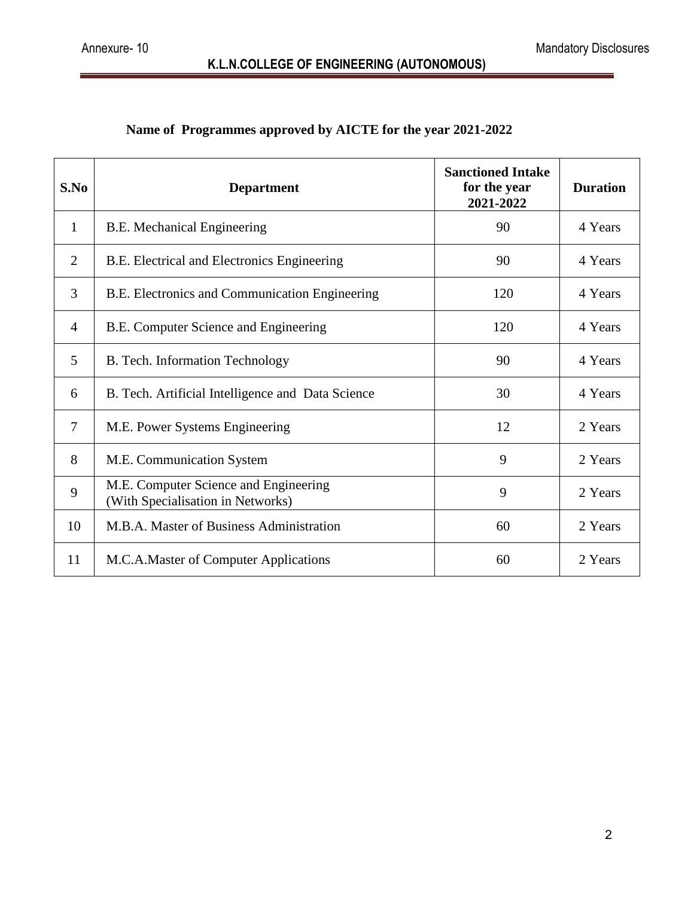## **Name of Programmes approved by AICTE for the year 2021-2022**

| S.No           | <b>Department</b>                                                          | <b>Sanctioned Intake</b><br>for the year<br>2021-2022 | <b>Duration</b> |
|----------------|----------------------------------------------------------------------------|-------------------------------------------------------|-----------------|
| $\mathbf{1}$   | <b>B.E. Mechanical Engineering</b>                                         | 90                                                    | 4 Years         |
| $\overline{2}$ | B.E. Electrical and Electronics Engineering                                | 90                                                    | 4 Years         |
| 3              | B.E. Electronics and Communication Engineering                             | 120                                                   | 4 Years         |
| 4              | B.E. Computer Science and Engineering                                      | 120                                                   | 4 Years         |
| 5              | B. Tech. Information Technology                                            | 90                                                    | 4 Years         |
| 6              | B. Tech. Artificial Intelligence and Data Science                          | 30                                                    | 4 Years         |
| $\overline{7}$ | M.E. Power Systems Engineering                                             | 12                                                    | 2 Years         |
| 8              | M.E. Communication System                                                  | 9                                                     | 2 Years         |
| 9              | M.E. Computer Science and Engineering<br>(With Specialisation in Networks) | 9                                                     | 2 Years         |
| 10             | M.B.A. Master of Business Administration                                   | 60                                                    | 2 Years         |
| 11             | M.C.A.Master of Computer Applications                                      | 60                                                    | 2 Years         |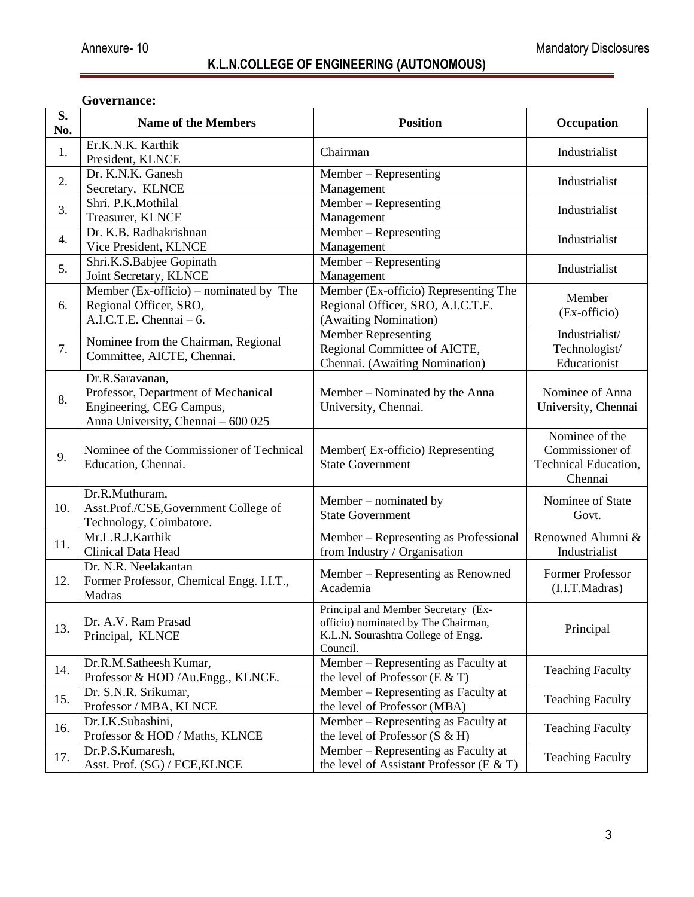#### **Governance:**

| S.<br>No. | <b>Name of the Members</b>                                                                                               | <b>Position</b>                                                                                                              | Occupation                                                           |
|-----------|--------------------------------------------------------------------------------------------------------------------------|------------------------------------------------------------------------------------------------------------------------------|----------------------------------------------------------------------|
| 1.        | Er.K.N.K. Karthik<br>President, KLNCE                                                                                    | Chairman                                                                                                                     | Industrialist                                                        |
| 2.        | Dr. K.N.K. Ganesh<br>Secretary, KLNCE                                                                                    | Member – Representing<br>Management                                                                                          | Industrialist                                                        |
| 3.        | Shri. P.K.Mothilal<br>Treasurer, KLNCE                                                                                   | Member – Representing<br>Management                                                                                          | Industrialist                                                        |
| 4.        | Dr. K.B. Radhakrishnan<br>Vice President, KLNCE                                                                          | Member – Representing<br>Management                                                                                          | Industrialist                                                        |
| 5.        | Shri.K.S.Babjee Gopinath<br>Joint Secretary, KLNCE                                                                       | Member - Representing<br>Management                                                                                          | Industrialist                                                        |
| 6.        | Member (Ex-officio) – nominated by The<br>Regional Officer, SRO,<br>A.I.C.T.E. Chennai - 6.                              | Member (Ex-officio) Representing The<br>Regional Officer, SRO, A.I.C.T.E.<br>(Awaiting Nomination)                           | Member<br>(Ex-officio)                                               |
| 7.        | Nominee from the Chairman, Regional<br>Committee, AICTE, Chennai.                                                        | <b>Member Representing</b><br>Regional Committee of AICTE,<br>Chennai. (Awaiting Nomination)                                 | Industrialist/<br>Technologist/<br>Educationist                      |
| 8.        | Dr.R.Saravanan,<br>Professor, Department of Mechanical<br>Engineering, CEG Campus,<br>Anna University, Chennai - 600 025 | Member – Nominated by the Anna<br>University, Chennai.                                                                       | Nominee of Anna<br>University, Chennai                               |
| 9.        | Nominee of the Commissioner of Technical<br>Education, Chennai.                                                          | Member (Ex-officio) Representing<br><b>State Government</b>                                                                  | Nominee of the<br>Commissioner of<br>Technical Education,<br>Chennai |
| 10.       | Dr.R.Muthuram,<br>Asst.Prof./CSE,Government College of<br>Technology, Coimbatore.                                        | Member - nominated by<br><b>State Government</b>                                                                             | Nominee of State<br>Govt.                                            |
| 11.       | Mr.L.R.J.Karthik<br>Clinical Data Head                                                                                   | Member – Representing as Professional<br>from Industry / Organisation                                                        | Renowned Alumni &<br>Industrialist                                   |
| 12.       | Dr. N.R. Neelakantan<br>Former Professor, Chemical Engg. I.I.T.,<br>Madras                                               | Member – Representing as Renowned<br>Academia                                                                                | Former Professor<br>(I.I.T.Madras)                                   |
| 13.       | Dr. A.V. Ram Prasad<br>Principal, KLNCE                                                                                  | Principal and Member Secretary (Ex-<br>officio) nominated by The Chairman,<br>K.L.N. Sourashtra College of Engg.<br>Council. | Principal                                                            |
| 14.       | Dr.R.M.Satheesh Kumar,<br>Professor & HOD /Au.Engg., KLNCE.                                                              | Member – Representing as Faculty at<br>the level of Professor (E $&$ T)                                                      | <b>Teaching Faculty</b>                                              |
| 15.       | Dr. S.N.R. Srikumar,<br>Professor / MBA, KLNCE                                                                           | Member – Representing as Faculty at<br>the level of Professor (MBA)                                                          | <b>Teaching Faculty</b>                                              |
| 16.       | Dr.J.K.Subashini,<br>Professor & HOD / Maths, KLNCE                                                                      | Member – Representing as Faculty at<br>the level of Professor $(S & H)$                                                      | <b>Teaching Faculty</b>                                              |
| 17.       | Dr.P.S.Kumaresh,<br>Asst. Prof. (SG) / ECE, KLNCE                                                                        | Member – Representing as Faculty at<br>the level of Assistant Professor (E $&$ T)                                            | <b>Teaching Faculty</b>                                              |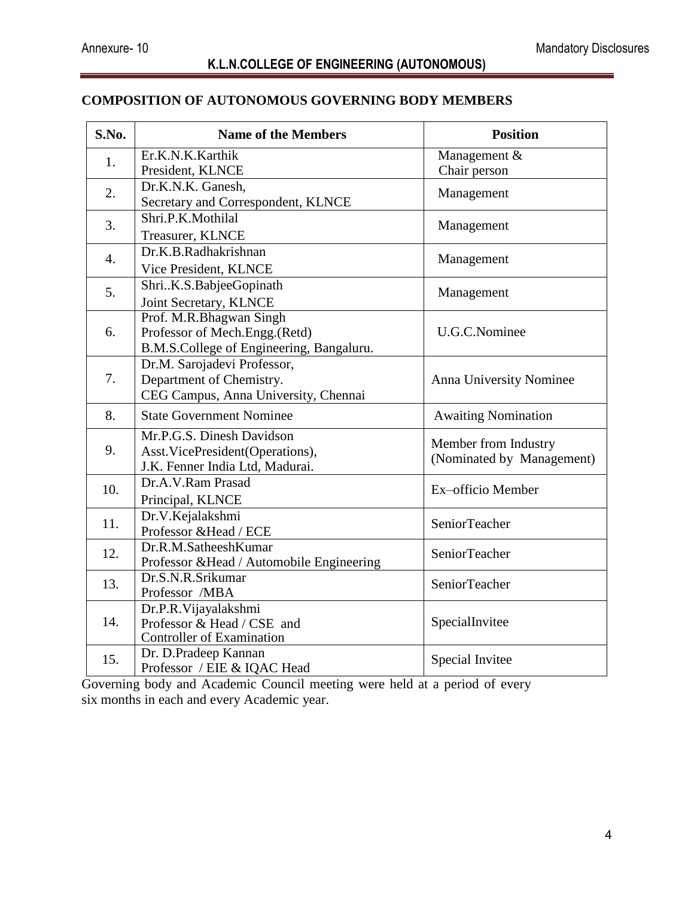#### **COMPOSITION OF AUTONOMOUS GOVERNING BODY MEMBERS**

| S.No. | <b>Name of the Members</b>                | <b>Position</b>                                   |  |
|-------|-------------------------------------------|---------------------------------------------------|--|
| 1.    | Er.K.N.K.Karthik                          | Management $\overline{\&}$                        |  |
|       | President, KLNCE                          | Chair person                                      |  |
| 2.    | Dr.K.N.K. Ganesh,                         | Management                                        |  |
|       | Secretary and Correspondent, KLNCE        |                                                   |  |
| 3.    | Shri.P.K.Mothilal                         | Management                                        |  |
|       | Treasurer, KLNCE                          |                                                   |  |
| 4.    | Dr.K.B.Radhakrishnan                      | Management                                        |  |
|       | Vice President, KLNCE                     |                                                   |  |
| 5.    | ShriK.S.BabjeeGopinath                    | Management                                        |  |
|       | Joint Secretary, KLNCE                    |                                                   |  |
|       | Prof. M.R.Bhagwan Singh                   |                                                   |  |
| 6.    | Professor of Mech.Engg.(Retd)             | U.G.C.Nominee                                     |  |
|       | B.M.S.College of Engineering, Bangaluru.  |                                                   |  |
|       | Dr.M. Sarojadevi Professor,               |                                                   |  |
| 7.    | Department of Chemistry.                  | Anna University Nominee                           |  |
|       | CEG Campus, Anna University, Chennai      |                                                   |  |
| 8.    | <b>State Government Nominee</b>           | <b>Awaiting Nomination</b>                        |  |
|       | Mr.P.G.S. Dinesh Davidson                 |                                                   |  |
| 9.    | Asst. VicePresident(Operations),          | Member from Industry<br>(Nominated by Management) |  |
|       | J.K. Fenner India Ltd, Madurai.           |                                                   |  |
| 10.   | Dr.A.V.Ram Prasad                         | Ex-officio Member                                 |  |
|       | Principal, KLNCE                          |                                                   |  |
| 11.   | Dr.V.Kejalakshmi                          | SeniorTeacher                                     |  |
|       | Professor & Head / ECE                    |                                                   |  |
| 12.   | Dr.R.M.SatheeshKumar                      | <b>SeniorTeacher</b>                              |  |
|       | Professor & Head / Automobile Engineering |                                                   |  |
| 13.   | Dr.S.N.R.Srikumar                         | <b>SeniorTeacher</b>                              |  |
|       | Professor /MBA                            |                                                   |  |
|       | Dr.P.R. Vijayalakshmi                     |                                                   |  |
| 14.   | Professor & Head / CSE and                | SpecialInvitee                                    |  |
|       | <b>Controller of Examination</b>          |                                                   |  |
| 15.   | Dr. D.Pradeep Kannan                      | Special Invitee                                   |  |
|       | Professor / EIE & IQAC Head               |                                                   |  |

Governing body and Academic Council meeting were held at a period of every six months in each and every Academic year.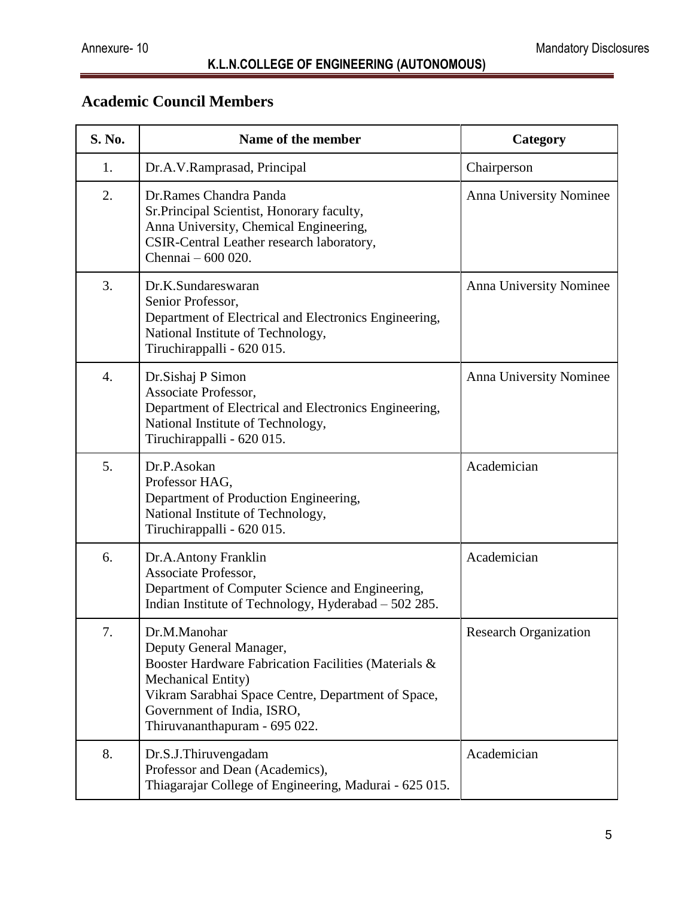# **Academic Council Members**

| S. No. | Name of the member                                                                                                                                                                                                                         | Category                       |
|--------|--------------------------------------------------------------------------------------------------------------------------------------------------------------------------------------------------------------------------------------------|--------------------------------|
| 1.     | Dr.A.V.Ramprasad, Principal                                                                                                                                                                                                                | Chairperson                    |
| 2.     | Dr.Rames Chandra Panda<br>Sr.Principal Scientist, Honorary faculty,<br>Anna University, Chemical Engineering,<br>CSIR-Central Leather research laboratory,<br>Chennai - 600 020.                                                           | Anna University Nominee        |
| 3.     | Dr.K.Sundareswaran<br>Senior Professor,<br>Department of Electrical and Electronics Engineering,<br>National Institute of Technology,<br>Tiruchirappalli - 620 015.                                                                        | Anna University Nominee        |
| 4.     | Dr.Sishaj P Simon<br>Associate Professor,<br>Department of Electrical and Electronics Engineering,<br>National Institute of Technology,<br>Tiruchirappalli - 620 015.                                                                      | <b>Anna University Nominee</b> |
| 5.     | Dr.P.Asokan<br>Professor HAG,<br>Department of Production Engineering,<br>National Institute of Technology,<br>Tiruchirappalli - 620 015.                                                                                                  | Academician                    |
| 6.     | Dr.A.Antony Franklin<br>Associate Professor,<br>Department of Computer Science and Engineering,<br>Indian Institute of Technology, Hyderabad - 502 285.                                                                                    | Academician                    |
| 7.     | Dr.M.Manohar<br>Deputy General Manager,<br>Booster Hardware Fabrication Facilities (Materials &<br>Mechanical Entity)<br>Vikram Sarabhai Space Centre, Department of Space,<br>Government of India, ISRO,<br>Thiruvananthapuram - 695 022. | <b>Research Organization</b>   |
| 8.     | Dr.S.J.Thiruvengadam<br>Professor and Dean (Academics),<br>Thiagarajar College of Engineering, Madurai - 625 015.                                                                                                                          | Academician                    |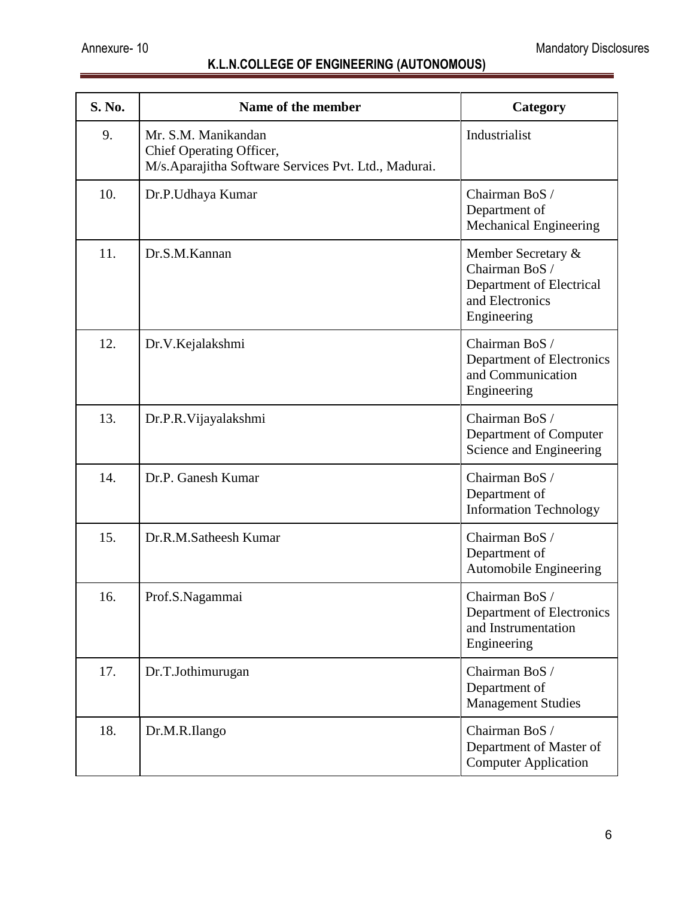| <b>S. No.</b> | Name of the member                                                                                      | Category                                                                                           |
|---------------|---------------------------------------------------------------------------------------------------------|----------------------------------------------------------------------------------------------------|
| 9.            | Mr. S.M. Manikandan<br>Chief Operating Officer,<br>M/s.Aparajitha Software Services Pvt. Ltd., Madurai. | Industrialist                                                                                      |
| 10.           | Dr.P.Udhaya Kumar                                                                                       | Chairman BoS /<br>Department of<br>Mechanical Engineering                                          |
| 11.           | Dr.S.M.Kannan                                                                                           | Member Secretary &<br>Chairman BoS /<br>Department of Electrical<br>and Electronics<br>Engineering |
| 12.           | Dr.V.Kejalakshmi                                                                                        | Chairman BoS /<br>Department of Electronics<br>and Communication<br>Engineering                    |
| 13.           | Dr.P.R. Vijayalakshmi                                                                                   | Chairman BoS /<br>Department of Computer<br>Science and Engineering                                |
| 14.           | Dr.P. Ganesh Kumar                                                                                      | Chairman BoS /<br>Department of<br><b>Information Technology</b>                                   |
| 15.           | Dr.R.M.Satheesh Kumar                                                                                   | Chairman BoS /<br>Department of<br><b>Automobile Engineering</b>                                   |
| 16.           | Prof.S.Nagammai                                                                                         | Chairman BoS /<br>Department of Electronics<br>and Instrumentation<br>Engineering                  |
| 17.           | Dr.T.Jothimurugan                                                                                       | Chairman BoS /<br>Department of<br><b>Management Studies</b>                                       |
| 18.           | Dr.M.R.Ilango                                                                                           | Chairman BoS /<br>Department of Master of<br><b>Computer Application</b>                           |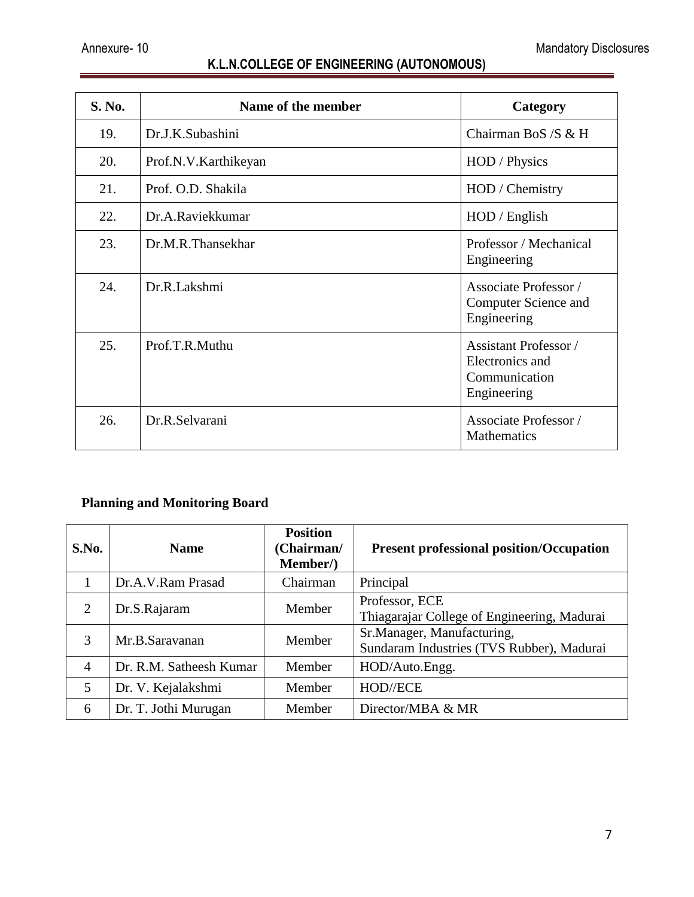| S. No. | Name of the member   | Category                                                                        |
|--------|----------------------|---------------------------------------------------------------------------------|
| 19.    | Dr.J.K.Subashini     | Chairman BoS /S & H                                                             |
| 20.    | Prof.N.V.Karthikeyan | HOD / Physics                                                                   |
| 21.    | Prof. O.D. Shakila   | HOD / Chemistry                                                                 |
| 22.    | Dr.A.Raviekkumar     | HOD / English                                                                   |
| 23.    | Dr.M.R.Thansekhar    | Professor / Mechanical<br>Engineering                                           |
| 24.    | Dr.R.Lakshmi         | Associate Professor /<br><b>Computer Science and</b><br>Engineering             |
| 25.    | Prof.T.R.Muthu       | <b>Assistant Professor</b> /<br>Electronics and<br>Communication<br>Engineering |
| 26.    | Dr.R.Selvarani       | <b>Associate Professor</b> /<br>Mathematics                                     |

## **Planning and Monitoring Board**

| S.No.          | <b>Name</b>             | <b>Position</b><br>(Chairman/<br>Member/) | <b>Present professional position/Occupation</b>                         |
|----------------|-------------------------|-------------------------------------------|-------------------------------------------------------------------------|
|                | Dr.A.V.Ram Prasad       | Chairman                                  | Principal                                                               |
| 2              | Dr.S.Rajaram            | Member                                    | Professor, ECE<br>Thiagarajar College of Engineering, Madurai           |
| 3              | Mr.B.Saravanan          | Member                                    | Sr.Manager, Manufacturing,<br>Sundaram Industries (TVS Rubber), Madurai |
| $\overline{4}$ | Dr. R.M. Satheesh Kumar | Member                                    | HOD/Auto.Engg.                                                          |
| 5              | Dr. V. Kejalakshmi      | Member                                    | HOD//ECE                                                                |
| 6              | Dr. T. Jothi Murugan    | Member                                    | Director/MBA & MR                                                       |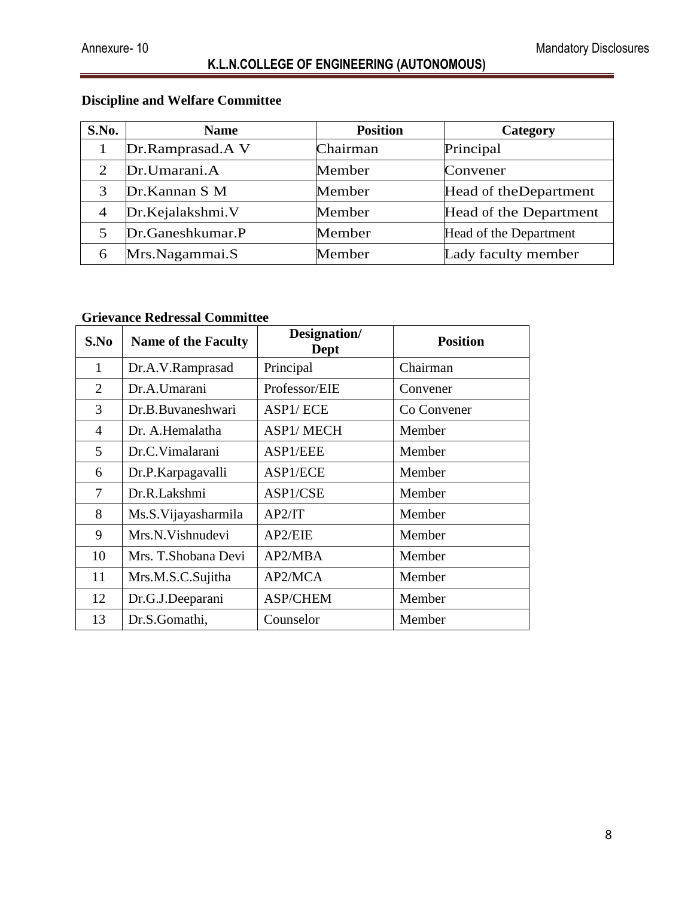# **Discipline and Welfare Committee**

| S.No.          | <b>Name</b>      | <b>Position</b> | Category               |
|----------------|------------------|-----------------|------------------------|
|                | Dr.Ramprasad.A V | Chairman        | Principal              |
| $\overline{2}$ | Dr.Umarani.A     | Member          | Convener               |
| 3              | Dr.Kannan S M    | Member          | Head of the Department |
| $\overline{4}$ | Dr.Kejalakshmi.V | Member          | Head of the Department |
| 5              | Dr.Ganeshkumar.P | Member          | Head of the Department |
| 6              | Mrs.Nagammai.S   | Member          | Lady faculty member    |

#### **Grievance Redressal Committee**

| S.No                        | <b>Name of the Faculty</b> | Designation/<br><b>Dept</b> | <b>Position</b> |
|-----------------------------|----------------------------|-----------------------------|-----------------|
| 1                           | Dr.A.V.Ramprasad           | Principal                   | Chairman        |
| $\mathcal{D}_{\mathcal{L}}$ | Dr.A.Umarani               | Professor/EIE               | Convener        |
| 3                           | Dr.B.Buvaneshwari          | ASP1/ECE                    | Co Convener     |
| 4                           | Dr. A.Hemalatha            | <b>ASP1/MECH</b>            | Member          |
| 5                           | Dr.C.Vimalarani            | ASP1/EEE                    | Member          |
| 6                           | Dr.P.Karpagavalli          | ASP1/ECE                    | Member          |
| 7                           | Dr.R.Lakshmi               | ASP1/CSE                    | Member          |
| 8                           | Ms.S. Vijayasharmila       | AP2/IT                      | Member          |
| 9                           | Mrs.N.Vishnudevi           | AP2/EIE                     | Member          |
| 10                          | Mrs. T. Shobana Devi       | AP2/MBA                     | Member          |
| 11                          | Mrs.M.S.C.Sujitha          | AP2/MCA                     | Member          |
| 12                          | Dr.G.J.Deeparani           | <b>ASP/CHEM</b>             | Member          |
| 13                          | Dr.S.Gomathi,              | Counselor                   | Member          |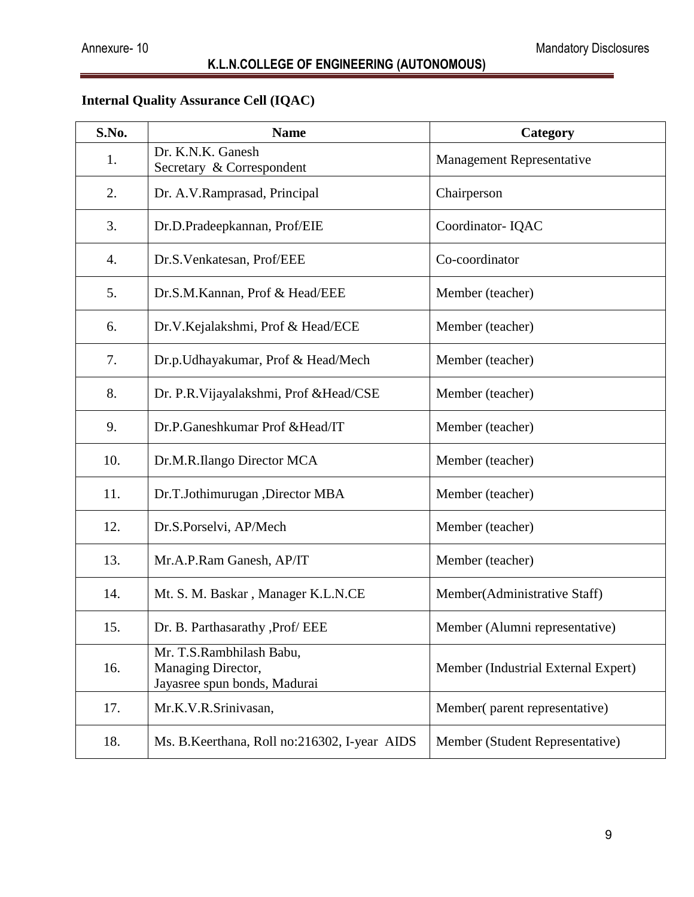# **Internal Quality Assurance Cell (IQAC)**

| S.No. | <b>Name</b>                                                                    | Category                            |
|-------|--------------------------------------------------------------------------------|-------------------------------------|
| 1.    | Dr. K.N.K. Ganesh<br>Secretary & Correspondent                                 | <b>Management Representative</b>    |
| 2.    | Dr. A.V.Ramprasad, Principal                                                   | Chairperson                         |
| 3.    | Dr.D.Pradeepkannan, Prof/EIE                                                   | Coordinator-IQAC                    |
| 4.    | Dr.S.Venkatesan, Prof/EEE                                                      | Co-coordinator                      |
| 5.    | Dr.S.M.Kannan, Prof & Head/EEE                                                 | Member (teacher)                    |
| 6.    | Dr.V.Kejalakshmi, Prof & Head/ECE                                              | Member (teacher)                    |
| 7.    | Dr.p. Udhayakumar, Prof & Head/Mech                                            | Member (teacher)                    |
| 8.    | Dr. P.R. Vijayalakshmi, Prof & Head/CSE                                        | Member (teacher)                    |
| 9.    | Dr.P.Ganeshkumar Prof & Head/IT                                                | Member (teacher)                    |
| 10.   | Dr.M.R.Ilango Director MCA                                                     | Member (teacher)                    |
| 11.   | Dr.T.Jothimurugan ,Director MBA                                                | Member (teacher)                    |
| 12.   | Dr.S.Porselvi, AP/Mech                                                         | Member (teacher)                    |
| 13.   | Mr.A.P.Ram Ganesh, AP/IT                                                       | Member (teacher)                    |
| 14.   | Mt. S. M. Baskar, Manager K.L.N.CE                                             | Member(Administrative Staff)        |
| 15.   | Dr. B. Parthasarathy , Prof/ EEE                                               | Member (Alumni representative)      |
| 16.   | Mr. T.S.Rambhilash Babu,<br>Managing Director,<br>Jayasree spun bonds, Madurai | Member (Industrial External Expert) |
| 17.   | Mr.K.V.R.Srinivasan,                                                           | Member(parent representative)       |
| 18.   | Ms. B.Keerthana, Roll no:216302, I-year AIDS                                   | Member (Student Representative)     |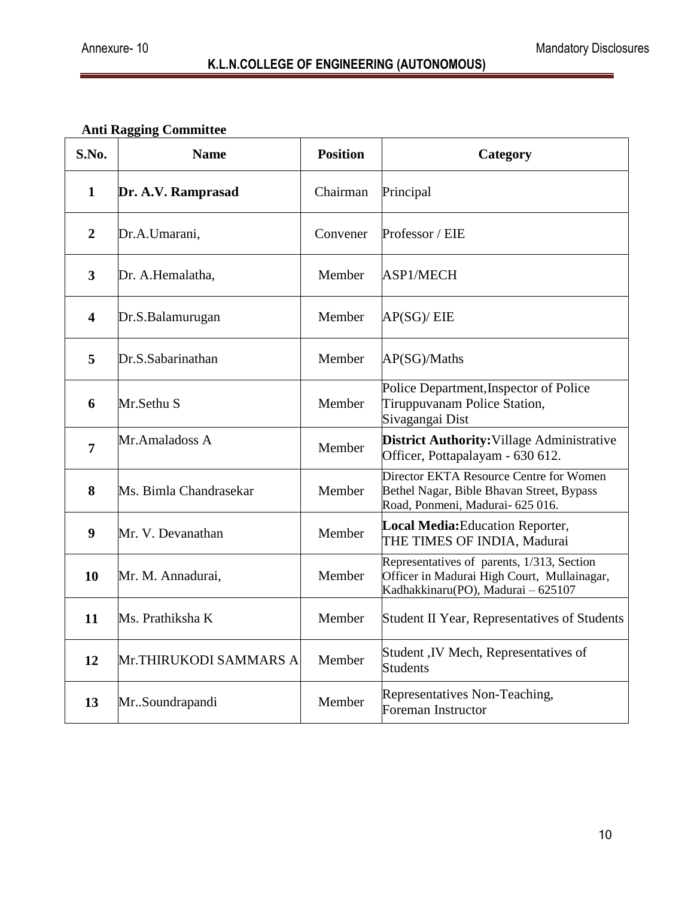# **Anti Ragging Committee**

|                         | <b>Anti Ragging Committee</b> |                 |                                                                                                                                 |  |
|-------------------------|-------------------------------|-----------------|---------------------------------------------------------------------------------------------------------------------------------|--|
| S.No.                   | <b>Name</b>                   | <b>Position</b> | Category                                                                                                                        |  |
| $\mathbf{1}$            | Dr. A.V. Ramprasad            | Chairman        | Principal                                                                                                                       |  |
| $\overline{2}$          | Dr.A.Umarani,                 | Convener        | Professor / EIE                                                                                                                 |  |
| 3                       | Dr. A.Hemalatha,              | Member          | ASP1/MECH                                                                                                                       |  |
| $\overline{\mathbf{4}}$ | Dr.S.Balamurugan              | Member          | AP(SG)/EIE                                                                                                                      |  |
| 5                       | Dr.S.Sabarinathan             | Member          | AP(SG)/Maths                                                                                                                    |  |
| 6                       | Mr.Sethu S                    | Member          | Police Department, Inspector of Police<br>Tiruppuvanam Police Station,<br>Sivagangai Dist                                       |  |
| $\overline{7}$          | Mr.Amaladoss A                | Member          | <b>District Authority: Village Administrative</b><br>Officer, Pottapalayam - 630 612.                                           |  |
| 8                       | Ms. Bimla Chandrasekar        | Member          | Director EKTA Resource Centre for Women<br>Bethel Nagar, Bible Bhavan Street, Bypass<br>Road, Ponmeni, Madurai- 625 016.        |  |
| $\boldsymbol{9}$        | Mr. V. Devanathan             | Member          | <b>Local Media:</b> Education Reporter,<br>THE TIMES OF INDIA, Madurai                                                          |  |
| <b>10</b>               | Mr. M. Annadurai,             | Member          | Representatives of parents, 1/313, Section<br>Officer in Madurai High Court, Mullainagar,<br>Kadhakkinaru(PO), Madurai - 625107 |  |
| 11                      | Ms. Prathiksha K              | Member          | Student II Year, Representatives of Students                                                                                    |  |
| 12                      | Mr.THIRUKODI SAMMARS A        | Member          | Student , IV Mech, Representatives of<br><b>Students</b>                                                                        |  |
| 13                      | MrSoundrapandi                | Member          | Representatives Non-Teaching,<br>Foreman Instructor                                                                             |  |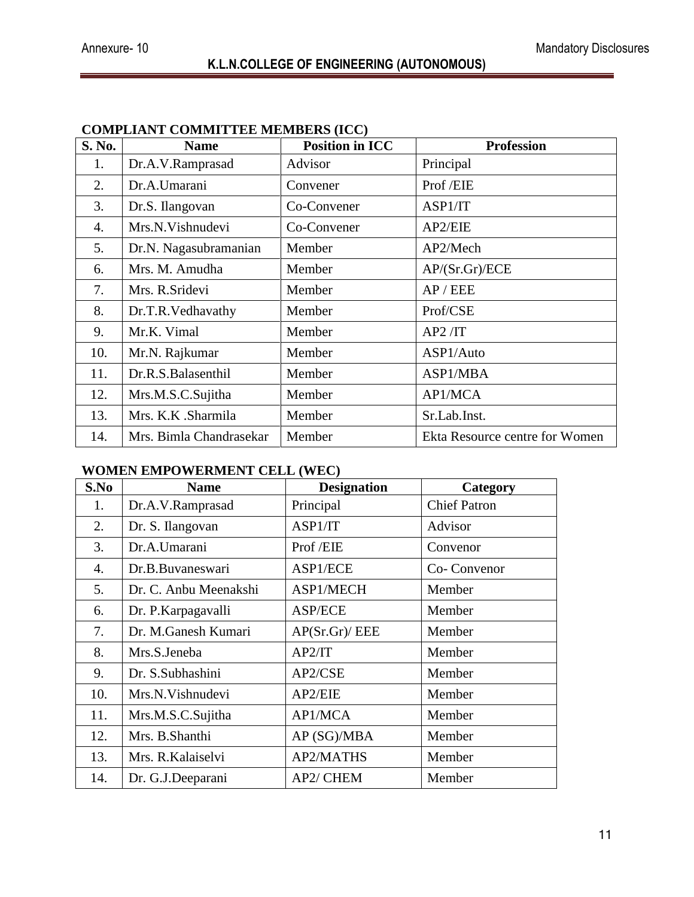| S. No. | <b>Name</b>             | <b>Position in ICC</b> | <b>Profession</b>              |
|--------|-------------------------|------------------------|--------------------------------|
| 1.     | Dr.A.V.Ramprasad        | Advisor                | Principal                      |
| 2.     | Dr.A.Umarani            | Convener               | Prof /EIE                      |
| 3.     | Dr.S. Ilangovan         | Co-Convener            | ASP1/IT                        |
| 4.     | Mrs.N.Vishnudevi        | Co-Convener            | AP2/EIE                        |
| 5.     | Dr.N. Nagasubramanian   | Member                 | AP2/Mech                       |
| 6.     | Mrs. M. Amudha          | Member                 | AP/(Sr.Gr)/ECE                 |
| 7.     | Mrs. R.Sridevi          | Member                 | AP/EEE                         |
| 8.     | Dr.T.R.Vedhavathy       | Member                 | Prof/CSE                       |
| 9.     | Mr.K. Vimal             | Member                 | AP2/IT                         |
| 10.    | Mr.N. Rajkumar          | Member                 | ASP1/Auto                      |
| 11.    | Dr.R.S.Balasenthil      | Member                 | ASP1/MBA                       |
| 12.    | Mrs.M.S.C.Sujitha       | Member                 | AP1/MCA                        |
| 13.    | Mrs. K.K. Sharmila      | Member                 | Sr.Lab.Inst.                   |
| 14.    | Mrs. Bimla Chandrasekar | Member                 | Ekta Resource centre for Women |

#### **COMPLIANT COMMITTEE MEMBERS (ICC)**

#### **WOMEN EMPOWERMENT CELL (WEC)**

| S.No | <b>Name</b>           | <b>Designation</b> | Category            |
|------|-----------------------|--------------------|---------------------|
| 1.   | Dr.A.V.Ramprasad      | Principal          | <b>Chief Patron</b> |
| 2.   | Dr. S. Ilangovan      | ASP1/IT            | Advisor             |
| 3.   | Dr.A.Umarani          | Prof /EIE          | Convenor            |
| 4.   | Dr.B.Buvaneswari      | ASP1/ECE           | Co-Convenor         |
| 5.   | Dr. C. Anbu Meenakshi | ASP1/MECH          | Member              |
| 6.   | Dr. P. Karpagavalli   | <b>ASP/ECE</b>     | Member              |
| 7.   | Dr. M.Ganesh Kumari   | AP(Sr.Gr)/EEE      | Member              |
| 8.   | Mrs.S.Jeneba          | AP2/IT             | Member              |
| 9.   | Dr. S.Subhashini      | AP2/CSE            | Member              |
| 10.  | Mrs.N.Vishnudevi      | AP2/EIE            | Member              |
| 11.  | Mrs.M.S.C.Sujitha     | AP1/MCA            | Member              |
| 12.  | Mrs. B.Shanthi        | AP (SG)/MBA        | Member              |
| 13.  | Mrs. R. Kalaiselvi    | <b>AP2/MATHS</b>   | Member              |
| 14.  | Dr. G.J.Deeparani     | AP2/ CHEM          | Member              |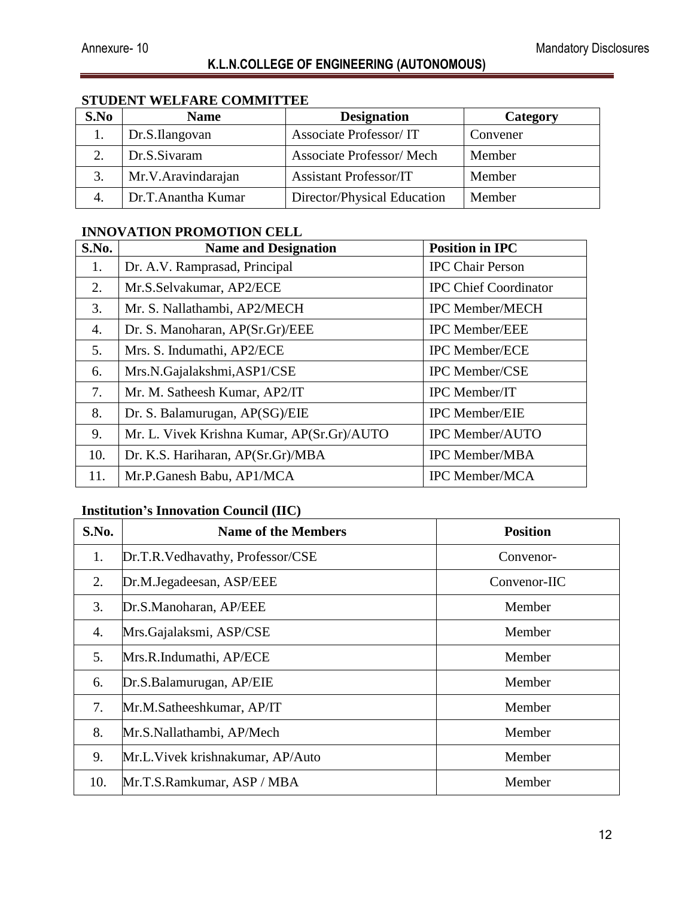#### **STUDENT WELFARE COMMITTEE**

| S.No | <b>Name</b>        | <b>Designation</b>              | Category |
|------|--------------------|---------------------------------|----------|
|      | Dr.S.Ilangovan     | <b>Associate Professor/IT</b>   | Convener |
|      | Dr.S.Sivaram       | <b>Associate Professor/Mech</b> | Member   |
|      | Mr.V.Aravindarajan | <b>Assistant Professor/IT</b>   | Member   |
|      | Dr.T.Anantha Kumar | Director/Physical Education     | Member   |

#### **INNOVATION PROMOTION CELL**

| S.No. | <b>Name and Designation</b>                | <b>Position in IPC</b>       |
|-------|--------------------------------------------|------------------------------|
| 1.    | Dr. A.V. Ramprasad, Principal              | <b>IPC Chair Person</b>      |
| 2.    | Mr.S.Selvakumar, AP2/ECE                   | <b>IPC Chief Coordinator</b> |
| 3.    | Mr. S. Nallathambi, AP2/MECH               | <b>IPC Member/MECH</b>       |
| 4.    | Dr. S. Manoharan, AP(Sr.Gr)/EEE            | <b>IPC Member/EEE</b>        |
| 5.    | Mrs. S. Indumathi, AP2/ECE                 | <b>IPC Member/ECE</b>        |
| 6.    | Mrs.N.Gajalakshmi,ASP1/CSE                 | <b>IPC Member/CSE</b>        |
| 7.    | Mr. M. Satheesh Kumar, AP2/IT              | IPC Member/IT                |
| 8.    | Dr. S. Balamurugan, AP(SG)/EIE             | <b>IPC Member/EIE</b>        |
| 9.    | Mr. L. Vivek Krishna Kumar, AP(Sr.Gr)/AUTO | <b>IPC Member/AUTO</b>       |
| 10.   | Dr. K.S. Hariharan, AP(Sr.Gr)/MBA          | <b>IPC Member/MBA</b>        |
| 11.   | Mr.P.Ganesh Babu, AP1/MCA                  | <b>IPC Member/MCA</b>        |

#### **Institution's Innovation Council (IIC)**

| S.No. | <b>Name of the Members</b>        | <b>Position</b> |
|-------|-----------------------------------|-----------------|
| 1.    | Dr.T.R.Vedhavathy, Professor/CSE  | Convenor-       |
| 2.    | Dr.M.Jegadeesan, ASP/EEE          | Convenor-IIC    |
| 3.    | Dr.S.Manoharan, AP/EEE            | Member          |
| 4.    | Mrs.Gajalaksmi, ASP/CSE           | Member          |
| 5.    | Mrs.R.Indumathi, AP/ECE           | Member          |
| 6.    | Dr.S.Balamurugan, AP/EIE          | Member          |
| 7.    | Mr.M.Satheeshkumar, AP/IT         | Member          |
| 8.    | Mr.S.Nallathambi, AP/Mech         | Member          |
| 9.    | Mr.L. Vivek krishnakumar, AP/Auto | Member          |
| 10.   | Mr.T.S.Ramkumar, ASP / MBA        | Member          |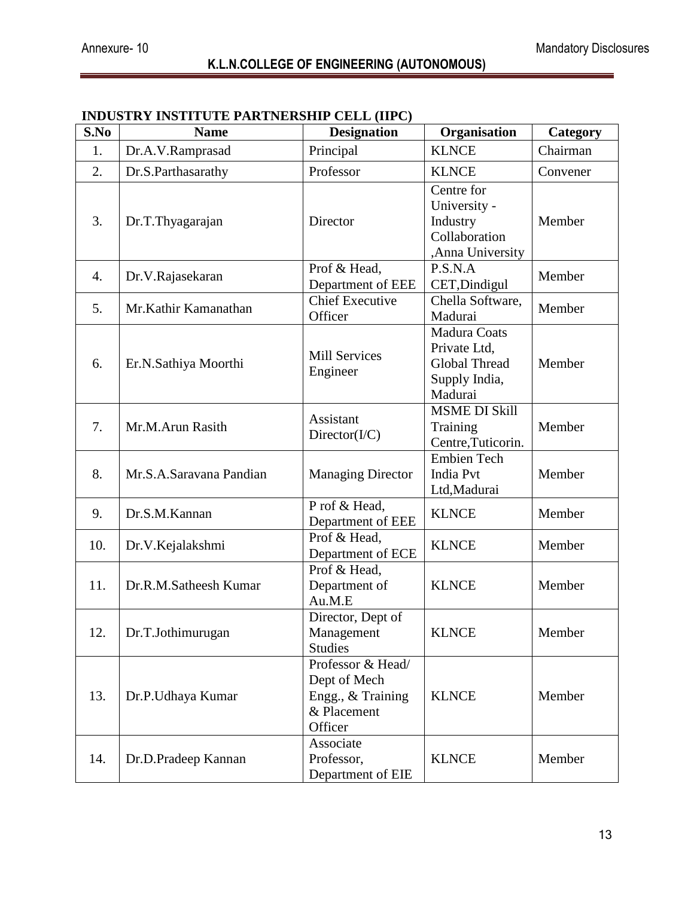| S.No | <b>Name</b>             | <b>Designation</b>                                                               | Organisation                                                                            | Category |
|------|-------------------------|----------------------------------------------------------------------------------|-----------------------------------------------------------------------------------------|----------|
| 1.   | Dr.A.V.Ramprasad        | Principal                                                                        | <b>KLNCE</b>                                                                            | Chairman |
| 2.   | Dr.S.Parthasarathy      | Professor                                                                        | <b>KLNCE</b>                                                                            | Convener |
| 3.   | Dr.T.Thyagarajan        | Director                                                                         | Centre for<br>University -<br>Industry<br>Collaboration<br>,Anna University             | Member   |
| 4.   | Dr.V.Rajasekaran        | Prof & Head,<br>Department of EEE                                                | P.S.N.A<br>CET, Dindigul                                                                | Member   |
| 5.   | Mr.Kathir Kamanathan    | <b>Chief Executive</b><br>Officer                                                | Chella Software,<br>Madurai                                                             | Member   |
| 6.   | Er.N.Sathiya Moorthi    | <b>Mill Services</b><br>Engineer                                                 | <b>Madura Coats</b><br>Private Ltd,<br><b>Global Thread</b><br>Supply India,<br>Madurai | Member   |
| 7.   | Mr.M.Arun Rasith        | <b>Assistant</b><br>Directory( <i>I/C</i> )                                      | <b>MSME DI Skill</b><br>Training<br>Centre, Tuticorin.                                  | Member   |
| 8.   | Mr.S.A.Saravana Pandian | <b>Managing Director</b>                                                         | <b>Embien Tech</b><br><b>India Pvt</b><br>Ltd, Madurai                                  | Member   |
| 9.   | Dr.S.M.Kannan           | P rof & Head,<br>Department of EEE                                               | <b>KLNCE</b>                                                                            | Member   |
| 10.  | Dr.V.Kejalakshmi        | Prof & Head,<br>Department of ECE                                                | <b>KLNCE</b>                                                                            | Member   |
| 11.  | Dr.R.M.Satheesh Kumar   | Prof & Head,<br>Department of<br>Au.M.E                                          | <b>KLNCE</b>                                                                            | Member   |
| 12.  | Dr.T.Jothimurugan       | Director, Dept of<br>Management<br><b>Studies</b>                                | <b>KLNCE</b>                                                                            | Member   |
| 13.  | Dr.P.Udhaya Kumar       | Professor & Head/<br>Dept of Mech<br>Engg., & Training<br>& Placement<br>Officer | <b>KLNCE</b>                                                                            | Member   |
| 14.  | Dr.D.Pradeep Kannan     | Associate<br>Professor,<br>Department of EIE                                     | <b>KLNCE</b>                                                                            | Member   |

## **INDUSTRY INSTITUTE PARTNERSHIP CELL (IIPC)**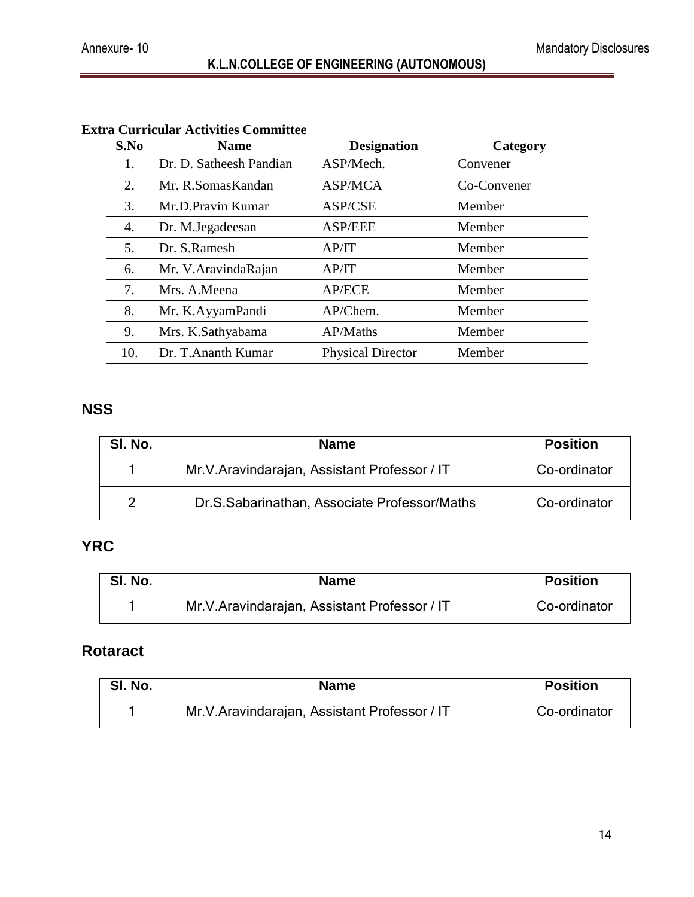| S.No | <b>Name</b>             | <b>Designation</b>       | Category    |
|------|-------------------------|--------------------------|-------------|
| 1.   | Dr. D. Satheesh Pandian | ASP/Mech.                | Convener    |
| 2.   | Mr. R.SomasKandan       | <b>ASP/MCA</b>           | Co-Convener |
| 3.   | Mr.D.Pravin Kumar       | ASP/CSE                  | Member      |
| 4.   | Dr. M.Jegadeesan        | <b>ASP/EEE</b>           | Member      |
| 5.   | Dr. S.Ramesh            | AP/IT                    | Member      |
| 6.   | Mr. V. Aravinda Rajan   | AP/IT                    | Member      |
| 7.   | Mrs. A.Meena            | <b>AP/ECE</b>            | Member      |
| 8.   | Mr. K.AyyamPandi        | AP/Chem.                 | Member      |
| 9.   | Mrs. K.Sathyabama       | AP/Maths                 | Member      |
| 10.  | Dr. T. Ananth Kumar     | <b>Physical Director</b> | Member      |

# **Extra Curricular Activities Committee**

# **NSS**

| SI. No. | <b>Name</b>                                    | <b>Position</b> |
|---------|------------------------------------------------|-----------------|
|         | Mr. V. Aravindarajan, Assistant Professor / IT | Co-ordinator    |
| 2       | Dr.S.Sabarinathan, Associate Professor/Maths   | Co-ordinator    |

# **YRC**

| SI. No. | <b>Name</b>                                    | <b>Position</b> |
|---------|------------------------------------------------|-----------------|
|         | Mr. V. Aravindarajan, Assistant Professor / IT | Co-ordinator    |

# **Rotaract**

| SI. No. | <b>Name</b>                                    | <b>Position</b> |
|---------|------------------------------------------------|-----------------|
|         | Mr. V. Aravindarajan, Assistant Professor / IT | Co-ordinator    |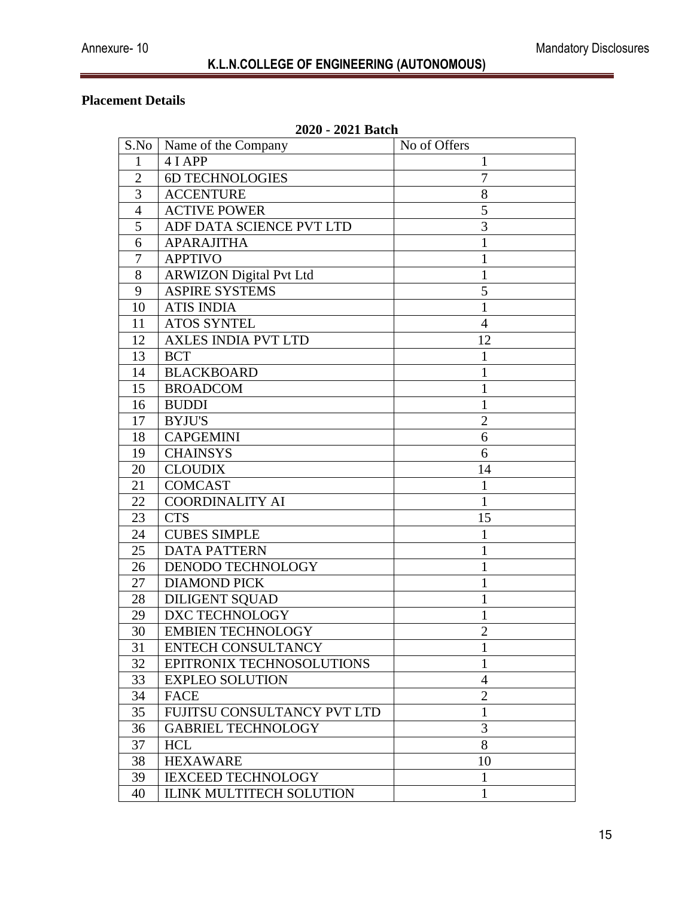## **Placement Details**

|                | 4040 - 4041 DAUIL              |                |
|----------------|--------------------------------|----------------|
| S.No           | Name of the Company            | No of Offers   |
| 1              | 4 I APP                        | 1              |
| $\overline{2}$ | <b>6D TECHNOLOGIES</b>         | 7              |
| 3              | <b>ACCENTURE</b>               | 8              |
| $\overline{4}$ | <b>ACTIVE POWER</b>            | 5              |
| 5              | ADF DATA SCIENCE PVT LTD       | 3              |
| 6              | <b>APARAJITHA</b>              | 1              |
| 7              | <b>APPTIVO</b>                 | 1              |
| 8              | <b>ARWIZON Digital Pvt Ltd</b> | $\mathbf{1}$   |
| 9              | <b>ASPIRE SYSTEMS</b>          | 5              |
| 10             | <b>ATIS INDIA</b>              | $\mathbf{1}$   |
| 11             | <b>ATOS SYNTEL</b>             | $\overline{4}$ |
| 12             | <b>AXLES INDIA PVT LTD</b>     | 12             |
| 13             | <b>BCT</b>                     | $\mathbf{1}$   |
| 14             | <b>BLACKBOARD</b>              | $\mathbf{1}$   |
| 15             | <b>BROADCOM</b>                | 1              |
| 16             | <b>BUDDI</b>                   | 1              |
| 17             | <b>BYJU'S</b>                  | $\overline{2}$ |
| 18             | <b>CAPGEMINI</b>               | 6              |
| 19             | <b>CHAINSYS</b>                | 6              |
| 20             | <b>CLOUDIX</b>                 | 14             |
| 21             | <b>COMCAST</b>                 | 1              |
| 22             | <b>COORDINALITY AI</b>         | $\mathbf{1}$   |
| 23             | <b>CTS</b>                     | 15             |
| 24             | <b>CUBES SIMPLE</b>            | 1              |
| 25             | <b>DATA PATTERN</b>            | 1              |
| 26             | DENODO TECHNOLOGY              | $\mathbf{1}$   |
| 27             | <b>DIAMOND PICK</b>            | $\mathbf{1}$   |
| 28             | <b>DILIGENT SQUAD</b>          | 1              |
| 29             | DXC TECHNOLOGY                 | 1              |
| 30             | <b>EMBIEN TECHNOLOGY</b>       | $\overline{2}$ |
| 31             | <b>ENTECH CONSULTANCY</b>      | 1              |
| 32             | EPITRONIX TECHNOSOLUTIONS      | 1              |
| 33             | <b>EXPLEO SOLUTION</b>         | $\overline{4}$ |
| 34             | <b>FACE</b>                    | $\overline{2}$ |
| 35             | FUJITSU CONSULTANCY PVT LTD    | $\mathbf{1}$   |
| 36             | <b>GABRIEL TECHNOLOGY</b>      | 3              |
| 37             | <b>HCL</b>                     | 8              |
| 38             | <b>HEXAWARE</b>                | 10             |
| 39             | <b>IEXCEED TECHNOLOGY</b>      | $\mathbf{1}$   |
| 40             | ILINK MULTITECH SOLUTION       | $\mathbf{1}$   |

#### **2020 - 2021 Batch**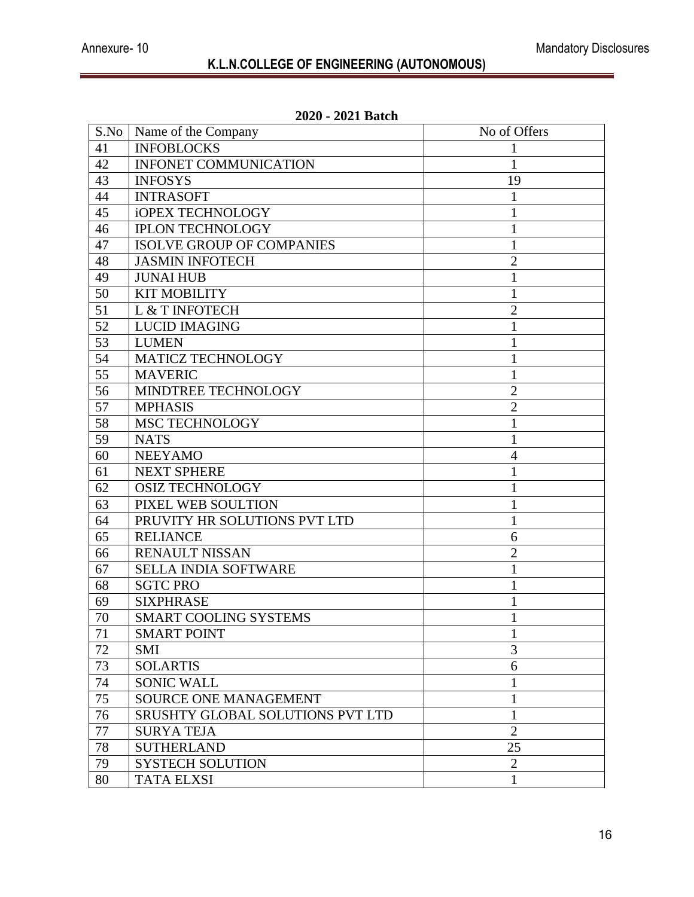| S.No | Name of the Company<br>No of Offers |                |
|------|-------------------------------------|----------------|
| 41   | <b>INFOBLOCKS</b>                   |                |
| 42   | <b>INFONET COMMUNICATION</b>        | 1              |
| 43   | <b>INFOSYS</b>                      | 19             |
| 44   | <b>INTRASOFT</b>                    | 1              |
| 45   | <b>iOPEX TECHNOLOGY</b>             | 1              |
| 46   | <b>IPLON TECHNOLOGY</b>             | 1              |
| 47   | <b>ISOLVE GROUP OF COMPANIES</b>    | 1              |
| 48   | <b>JASMIN INFOTECH</b>              | $\overline{2}$ |
| 49   | <b>JUNAI HUB</b>                    | 1              |
| 50   | <b>KIT MOBILITY</b>                 | 1              |
| 51   | L & T INFOTECH                      | $\overline{2}$ |
| 52   | <b>LUCID IMAGING</b>                |                |
| 53   | <b>LUMEN</b>                        | 1              |
| 54   | <b>MATICZ TECHNOLOGY</b>            | 1              |
| 55   | <b>MAVERIC</b>                      | 1              |
| 56   | MINDTREE TECHNOLOGY                 | $\overline{2}$ |
| 57   | <b>MPHASIS</b>                      | $\overline{2}$ |
| 58   | <b>MSC TECHNOLOGY</b>               | 1              |
| 59   | <b>NATS</b>                         | 1              |
| 60   | <b>NEEYAMO</b>                      | 4              |
| 61   | <b>NEXT SPHERE</b>                  | 1              |
| 62   | <b>OSIZ TECHNOLOGY</b>              | 1              |
| 63   | PIXEL WEB SOULTION                  | 1              |
| 64   | PRUVITY HR SOLUTIONS PVT LTD        | 1              |
| 65   | <b>RELIANCE</b>                     | 6              |
| 66   | <b>RENAULT NISSAN</b>               | $\overline{2}$ |
| 67   | <b>SELLA INDIA SOFTWARE</b>         | 1              |
| 68   | <b>SGTC PRO</b>                     |                |
| 69   | <b>SIXPHRASE</b>                    | 1              |
| 70   | <b>SMART COOLING SYSTEMS</b>        |                |
| 71   | <b>SMART POINT</b>                  | $\mathbf{1}$   |
| 72   | <b>SMI</b>                          | 3              |
| 73   | <b>SOLARTIS</b>                     | 6              |
| 74   | <b>SONIC WALL</b>                   | $\mathbf{1}$   |
| 75   | SOURCE ONE MANAGEMENT               | 1              |
| 76   | SRUSHTY GLOBAL SOLUTIONS PVT LTD    | 1              |
| 77   | <b>SURYA TEJA</b>                   | $\overline{2}$ |
| 78   | <b>SUTHERLAND</b>                   | 25             |
| 79   | <b>SYSTECH SOLUTION</b>             | $\overline{2}$ |
| 80   | <b>TATA ELXSI</b>                   | 1              |

#### **2020 - 2021 Batch**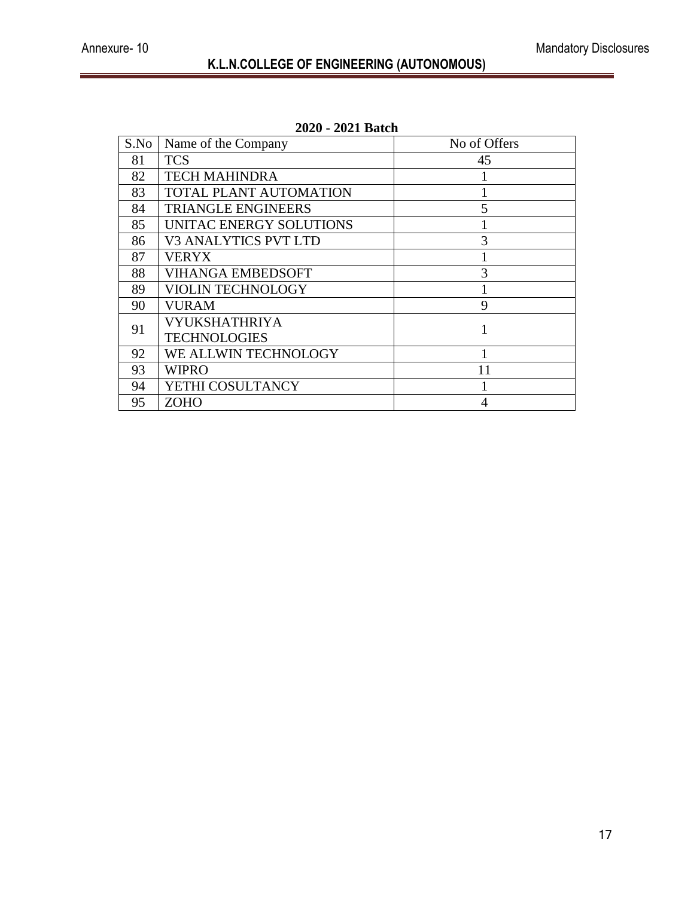| S.No | Name of the Company           | No of Offers |
|------|-------------------------------|--------------|
| 81   | <b>TCS</b>                    | 45           |
| 82   | <b>TECH MAHINDRA</b>          |              |
| 83   | <b>TOTAL PLANT AUTOMATION</b> |              |
| 84   | <b>TRIANGLE ENGINEERS</b>     | 5            |
| 85   | UNITAC ENERGY SOLUTIONS       |              |
| 86   | <b>V3 ANALYTICS PVT LTD</b>   | 3            |
| 87   | VERYX                         |              |
| 88   | <b>VIHANGA EMBEDSOFT</b>      | 3            |
| 89   | <b>VIOLIN TECHNOLOGY</b>      |              |
| 90   | VURAM                         | 9            |
| 91   | VYUKSHATHRIYA                 |              |
|      | <b>TECHNOLOGIES</b>           |              |
| 92   | WE ALLWIN TECHNOLOGY          |              |
| 93   | WIPRO                         | 11           |
| 94   | YETHI COSULTANCY              |              |
| 95   | ZOHO                          |              |

# **2020 - 2021 Batch**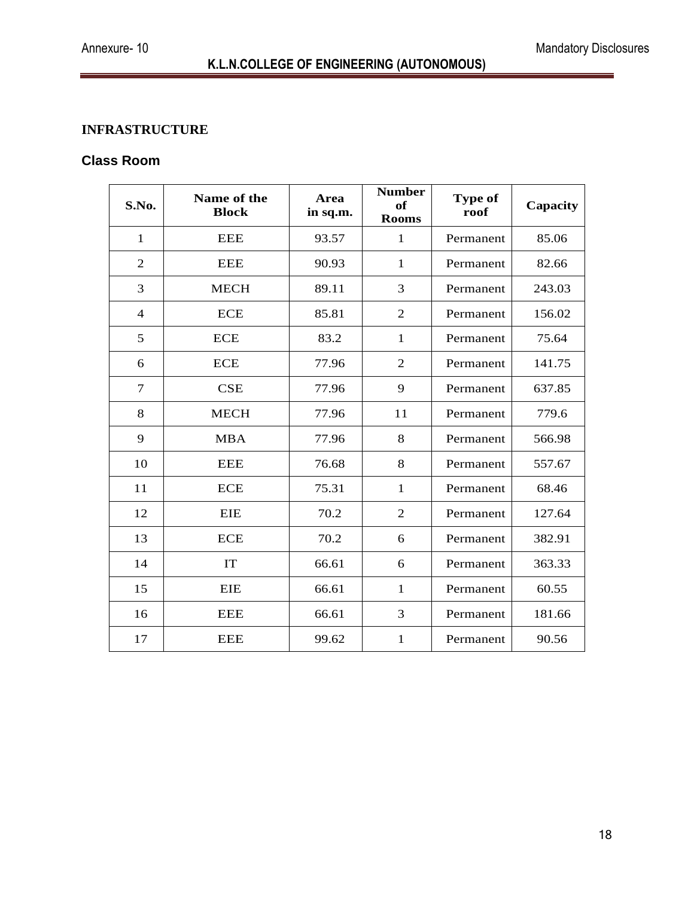#### **INFRASTRUCTURE**

#### **Class Room**

| S.No.          | Name of the<br><b>Block</b> | <b>Area</b><br>in sq.m. | <b>Number</b><br>of<br><b>Rooms</b> | Type of<br>roof | Capacity |
|----------------|-----------------------------|-------------------------|-------------------------------------|-----------------|----------|
| $\mathbf{1}$   | <b>EEE</b>                  | 93.57                   | 1                                   | Permanent       | 85.06    |
| $\overline{2}$ | <b>EEE</b>                  | 90.93                   | $\mathbf{1}$                        | Permanent       | 82.66    |
| 3              | <b>MECH</b>                 | 89.11                   | 3                                   | Permanent       | 243.03   |
| $\overline{4}$ | <b>ECE</b>                  | 85.81                   | $\overline{2}$                      | Permanent       | 156.02   |
| 5              | <b>ECE</b>                  | 83.2                    | $\mathbf{1}$                        | Permanent       | 75.64    |
| 6              | <b>ECE</b>                  | 77.96                   | $\overline{2}$                      | Permanent       | 141.75   |
| 7              | <b>CSE</b>                  | 77.96                   | 9                                   | Permanent       | 637.85   |
| 8              | <b>MECH</b>                 | 77.96                   | 11                                  | Permanent       | 779.6    |
| 9              | <b>MBA</b>                  | 77.96                   | 8                                   | Permanent       | 566.98   |
| 10             | <b>EEE</b>                  | 76.68                   | 8                                   | Permanent       | 557.67   |
| 11             | <b>ECE</b>                  | 75.31                   | $\mathbf{1}$                        | Permanent       | 68.46    |
| 12             | EIE                         | 70.2                    | $\overline{2}$                      | Permanent       | 127.64   |
| 13             | <b>ECE</b>                  | 70.2                    | 6                                   | Permanent       | 382.91   |
| 14             | IT                          | 66.61                   | 6                                   | Permanent       | 363.33   |
| 15             | EIE                         | 66.61                   | 1                                   | Permanent       | 60.55    |
| 16             | <b>EEE</b>                  | 66.61                   | 3                                   | Permanent       | 181.66   |
| 17             | <b>EEE</b>                  | 99.62                   | $\mathbf{1}$                        | Permanent       | 90.56    |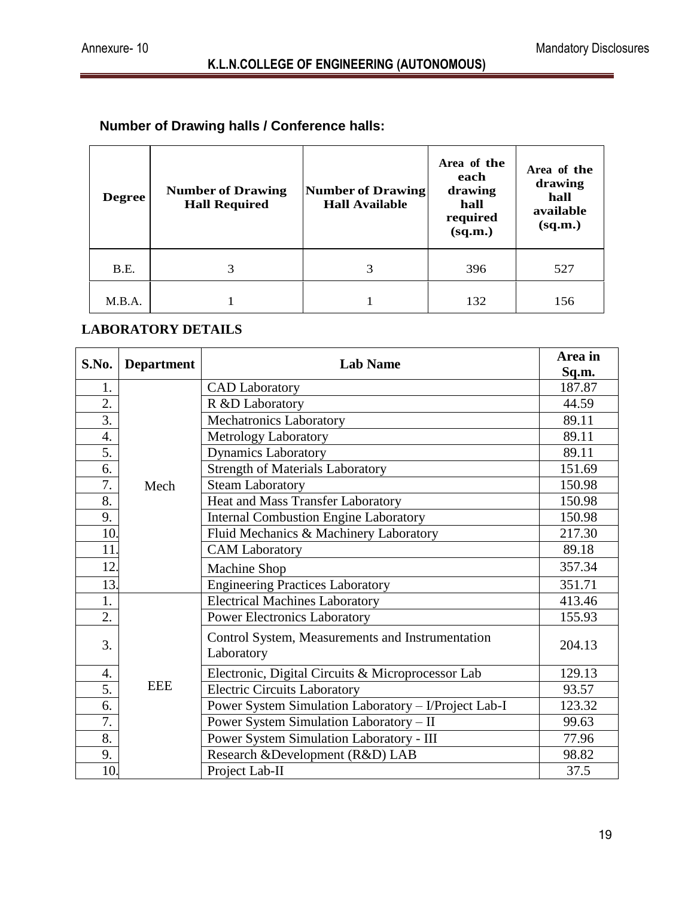# **Number of Drawing halls / Conference halls:**

| <b>Degree</b> | <b>Number of Drawing</b><br><b>Hall Required</b> | <b>Number of Drawing</b><br><b>Hall Available</b> | Area of the<br>each<br>drawing<br>hall<br>required<br>(sq.m.) | Area of the<br>drawing<br>hall<br>available<br>(sq.m.) |
|---------------|--------------------------------------------------|---------------------------------------------------|---------------------------------------------------------------|--------------------------------------------------------|
| B.E.          | 3                                                | 3                                                 | 396                                                           | 527                                                    |
| M.B.A.        |                                                  |                                                   | 132                                                           | 156                                                    |

#### **LABORATORY DETAILS**

| S.No.             | <b>Department</b> | <b>Lab Name</b>                                                | Area in         |
|-------------------|-------------------|----------------------------------------------------------------|-----------------|
| 1.                |                   |                                                                | Sq.m.<br>187.87 |
| 2.                |                   | <b>CAD</b> Laboratory                                          |                 |
|                   |                   | R &D Laboratory                                                | 44.59           |
| $\overline{3}$ .  |                   | Mechatronics Laboratory                                        | 89.11           |
| $\overline{4}$ .  |                   | Metrology Laboratory                                           | 89.11           |
| 5.                |                   | <b>Dynamics Laboratory</b>                                     | 89.11           |
| 6.                |                   | <b>Strength of Materials Laboratory</b>                        | 151.69          |
| 7.                | Mech              | <b>Steam Laboratory</b>                                        | 150.98          |
| 8.                |                   | Heat and Mass Transfer Laboratory                              | 150.98          |
| 9.                |                   | <b>Internal Combustion Engine Laboratory</b>                   | 150.98          |
| 10.               |                   | Fluid Mechanics & Machinery Laboratory                         | 217.30          |
| 11.               |                   | <b>CAM</b> Laboratory                                          | 89.18           |
| 12.               |                   | Machine Shop                                                   | 357.34          |
| 13.               |                   | <b>Engineering Practices Laboratory</b>                        | 351.71          |
| 1.                |                   | <b>Electrical Machines Laboratory</b>                          | 413.46          |
| 2.                |                   | <b>Power Electronics Laboratory</b>                            | 155.93          |
| 3.                |                   | Control System, Measurements and Instrumentation<br>Laboratory | 204.13          |
| 4.                |                   | Electronic, Digital Circuits & Microprocessor Lab              | 129.13          |
| 5.                | <b>EEE</b>        | <b>Electric Circuits Laboratory</b>                            | 93.57           |
| 6.                |                   | Power System Simulation Laboratory - I/Project Lab-I           | 123.32          |
| 7.                |                   | Power System Simulation Laboratory - II                        | 99.63           |
| 8.                |                   | Power System Simulation Laboratory - III                       | 77.96           |
| 9.                |                   | Research &Development (R&D) LAB                                | 98.82           |
| $\overline{10}$ . |                   | Project Lab-II                                                 | 37.5            |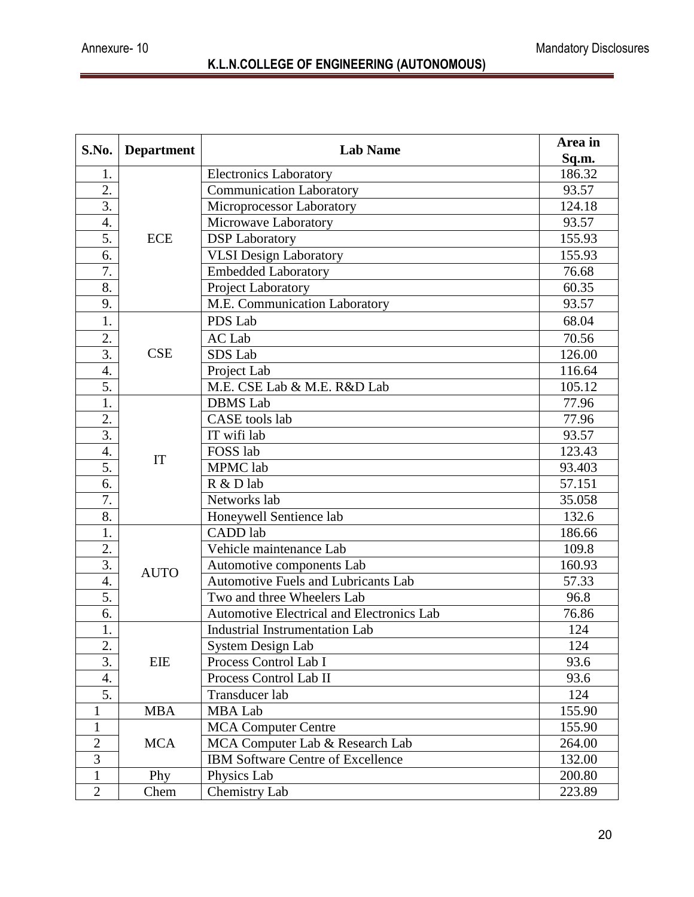| S.No.            | <b>Department</b> | <b>Lab Name</b>                            | Area in |
|------------------|-------------------|--------------------------------------------|---------|
|                  |                   |                                            | Sq.m.   |
| 1.               |                   | <b>Electronics Laboratory</b>              | 186.32  |
| 2.               |                   | <b>Communication Laboratory</b>            | 93.57   |
| $\overline{3}$ . |                   | Microprocessor Laboratory                  | 124.18  |
| 4.               |                   | Microwave Laboratory                       | 93.57   |
| 5.               | <b>ECE</b>        | <b>DSP</b> Laboratory                      | 155.93  |
| 6.               |                   | VLSI Design Laboratory                     | 155.93  |
| 7.               |                   | <b>Embedded Laboratory</b>                 | 76.68   |
| 8.               |                   | Project Laboratory                         | 60.35   |
| 9.               |                   | M.E. Communication Laboratory              | 93.57   |
| 1.               |                   | PDS Lab                                    | 68.04   |
| 2.               |                   | AC Lab                                     | 70.56   |
| $\overline{3}$ . | <b>CSE</b>        | SDS Lab                                    | 126.00  |
| 4.               |                   | Project Lab                                | 116.64  |
| 5.               |                   | M.E. CSE Lab & M.E. R&D Lab                | 105.12  |
| 1.               |                   | <b>DBMS</b> Lab                            | 77.96   |
| 2.               |                   | <b>CASE</b> tools lab                      | 77.96   |
| $\overline{3}$ . |                   | IT wifi lab                                | 93.57   |
| 4.               |                   | FOSS lab                                   | 123.43  |
| 5.               | IT                | MPMC lab                                   | 93.403  |
| 6.               |                   | R & D lab                                  | 57.151  |
| $\overline{7}$ . |                   | Networks lab                               | 35.058  |
| 8.               |                   | Honeywell Sentience lab                    | 132.6   |
| 1.               |                   | CADD lab                                   | 186.66  |
| 2.               |                   | Vehicle maintenance Lab                    | 109.8   |
| $\overline{3}$ . |                   | Automotive components Lab                  | 160.93  |
| 4.               | <b>AUTO</b>       | <b>Automotive Fuels and Lubricants Lab</b> | 57.33   |
| 5.               |                   | Two and three Wheelers Lab                 | 96.8    |
| 6.               |                   | Automotive Electrical and Electronics Lab  | 76.86   |
| 1.               |                   | <b>Industrial Instrumentation Lab</b>      | 124     |
| 2.               |                   | System Design Lab                          | 124     |
| 3.               | <b>EIE</b>        | Process Control Lab I                      | 93.6    |
| 4.               |                   | Process Control Lab II                     | 93.6    |
| 5.               |                   | Transducer lab                             | 124     |
| 1                | <b>MBA</b>        | <b>MBA</b> Lab                             | 155.90  |
| $\mathbf{1}$     |                   | <b>MCA Computer Centre</b>                 | 155.90  |
| $\overline{2}$   | <b>MCA</b>        | MCA Computer Lab & Research Lab            | 264.00  |
| $\overline{3}$   |                   | <b>IBM Software Centre of Excellence</b>   | 132.00  |
| $\mathbf{1}$     | Phy               | Physics Lab                                | 200.80  |
| $\overline{2}$   | Chem              | Chemistry Lab                              | 223.89  |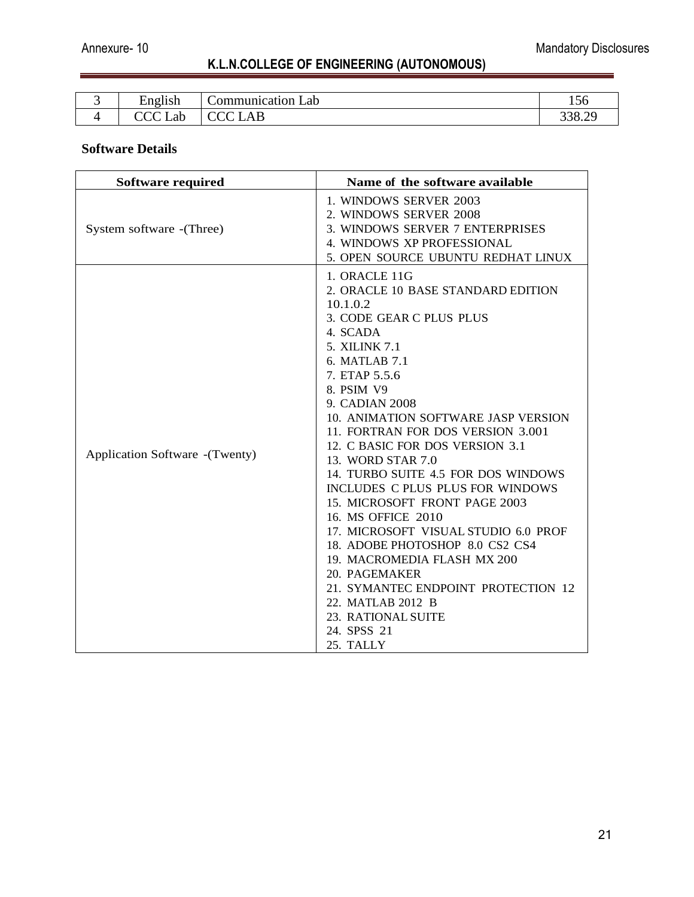| . . | $\bullet$<br>ച്ചപ<br>ים ה | ∽<br>Lab<br>$\sim$ $\sim$<br><br>. | - -<br>120 |
|-----|---------------------------|------------------------------------|------------|
|     | ΩŁ                        | $\overline{\phantom{a}}$           | 338        |
|     | ∟ac                       | பய                                 | JJ 0.4     |

#### **Software Details**

| Software required               | Name of the software available                                                                                                                                                                                                                                                                                                                                                                                                                                                                                                                                                                                                                                                                            |
|---------------------------------|-----------------------------------------------------------------------------------------------------------------------------------------------------------------------------------------------------------------------------------------------------------------------------------------------------------------------------------------------------------------------------------------------------------------------------------------------------------------------------------------------------------------------------------------------------------------------------------------------------------------------------------------------------------------------------------------------------------|
| System software - (Three)       | 1. WINDOWS SERVER 2003<br>2. WINDOWS SERVER 2008<br>3. WINDOWS SERVER 7 ENTERPRISES<br>4. WINDOWS XP PROFESSIONAL<br>5. OPEN SOURCE UBUNTU REDHAT LINUX                                                                                                                                                                                                                                                                                                                                                                                                                                                                                                                                                   |
| Application Software - (Twenty) | 1. ORACLE 11G<br>2. ORACLE 10 BASE STANDARD EDITION<br>10.1.0.2<br>3. CODE GEAR C PLUS PLUS<br>4. SCADA<br>5. XILINK 7.1<br>6. MATLAB 7.1<br>7. ETAP 5.5.6<br>8. PSIM V9<br>9. CADIAN 2008<br>10. ANIMATION SOFTWARE JASP VERSION<br>11. FORTRAN FOR DOS VERSION 3.001<br>12. C BASIC FOR DOS VERSION 3.1<br>13. WORD STAR 7.0<br>14. TURBO SUITE 4.5 FOR DOS WINDOWS<br>INCLUDES C PLUS PLUS FOR WINDOWS<br>15. MICROSOFT FRONT PAGE 2003<br>16. MS OFFICE 2010<br>17. MICROSOFT VISUAL STUDIO 6.0 PROF<br>18. ADOBE PHOTOSHOP 8.0 CS2 CS4<br>19. MACROMEDIA FLASH MX 200<br>20. PAGEMAKER<br>21. SYMANTEC ENDPOINT PROTECTION 12<br>22. MATLAB 2012 B<br>23. RATIONAL SUITE<br>24. SPSS 21<br>25. TALLY |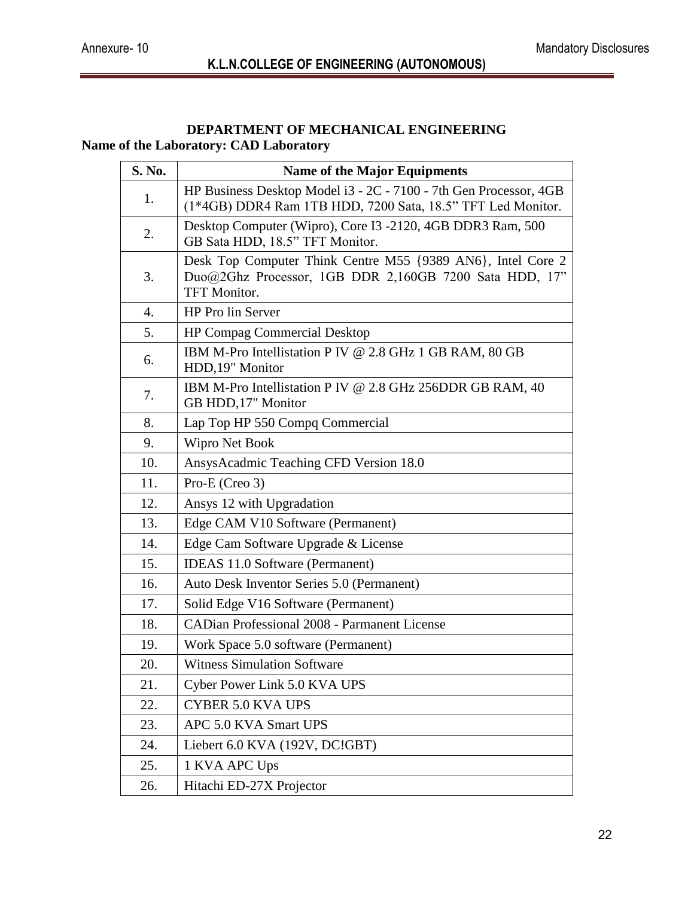#### **DEPARTMENT OF MECHANICAL ENGINEERING Name of the Laboratory: CAD Laboratory**

| S. No. | <b>Name of the Major Equipments</b>                                                                                                          |
|--------|----------------------------------------------------------------------------------------------------------------------------------------------|
| 1.     | HP Business Desktop Model i3 - 2C - 7100 - 7th Gen Processor, 4GB<br>(1*4GB) DDR4 Ram 1TB HDD, 7200 Sata, 18.5" TFT Led Monitor.             |
| 2.     | Desktop Computer (Wipro), Core I3 -2120, 4GB DDR3 Ram, 500<br>GB Sata HDD, 18.5" TFT Monitor.                                                |
| 3.     | Desk Top Computer Think Centre M55 {9389 AN6}, Intel Core 2<br>Duo@2Ghz Processor, 1GB DDR 2,160GB 7200 Sata HDD, 17"<br><b>TFT Monitor.</b> |
| 4.     | HP Pro lin Server                                                                                                                            |
| 5.     | <b>HP Compag Commercial Desktop</b>                                                                                                          |
| 6.     | IBM M-Pro Intellistation P IV @ 2.8 GHz 1 GB RAM, 80 GB<br>HDD,19" Monitor                                                                   |
| 7.     | IBM M-Pro Intellistation P IV @ 2.8 GHz 256DDR GB RAM, 40<br>GB HDD, 17" Monitor                                                             |
| 8.     | Lap Top HP 550 Compq Commercial                                                                                                              |
| 9.     | Wipro Net Book                                                                                                                               |
| 10.    | AnsysAcadmic Teaching CFD Version 18.0                                                                                                       |
| 11.    | Pro-E (Creo 3)                                                                                                                               |
| 12.    | Ansys 12 with Upgradation                                                                                                                    |
| 13.    | Edge CAM V10 Software (Permanent)                                                                                                            |
| 14.    | Edge Cam Software Upgrade & License                                                                                                          |
| 15.    | <b>IDEAS 11.0 Software (Permanent)</b>                                                                                                       |
| 16.    | Auto Desk Inventor Series 5.0 (Permanent)                                                                                                    |
| 17.    | Solid Edge V16 Software (Permanent)                                                                                                          |
| 18.    | <b>CADian Professional 2008 - Parmanent License</b>                                                                                          |
| 19.    | Work Space 5.0 software (Permanent)                                                                                                          |
| 20.    | <b>Witness Simulation Software</b>                                                                                                           |
| 21.    | Cyber Power Link 5.0 KVA UPS                                                                                                                 |
| 22.    | <b>CYBER 5.0 KVA UPS</b>                                                                                                                     |
| 23.    | APC 5.0 KVA Smart UPS                                                                                                                        |
| 24.    | Liebert 6.0 KVA (192V, DC!GBT)                                                                                                               |
| 25.    | 1 KVA APC Ups                                                                                                                                |
| 26.    | Hitachi ED-27X Projector                                                                                                                     |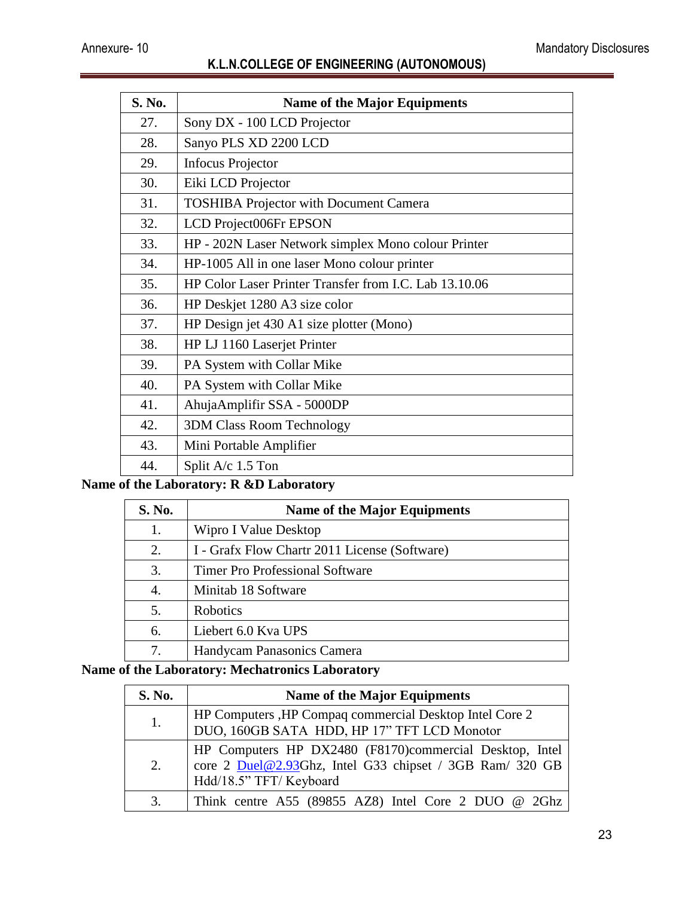| S. No. | <b>Name of the Major Equipments</b>                    |
|--------|--------------------------------------------------------|
| 27.    | Sony DX - 100 LCD Projector                            |
| 28.    | Sanyo PLS XD 2200 LCD                                  |
| 29.    | <b>Infocus Projector</b>                               |
| 30.    | Eiki LCD Projector                                     |
| 31.    | <b>TOSHIBA Projector with Document Camera</b>          |
| 32.    | LCD Project006Fr EPSON                                 |
| 33.    | HP - 202N Laser Network simplex Mono colour Printer    |
| 34.    | HP-1005 All in one laser Mono colour printer           |
| 35.    | HP Color Laser Printer Transfer from I.C. Lab 13.10.06 |
| 36.    | HP Deskjet 1280 A3 size color                          |
| 37.    | HP Design jet 430 A1 size plotter (Mono)               |
| 38.    | HP LJ 1160 Laserjet Printer                            |
| 39.    | PA System with Collar Mike                             |
| 40.    | PA System with Collar Mike                             |
| 41.    | AhujaAmplifir SSA - 5000DP                             |
| 42.    | <b>3DM Class Room Technology</b>                       |
| 43.    | Mini Portable Amplifier                                |
| 44.    | Split A/c 1.5 Ton                                      |

# **Name of the Laboratory: R &D Laboratory**

| S. No. | <b>Name of the Major Equipments</b>           |
|--------|-----------------------------------------------|
| 1.     | Wipro I Value Desktop                         |
| 2.     | I - Grafx Flow Chartr 2011 License (Software) |
| 3.     | <b>Timer Pro Professional Software</b>        |
| 4.     | Minitab 18 Software                           |
| 5.     | Robotics                                      |
| 6.     | Liebert 6.0 Kva UPS                           |
| 7.     | Handycam Panasonics Camera                    |

# **Name of the Laboratory: Mechatronics Laboratory**

| S. No. | <b>Name of the Major Equipments</b>                                                                                                            |
|--------|------------------------------------------------------------------------------------------------------------------------------------------------|
| 1.     | HP Computers , HP Compaq commercial Desktop Intel Core 2<br>DUO, 160GB SATA HDD, HP 17" TFT LCD Monotor                                        |
| 2.     | HP Computers HP DX2480 (F8170)commercial Desktop, Intel<br>core 2 Duel@2.93Ghz, Intel G33 chipset / 3GB Ram/ 320 GB<br>Hdd/18.5" TFT/ Keyboard |
| 3.     | Think centre A55 (89855 AZ8) Intel Core 2 DUO @ 2Ghz                                                                                           |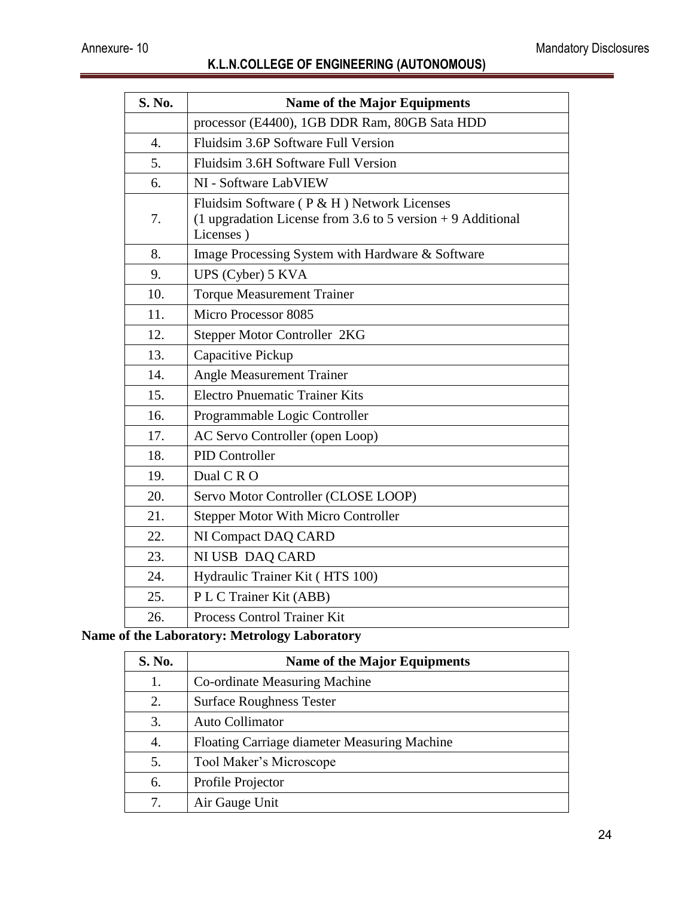| <b>S. No.</b>    | <b>Name of the Major Equipments</b>                                                                                      |
|------------------|--------------------------------------------------------------------------------------------------------------------------|
|                  | processor (E4400), 1GB DDR Ram, 80GB Sata HDD                                                                            |
| $\overline{4}$ . | Fluidsim 3.6P Software Full Version                                                                                      |
| 5.               | Fluidsim 3.6H Software Full Version                                                                                      |
| 6.               | NI - Software LabVIEW                                                                                                    |
| 7.               | Fluidsim Software (P & H) Network Licenses<br>(1 upgradation License from 3.6 to 5 version $+$ 9 Additional<br>Licenses) |
| 8.               | Image Processing System with Hardware & Software                                                                         |
| 9.               | UPS (Cyber) 5 KVA                                                                                                        |
| 10.              | <b>Torque Measurement Trainer</b>                                                                                        |
| 11.              | Micro Processor 8085                                                                                                     |
| 12.              | Stepper Motor Controller 2KG                                                                                             |
| 13.              | Capacitive Pickup                                                                                                        |
| 14.              | <b>Angle Measurement Trainer</b>                                                                                         |
| 15.              | <b>Electro Pnuematic Trainer Kits</b>                                                                                    |
| 16.              | Programmable Logic Controller                                                                                            |
| 17.              | AC Servo Controller (open Loop)                                                                                          |
| 18.              | <b>PID Controller</b>                                                                                                    |
| 19.              | Dual C R O                                                                                                               |
| 20.              | Servo Motor Controller (CLOSE LOOP)                                                                                      |
| 21.              | <b>Stepper Motor With Micro Controller</b>                                                                               |
| 22.              | NI Compact DAQ CARD                                                                                                      |
| 23.              | NI USB DAQ CARD                                                                                                          |
| 24.              | Hydraulic Trainer Kit (HTS 100)                                                                                          |
| 25.              | P L C Trainer Kit (ABB)                                                                                                  |
| 26.              | Process Control Trainer Kit                                                                                              |

#### **Name of the Laboratory: Metrology Laboratory**

| S. No. | <b>Name of the Major Equipments</b>          |
|--------|----------------------------------------------|
| 1.     | Co-ordinate Measuring Machine                |
| 2.     | <b>Surface Roughness Tester</b>              |
| 3.     | Auto Collimator                              |
| 4.     | Floating Carriage diameter Measuring Machine |
| 5.     | Tool Maker's Microscope                      |
| 6.     | Profile Projector                            |
| 7.     | Air Gauge Unit                               |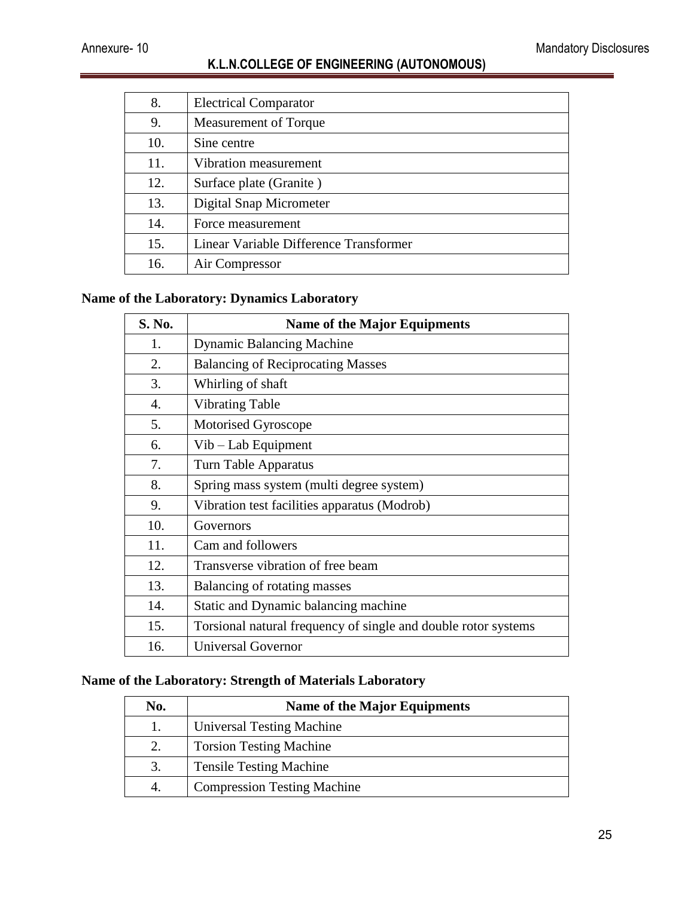| 8.  | <b>Electrical Comparator</b>           |
|-----|----------------------------------------|
| 9.  | Measurement of Torque                  |
| 10. | Sine centre                            |
| 11. | Vibration measurement                  |
| 12. | Surface plate (Granite)                |
| 13. | Digital Snap Micrometer                |
| 14. | Force measurement                      |
| 15. | Linear Variable Difference Transformer |
| 16. | Air Compressor                         |

#### **Name of the Laboratory: Dynamics Laboratory**

| S. No. | <b>Name of the Major Equipments</b>                            |
|--------|----------------------------------------------------------------|
| 1.     | <b>Dynamic Balancing Machine</b>                               |
| 2.     | <b>Balancing of Reciprocating Masses</b>                       |
| 3.     | Whirling of shaft                                              |
| 4.     | <b>Vibrating Table</b>                                         |
| 5.     | Motorised Gyroscope                                            |
| 6.     | Vib – Lab Equipment                                            |
| 7.     | Turn Table Apparatus                                           |
| 8.     | Spring mass system (multi degree system)                       |
| 9.     | Vibration test facilities apparatus (Modrob)                   |
| 10.    | Governors                                                      |
| 11.    | Cam and followers                                              |
| 12.    | Transverse vibration of free beam                              |
| 13.    | Balancing of rotating masses                                   |
| 14.    | Static and Dynamic balancing machine                           |
| 15.    | Torsional natural frequency of single and double rotor systems |
| 16.    | <b>Universal Governor</b>                                      |

#### **Name of the Laboratory: Strength of Materials Laboratory**

| No. | <b>Name of the Major Equipments</b> |
|-----|-------------------------------------|
|     | Universal Testing Machine           |
| 2.  | <b>Torsion Testing Machine</b>      |
| 3.  | <b>Tensile Testing Machine</b>      |
|     | <b>Compression Testing Machine</b>  |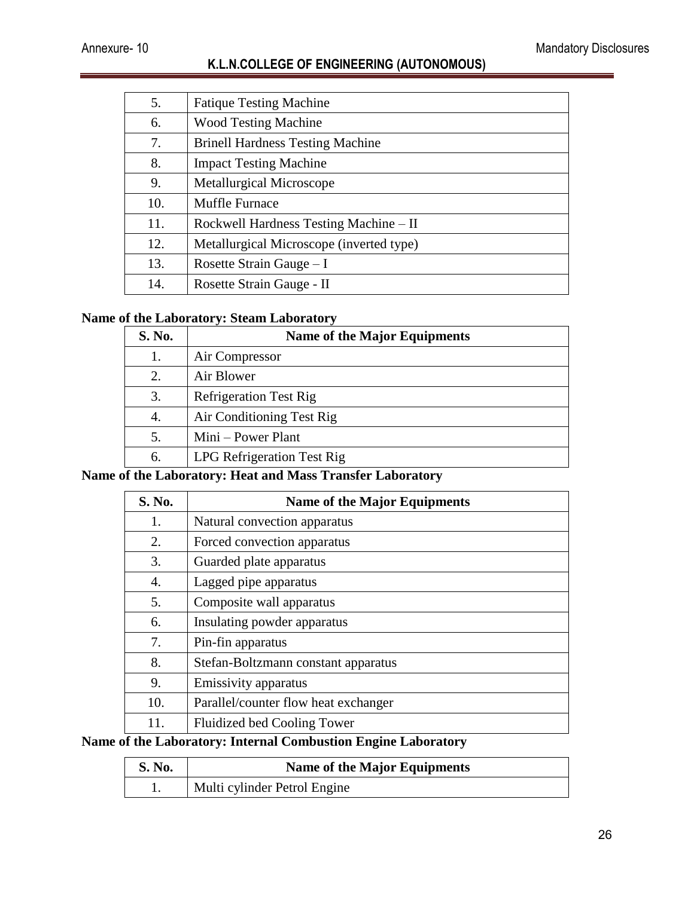| 5.  | <b>Fatique Testing Machine</b>           |
|-----|------------------------------------------|
| 6.  | <b>Wood Testing Machine</b>              |
| 7.  | <b>Brinell Hardness Testing Machine</b>  |
| 8.  | <b>Impact Testing Machine</b>            |
| 9.  | <b>Metallurgical Microscope</b>          |
| 10. | <b>Muffle Furnace</b>                    |
| 11. | Rockwell Hardness Testing Machine – II   |
| 12. | Metallurgical Microscope (inverted type) |
| 13. | Rosette Strain Gauge $-I$                |
| 14. | Rosette Strain Gauge - II                |

#### **Name of the Laboratory: Steam Laboratory**

| S. No. | <b>Name of the Major Equipments</b> |
|--------|-------------------------------------|
| 1.     | Air Compressor                      |
| 2.     | Air Blower                          |
| 3.     | <b>Refrigeration Test Rig</b>       |
| 4.     | Air Conditioning Test Rig           |
| 5.     | Mini – Power Plant                  |
| 6.     | LPG Refrigeration Test Rig          |

## **Name of the Laboratory: Heat and Mass Transfer Laboratory**

| <b>S. No.</b> | <b>Name of the Major Equipments</b>  |
|---------------|--------------------------------------|
| 1.            | Natural convection apparatus         |
| 2.            | Forced convection apparatus          |
| 3.            | Guarded plate apparatus              |
| 4.            | Lagged pipe apparatus                |
| 5.            | Composite wall apparatus             |
| 6.            | Insulating powder apparatus          |
| 7.            | Pin-fin apparatus                    |
| 8.            | Stefan-Boltzmann constant apparatus  |
| 9.            | Emissivity apparatus                 |
| 10.           | Parallel/counter flow heat exchanger |
| 11.           | Fluidized bed Cooling Tower          |

# **Name of the Laboratory: Internal Combustion Engine Laboratory**

| <b>S. No.</b> | <b>Name of the Major Equipments</b> |
|---------------|-------------------------------------|
|               | Multi cylinder Petrol Engine        |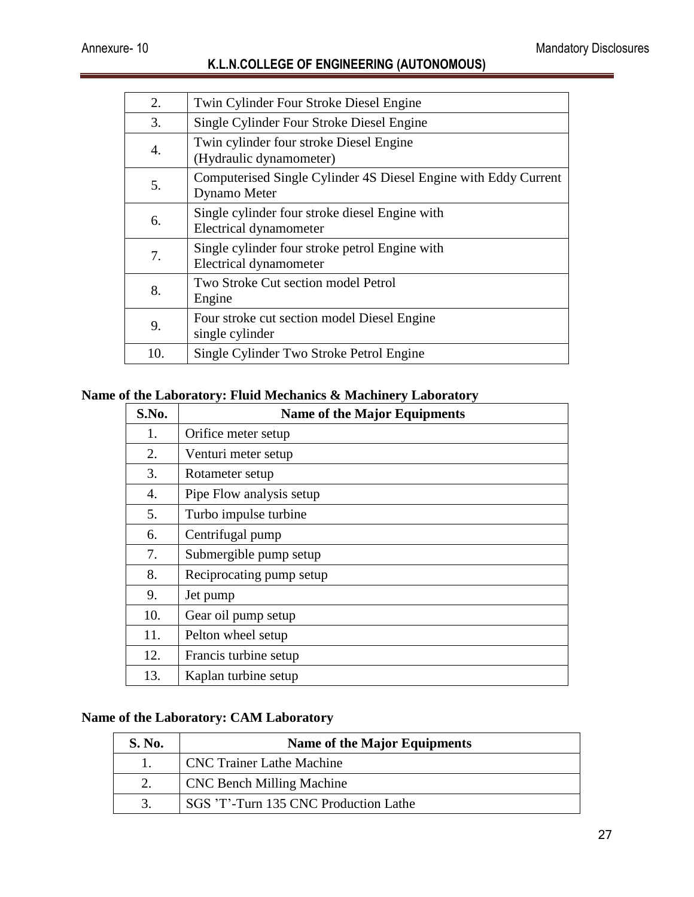| 2.  | Twin Cylinder Four Stroke Diesel Engine                                         |
|-----|---------------------------------------------------------------------------------|
| 3.  | Single Cylinder Four Stroke Diesel Engine                                       |
| 4.  | Twin cylinder four stroke Diesel Engine<br>(Hydraulic dynamometer)              |
| 5.  | Computerised Single Cylinder 4S Diesel Engine with Eddy Current<br>Dynamo Meter |
| 6.  | Single cylinder four stroke diesel Engine with<br>Electrical dynamometer        |
| 7.  | Single cylinder four stroke petrol Engine with<br><b>Electrical dynamometer</b> |
| 8.  | Two Stroke Cut section model Petrol<br>Engine                                   |
| 9.  | Four stroke cut section model Diesel Engine<br>single cylinder                  |
| 10. | Single Cylinder Two Stroke Petrol Engine                                        |

# **Name of the Laboratory: Fluid Mechanics & Machinery Laboratory**

| S.No. | <b>Name of the Major Equipments</b> |
|-------|-------------------------------------|
| 1.    | Orifice meter setup                 |
| 2.    | Venturi meter setup                 |
| 3.    | Rotameter setup                     |
| 4.    | Pipe Flow analysis setup            |
| 5.    | Turbo impulse turbine               |
| 6.    | Centrifugal pump                    |
| 7.    | Submergible pump setup              |
| 8.    | Reciprocating pump setup            |
| 9.    | Jet pump                            |
| 10.   | Gear oil pump setup                 |
| 11.   | Pelton wheel setup                  |
| 12.   | Francis turbine setup               |
| 13.   | Kaplan turbine setup                |

#### **Name of the Laboratory: CAM Laboratory**

| <b>S. No.</b> | <b>Name of the Major Equipments</b>   |
|---------------|---------------------------------------|
|               | <b>CNC Trainer Lathe Machine</b>      |
|               | <b>CNC Bench Milling Machine</b>      |
|               | SGS 'T'-Turn 135 CNC Production Lathe |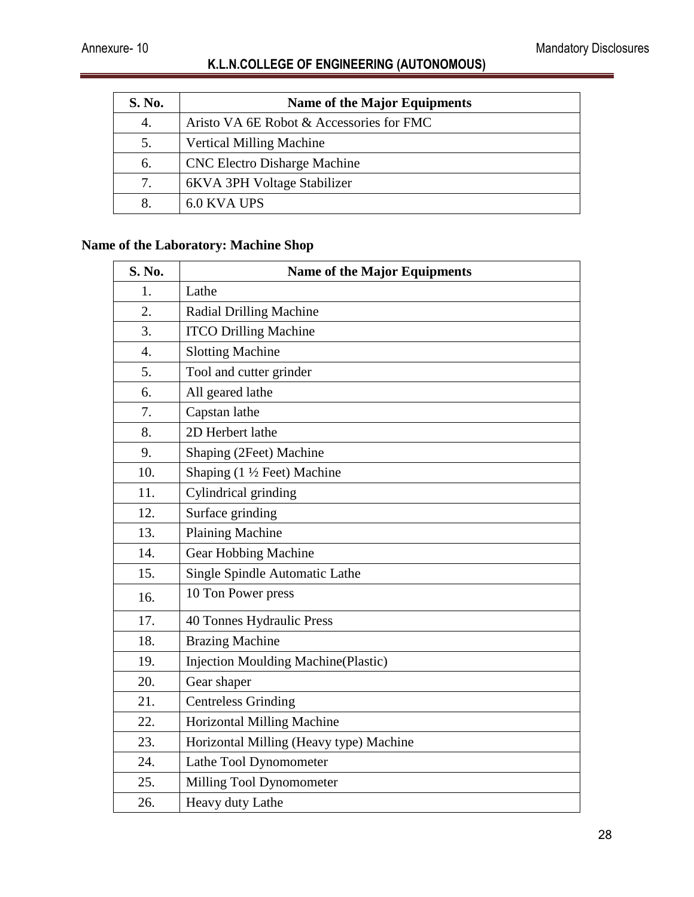| <b>S. No.</b> | <b>Name of the Major Equipments</b>      |
|---------------|------------------------------------------|
| 4.            | Aristo VA 6E Robot & Accessories for FMC |
| 5.            | <b>Vertical Milling Machine</b>          |
| 6.            | <b>CNC Electro Disharge Machine</b>      |
| 7.            | 6KVA 3PH Voltage Stabilizer              |
|               | 6.0 KVA UPS                              |

# **Name of the Laboratory: Machine Shop**

| S. No. | <b>Name of the Major Equipments</b>        |
|--------|--------------------------------------------|
| 1.     | Lathe                                      |
| 2.     | <b>Radial Drilling Machine</b>             |
| 3.     | <b>ITCO Drilling Machine</b>               |
| 4.     | <b>Slotting Machine</b>                    |
| 5.     | Tool and cutter grinder                    |
| 6.     | All geared lathe                           |
| 7.     | Capstan lathe                              |
| 8.     | 2D Herbert lathe                           |
| 9.     | Shaping (2Feet) Machine                    |
| 10.    | Shaping $(1 \frac{1}{2}$ Feet) Machine     |
| 11.    | Cylindrical grinding                       |
| 12.    | Surface grinding                           |
| 13.    | <b>Plaining Machine</b>                    |
| 14.    | Gear Hobbing Machine                       |
| 15.    | Single Spindle Automatic Lathe             |
| 16.    | 10 Ton Power press                         |
| 17.    | 40 Tonnes Hydraulic Press                  |
| 18.    | <b>Brazing Machine</b>                     |
| 19.    | <b>Injection Moulding Machine(Plastic)</b> |
| 20.    | Gear shaper                                |
| 21.    | <b>Centreless Grinding</b>                 |
| 22.    | <b>Horizontal Milling Machine</b>          |
| 23.    | Horizontal Milling (Heavy type) Machine    |
| 24.    | Lathe Tool Dynomometer                     |
| 25.    | Milling Tool Dynomometer                   |
| 26.    | Heavy duty Lathe                           |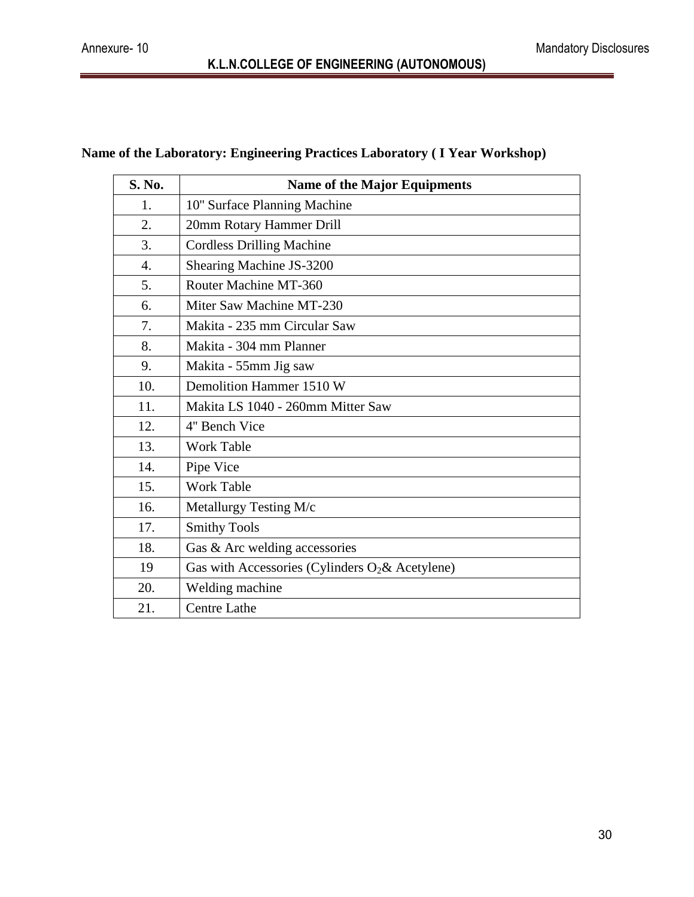# **Name of the Laboratory: Engineering Practices Laboratory ( I Year Workshop)**

| <b>S. No.</b>    | <b>Name of the Major Equipments</b>                |
|------------------|----------------------------------------------------|
| 1.               | 10" Surface Planning Machine                       |
| 2.               | 20mm Rotary Hammer Drill                           |
| 3.               | <b>Cordless Drilling Machine</b>                   |
| $\overline{4}$ . | Shearing Machine JS-3200                           |
| 5.               | Router Machine MT-360                              |
| 6.               | Miter Saw Machine MT-230                           |
| 7.               | Makita - 235 mm Circular Saw                       |
| 8.               | Makita - 304 mm Planner                            |
| 9.               | Makita - 55mm Jig saw                              |
| 10.              | Demolition Hammer 1510 W                           |
| 11.              | Makita LS 1040 - 260mm Mitter Saw                  |
| 12.              | 4" Bench Vice                                      |
| 13.              | <b>Work Table</b>                                  |
| 14.              | Pipe Vice                                          |
| 15.              | <b>Work Table</b>                                  |
| 16.              | Metallurgy Testing M/c                             |
| 17.              | <b>Smithy Tools</b>                                |
| 18.              | Gas & Arc welding accessories                      |
| 19               | Gas with Accessories (Cylinders $O_2$ & Acetylene) |
| 20.              | Welding machine                                    |
| 21.              | <b>Centre Lathe</b>                                |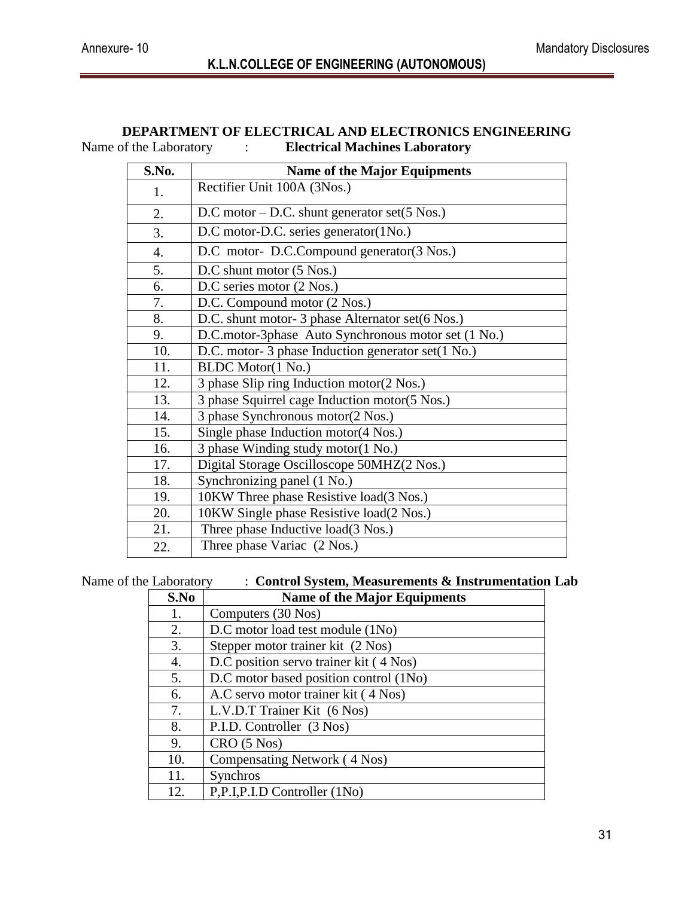#### **DEPARTMENT OF ELECTRICAL AND ELECTRONICS ENGINEERING**<br>Name of the Laboratory : Electrical Machines Laboratory **Referrical Machines Laboratory** :

| S.No.            | <b>Name of the Major Equipments</b>                 |
|------------------|-----------------------------------------------------|
| 1.               | Rectifier Unit 100A (3Nos.)                         |
| 2.               | D.C motor $-$ D.C. shunt generator set(5 Nos.)      |
| 3.               | D.C motor-D.C. series generator(1No.)               |
| $\overline{4}$ . | D.C motor- D.C.Compound generator(3 Nos.)           |
| 5.               | D.C shunt motor (5 Nos.)                            |
| 6.               | D.C series motor (2 Nos.)                           |
| 7.               | D.C. Compound motor (2 Nos.)                        |
| 8.               | D.C. shunt motor- 3 phase Alternator set(6 Nos.)    |
| 9.               | D.C.motor-3phase Auto Synchronous motor set (1 No.) |
| 10.              | D.C. motor-3 phase Induction generator set(1 No.)   |
| 11.              | <b>BLDC</b> Motor(1 No.)                            |
| 12.              | 3 phase Slip ring Induction motor(2 Nos.)           |
| 13.              | 3 phase Squirrel cage Induction motor(5 Nos.)       |
| 14.              | 3 phase Synchronous motor(2 Nos.)                   |
| 15.              | Single phase Induction motor(4 Nos.)                |
| 16.              | 3 phase Winding study motor(1 No.)                  |
| 17.              | Digital Storage Oscilloscope 50MHZ(2 Nos.)          |
| 18.              | Synchronizing panel (1 No.)                         |
| 19.              | 10KW Three phase Resistive load(3 Nos.)             |
| 20.              | 10KW Single phase Resistive load(2 Nos.)            |
| 21.              | Three phase Inductive load(3 Nos.)                  |
| 22.              | Three phase Variac (2 Nos.)                         |

Name of the Laboratory : **Control System, Measurements & Instrumentation Lab** 

| S.No | <b>Name of the Major Equipments</b>    |
|------|----------------------------------------|
| 1.   | Computers (30 Nos)                     |
| 2.   | D.C motor load test module (1No)       |
| 3.   | Stepper motor trainer kit (2 Nos)      |
| 4.   | D.C position servo trainer kit (4 Nos) |
| 5.   | D.C motor based position control (1No) |
| 6.   | A.C servo motor trainer kit (4 Nos)    |
| 7.   | L.V.D.T Trainer Kit (6 Nos)            |
| 8.   | P.I.D. Controller (3 Nos)              |
| 9.   | CRO (5 Nos)                            |
| 10.  | Compensating Network (4 Nos)           |
| 11.  | Synchros                               |
| 12.  | P,P.I,P.I.D Controller (1No)           |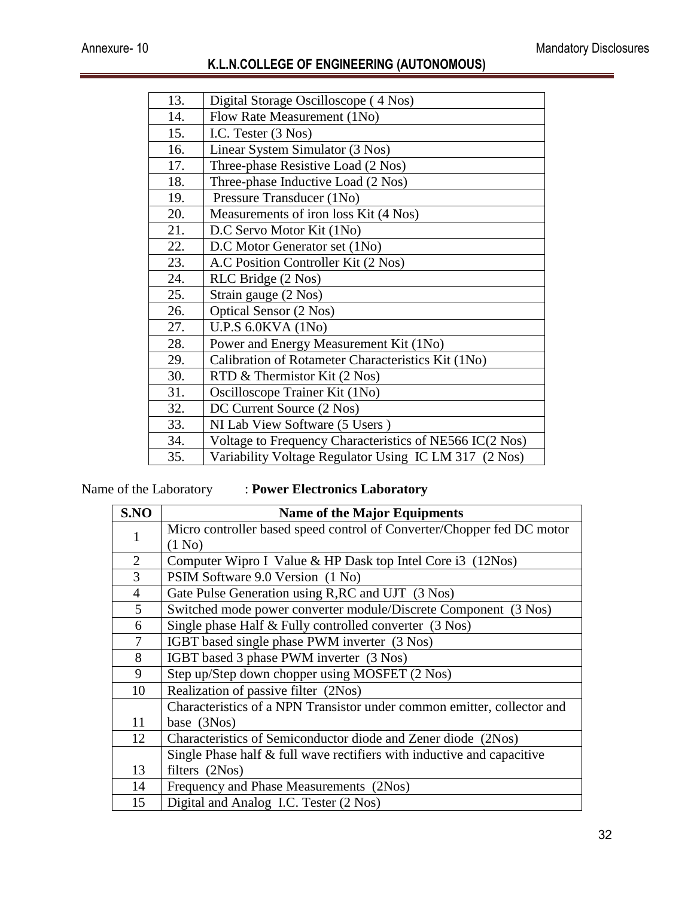| 13. | Digital Storage Oscilloscope (4 Nos)                    |
|-----|---------------------------------------------------------|
| 14. | Flow Rate Measurement (1No)                             |
| 15. | I.C. Tester (3 Nos)                                     |
| 16. | Linear System Simulator (3 Nos)                         |
| 17. | Three-phase Resistive Load (2 Nos)                      |
| 18. | Three-phase Inductive Load (2 Nos)                      |
| 19. | Pressure Transducer (1No)                               |
| 20. | Measurements of iron loss Kit (4 Nos)                   |
| 21. | D.C Servo Motor Kit (1No)                               |
| 22. | D.C Motor Generator set (1No)                           |
| 23. | A.C Position Controller Kit (2 Nos)                     |
| 24. | RLC Bridge (2 Nos)                                      |
| 25. | Strain gauge (2 Nos)                                    |
| 26. | Optical Sensor (2 Nos)                                  |
| 27. | U.P.S 6.0KVA (1No)                                      |
| 28. | Power and Energy Measurement Kit (1No)                  |
| 29. | Calibration of Rotameter Characteristics Kit (1No)      |
| 30. | RTD & Thermistor Kit (2 Nos)                            |
| 31. | Oscilloscope Trainer Kit (1No)                          |
| 32. | DC Current Source (2 Nos)                               |
| 33. | NI Lab View Software (5 Users)                          |
| 34. | Voltage to Frequency Characteristics of NE566 IC(2 Nos) |
| 35. | Variability Voltage Regulator Using IC LM 317 (2 Nos)   |

Name of the Laboratory : **Power Electronics Laboratory**

| S.NO           | <b>Name of the Major Equipments</b>                                     |
|----------------|-------------------------------------------------------------------------|
| $\mathbf{1}$   | Micro controller based speed control of Converter/Chopper fed DC motor  |
|                | (1 N <sub>0</sub> )                                                     |
| $\overline{2}$ | Computer Wipro I Value & HP Dask top Intel Core i3 (12Nos)              |
| $\overline{3}$ | PSIM Software 9.0 Version (1 No)                                        |
| $\overline{4}$ | Gate Pulse Generation using R, RC and UJT (3 Nos)                       |
| 5              | Switched mode power converter module/Discrete Component (3 Nos)         |
| 6              | Single phase Half & Fully controlled converter (3 Nos)                  |
| 7              | IGBT based single phase PWM inverter (3 Nos)                            |
| 8              | IGBT based 3 phase PWM inverter (3 Nos)                                 |
| 9              | Step up/Step down chopper using MOSFET (2 Nos)                          |
| 10             | Realization of passive filter (2Nos)                                    |
|                | Characteristics of a NPN Transistor under common emitter, collector and |
| 11             | base (3Nos)                                                             |
| 12             | Characteristics of Semiconductor diode and Zener diode (2Nos)           |
|                | Single Phase half & full wave rectifiers with inductive and capacitive  |
| 13             | filters (2Nos)                                                          |
| 14             | Frequency and Phase Measurements (2Nos)                                 |
| 15             | Digital and Analog I.C. Tester (2 Nos)                                  |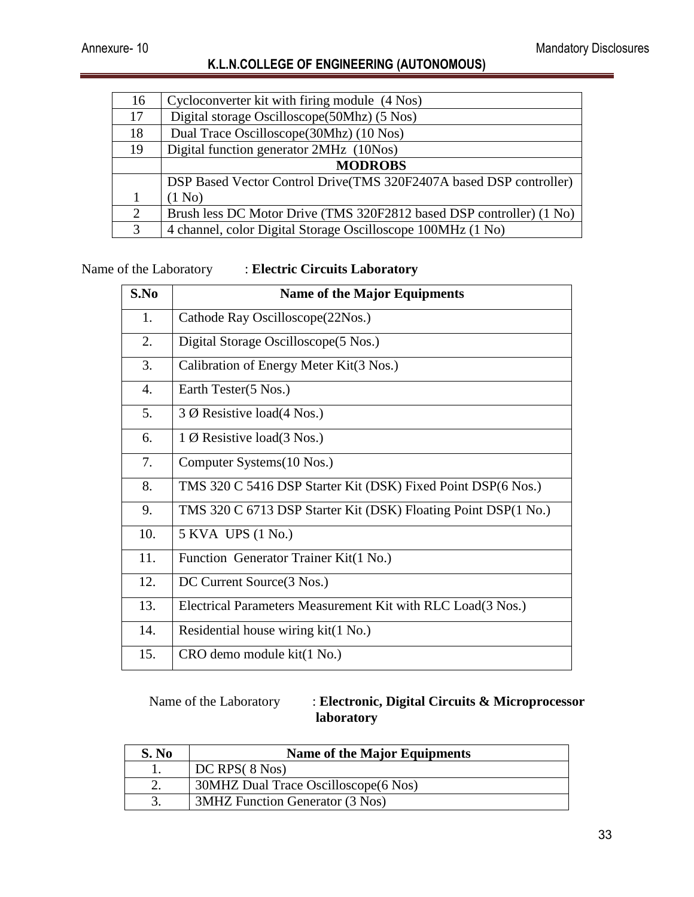| 16 | Cycloconverter kit with firing module (4 Nos)                        |
|----|----------------------------------------------------------------------|
| 17 | Digital storage Oscilloscope(50Mhz) (5 Nos)                          |
| 18 | Dual Trace Oscilloscope (30Mhz) (10 Nos)                             |
| 19 | Digital function generator 2MHz (10Nos)                              |
|    | <b>MODROBS</b>                                                       |
|    | DSP Based Vector Control Drive(TMS 320F2407A based DSP controller)   |
|    | (1 No)                                                               |
| 2  | Brush less DC Motor Drive (TMS 320F2812 based DSP controller) (1 No) |
| 3  | 4 channel, color Digital Storage Oscilloscope 100MHz (1 No)          |

Name of the Laboratory : **Electric Circuits Laboratory** 

| S.No | <b>Name of the Major Equipments</b>                            |
|------|----------------------------------------------------------------|
| 1.   | Cathode Ray Oscilloscope(22Nos.)                               |
| 2.   | Digital Storage Oscilloscope (5 Nos.)                          |
| 3.   | Calibration of Energy Meter Kit(3 Nos.)                        |
| 4.   | Earth Tester(5 Nos.)                                           |
| 5.   | 3 $\emptyset$ Resistive load(4 Nos.)                           |
| 6.   | $1 \varnothing$ Resistive load(3 Nos.)                         |
| 7.   | Computer Systems (10 Nos.)                                     |
| 8.   | TMS 320 C 5416 DSP Starter Kit (DSK) Fixed Point DSP(6 Nos.)   |
| 9.   | TMS 320 C 6713 DSP Starter Kit (DSK) Floating Point DSP(1 No.) |
| 10.  | 5 KVA UPS (1 No.)                                              |
| 11.  | Function Generator Trainer Kit(1 No.)                          |
| 12.  | DC Current Source(3 Nos.)                                      |
| 13.  | Electrical Parameters Measurement Kit with RLC Load(3 Nos.)    |
| 14.  | Residential house wiring kit(1 No.)                            |
| 15.  | CRO demo module kit(1 No.)                                     |

Name of the Laboratory : **Electronic, Digital Circuits & Microprocessor laboratory**

| S. No | <b>Name of the Major Equipments</b>   |
|-------|---------------------------------------|
|       | DC RPS(8 Nos)                         |
|       | 30MHZ Dual Trace Oscilloscope (6 Nos) |
|       | 3MHZ Function Generator (3 Nos)       |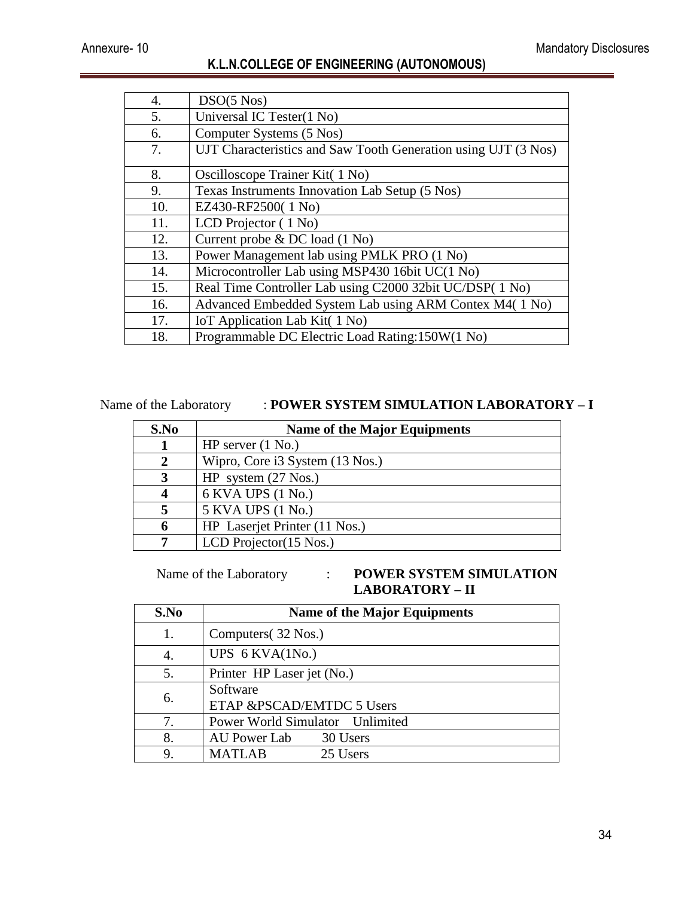| 4.  | $DSO(5 \text{ Nos})$                                           |
|-----|----------------------------------------------------------------|
| 5.  | Universal IC Tester(1 No)                                      |
| 6.  | Computer Systems (5 Nos)                                       |
| 7.  | UJT Characteristics and Saw Tooth Generation using UJT (3 Nos) |
| 8.  | Oscilloscope Trainer Kit( 1 No)                                |
| 9.  | Texas Instruments Innovation Lab Setup (5 Nos)                 |
| 10. | EZ430-RF2500(1 No)                                             |
| 11. | LCD Projector $(1 No)$                                         |
| 12. | Current probe & DC load (1 No)                                 |
| 13. | Power Management lab using PMLK PRO (1 No)                     |
| 14. | Microcontroller Lab using MSP430 16bit UC(1 No)                |
| 15. | Real Time Controller Lab using C2000 32bit UC/DSP(1 No)        |
| 16. | Advanced Embedded System Lab using ARM Contex M4(1 No)         |
| 17. | IoT Application Lab Kit(1 No)                                  |
| 18. | Programmable DC Electric Load Rating: 150W(1 No)               |

#### Name of the Laboratory : **POWER SYSTEM SIMULATION LABORATORY – I**

| S.No | <b>Name of the Major Equipments</b> |
|------|-------------------------------------|
|      | HP server $(1 \text{ No.})$         |
|      | Wipro, Core i3 System (13 Nos.)     |
| 3    | HP system $(27 \text{ Nos.})$       |
|      | 6 KVA UPS (1 No.)                   |
|      | 5 KVA UPS (1 No.)                   |
| 6    | HP Laserjet Printer (11 Nos.)       |
|      | LCD Projector $(15$ Nos.)           |

#### Name of the Laboratory : **POWER SYSTEM SIMULATION LABORATORY – II**

| S.No | <b>Name of the Major Equipments</b>   |
|------|---------------------------------------|
| 1.   | Computers (32 Nos.)                   |
| 4.   | UPS $6$ KVA $(1$ No.)                 |
| 5.   | Printer HP Laser jet (No.)            |
| 6.   | Software<br>ETAP &PSCAD/EMTDC 5 Users |
| 7.   | Power World Simulator Unlimited       |
| 8.   | AU Power Lab<br>30 Users              |
| 9.   | <b>MATLAB</b><br>25 Users             |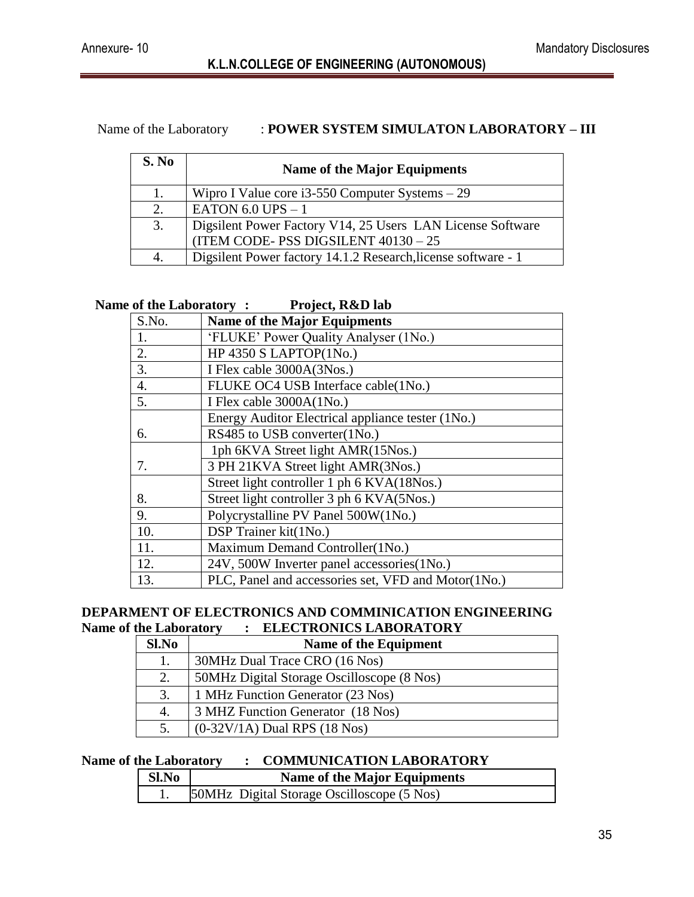#### Name of the Laboratory : **POWER SYSTEM SIMULATON LABORATORY – III**

| S. No | <b>Name of the Major Equipments</b>                           |
|-------|---------------------------------------------------------------|
| 1.    | Wipro I Value core $i3-550$ Computer Systems $-29$            |
| 2.    | EATON 6.0 UPS $-1$                                            |
| 3.    | Digsilent Power Factory V14, 25 Users LAN License Software    |
|       | (ITEM CODE-PSS DIGSILENT $40130 - 25$                         |
| 4.    | Digsilent Power factory 14.1.2 Research, license software - 1 |

#### **Name of the Laboratory : Project, R&D lab**

| S.No. | <b>Name of the Major Equipments</b>                 |
|-------|-----------------------------------------------------|
| 1.    | 'FLUKE' Power Quality Analyser (1No.)               |
| 2.    | HP 4350 S LAPTOP $(1No.)$                           |
| 3.    | I Flex cable 3000A(3Nos.)                           |
| 4.    | FLUKE OC4 USB Interface cable(1No.)                 |
| 5.    | I Flex cable 3000A(1No.)                            |
|       | Energy Auditor Electrical appliance tester (1No.)   |
| 6.    | RS485 to USB converter(1No.)                        |
|       | 1ph 6KVA Street light AMR(15Nos.)                   |
| 7.    | 3 PH 21KVA Street light AMR(3Nos.)                  |
|       | Street light controller 1 ph 6 KVA(18Nos.)          |
| 8.    | Street light controller 3 ph 6 KVA(5Nos.)           |
| 9.    | Polycrystalline PV Panel 500W(1No.)                 |
| 10.   | DSP Trainer kit(1No.)                               |
| 11.   | Maximum Demand Controller(1No.)                     |
| 12.   | 24V, 500W Inverter panel accessories(1No.)          |
| 13.   | PLC, Panel and accessories set, VFD and Motor(1No.) |

#### **DEPARMENT OF ELECTRONICS AND COMMINICATION ENGINEERING Name of the Laboratory : ELECTRONICS LABORATORY**

| Sl.No | Name of the Equipment                      |
|-------|--------------------------------------------|
|       | 30MHz Dual Trace CRO (16 Nos)              |
| 2.    | 50MHz Digital Storage Oscilloscope (8 Nos) |
| 3.    | 1 MHz Function Generator (23 Nos)          |
| 4.    | 3 MHZ Function Generator (18 Nos)          |
|       | $(0-32V/1A)$ Dual RPS $(18$ Nos)           |

#### **Name of the Laboratory : COMMUNICATION LABORATORY**

| Sl.No | <b>Name of the Major Equipments</b>        |
|-------|--------------------------------------------|
|       | 50MHz Digital Storage Oscilloscope (5 Nos) |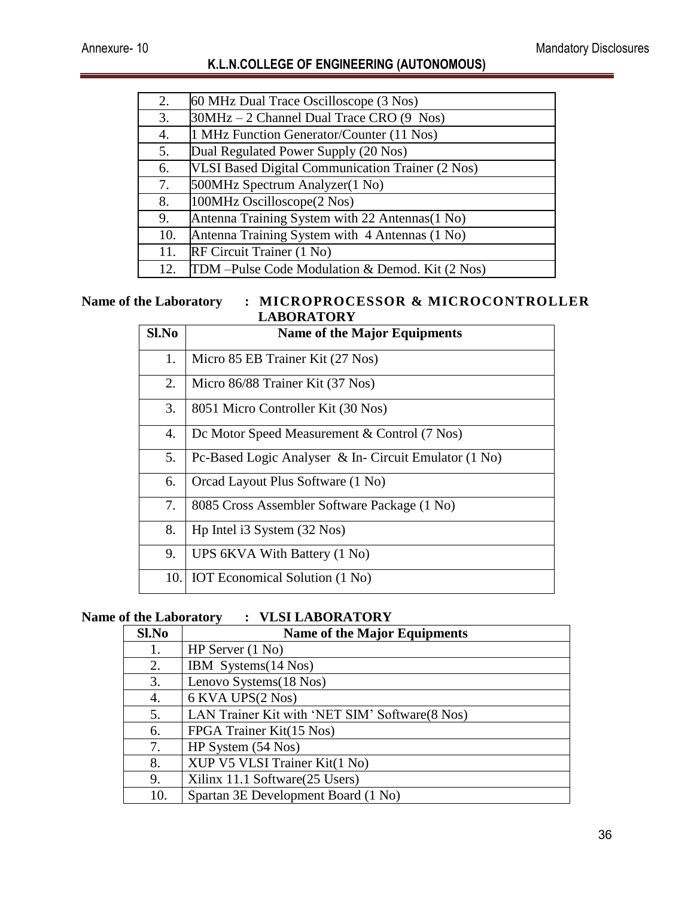| 2.  | 60 MHz Dual Trace Oscilloscope (3 Nos)           |
|-----|--------------------------------------------------|
| 3.  | 30MHz – 2 Channel Dual Trace CRO (9 Nos)         |
| 4.  | 1 MHz Function Generator/Counter (11 Nos)        |
| 5.  | Dual Regulated Power Supply (20 Nos)             |
| 6.  | VLSI Based Digital Communication Trainer (2 Nos) |
| 7.  | 500MHz Spectrum Analyzer(1 No)                   |
| 8.  | 100MHz Oscilloscope(2 Nos)                       |
| 9.  | Antenna Training System with 22 Antennas (1 No)  |
| 10. | Antenna Training System with 4 Antennas (1 No)   |
| 11. | RF Circuit Trainer (1 No)                        |
| 12. | TDM -Pulse Code Modulation & Demod. Kit (2 Nos)  |

#### **Name of the Laboratory : MICROPROCESSOR & MICROCONTROLLER LABORATORY**

| Sl.No | <b>Name of the Major Equipments</b>                   |
|-------|-------------------------------------------------------|
| 1.    | Micro 85 EB Trainer Kit (27 Nos)                      |
| 2.    | Micro 86/88 Trainer Kit (37 Nos)                      |
| 3.    | 8051 Micro Controller Kit (30 Nos)                    |
| 4.    | Dc Motor Speed Measurement & Control (7 Nos)          |
| 5.    | Pc-Based Logic Analyser & In- Circuit Emulator (1 No) |
| 6.    | Orcad Layout Plus Software (1 No)                     |
| 7.    | 8085 Cross Assembler Software Package (1 No)          |
| 8.    | Hp Intel i3 System (32 Nos)                           |
| 9.    | UPS 6KVA With Battery (1 No)                          |
| 10.   | <b>IOT</b> Economical Solution (1 No)                 |

#### **Name of the Laboratory : VLSI LABORATORY**

| Sl.No | <b>Name of the Major Equipments</b>            |
|-------|------------------------------------------------|
| 1.    | HP Server $(1 No)$                             |
| 2.    | IBM Systems(14 Nos)                            |
| 3.    | Lenovo Systems(18 Nos)                         |
| 4.    | 6 KVA UPS(2 Nos)                               |
| 5.    | LAN Trainer Kit with 'NET SIM' Software(8 Nos) |
| 6.    | FPGA Trainer Kit(15 Nos)                       |
| 7.    | HP System $(54$ Nos)                           |
| 8.    | XUP V5 VLSI Trainer Kit(1 No)                  |
| 9.    | Xilinx 11.1 Software (25 Users)                |
| 10.   | Spartan 3E Development Board (1 No)            |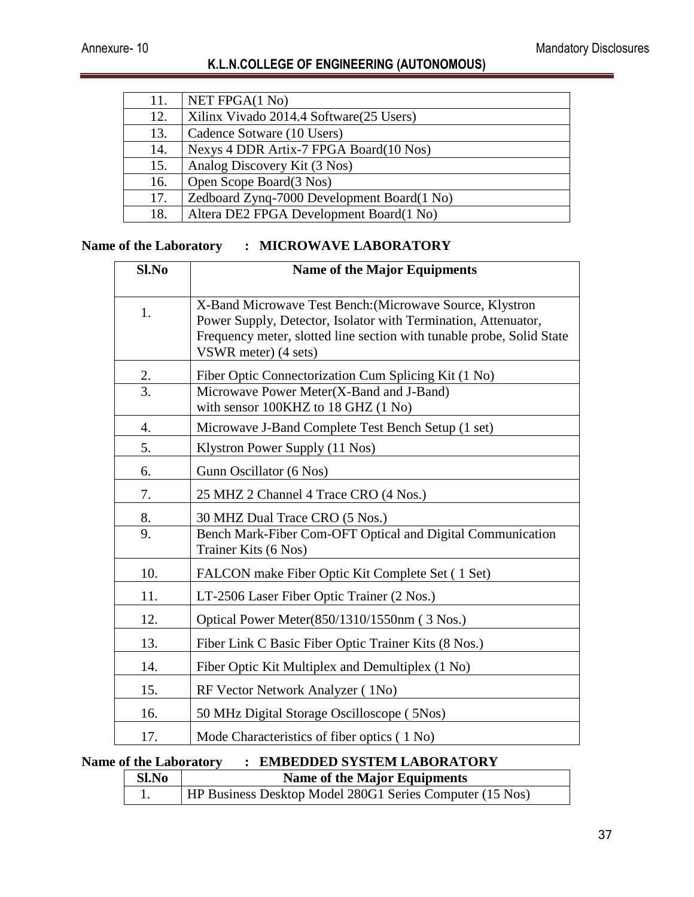| 11. | NET FPGA(1 No)                             |
|-----|--------------------------------------------|
| 12. | Xilinx Vivado 2014.4 Software (25 Users)   |
| 13. | Cadence Sotware (10 Users)                 |
| 14. | Nexys 4 DDR Artix-7 FPGA Board(10 Nos)     |
| 15. | Analog Discovery Kit (3 Nos)               |
| 16. | Open Scope Board(3 Nos)                    |
| 17. | Zedboard Zynq-7000 Development Board(1 No) |
| 18. | Altera DE2 FPGA Development Board(1 No)    |

#### **Name of the Laboratory : MICROWAVE LABORATORY**

| Sl.No | <b>Name of the Major Equipments</b>                                                                                                     |
|-------|-----------------------------------------------------------------------------------------------------------------------------------------|
| 1.    | X-Band Microwave Test Bench: (Microwave Source, Klystron                                                                                |
|       | Power Supply, Detector, Isolator with Termination, Attenuator,<br>Frequency meter, slotted line section with tunable probe, Solid State |
|       | VSWR meter) (4 sets)                                                                                                                    |
| 2.    | Fiber Optic Connectorization Cum Splicing Kit (1 No)                                                                                    |
| 3.    | Microwave Power Meter(X-Band and J-Band)                                                                                                |
|       | with sensor 100KHZ to 18 GHZ (1 No)                                                                                                     |
| 4.    | Microwave J-Band Complete Test Bench Setup (1 set)                                                                                      |
| 5.    | Klystron Power Supply (11 Nos)                                                                                                          |
| 6.    | Gunn Oscillator (6 Nos)                                                                                                                 |
| 7.    | 25 MHZ 2 Channel 4 Trace CRO (4 Nos.)                                                                                                   |
| 8.    | 30 MHZ Dual Trace CRO (5 Nos.)                                                                                                          |
| 9.    | Bench Mark-Fiber Com-OFT Optical and Digital Communication                                                                              |
|       | Trainer Kits (6 Nos)                                                                                                                    |
| 10.   | FALCON make Fiber Optic Kit Complete Set (1 Set)                                                                                        |
| 11.   | LT-2506 Laser Fiber Optic Trainer (2 Nos.)                                                                                              |
| 12.   | Optical Power Meter(850/1310/1550nm (3 Nos.)                                                                                            |
| 13.   | Fiber Link C Basic Fiber Optic Trainer Kits (8 Nos.)                                                                                    |
| 14.   | Fiber Optic Kit Multiplex and Demultiplex (1 No)                                                                                        |
| 15.   | RF Vector Network Analyzer (1No)                                                                                                        |
| 16.   | 50 MHz Digital Storage Oscilloscope (5Nos)                                                                                              |
| 17.   | Mode Characteristics of fiber optics (1 No)                                                                                             |

#### **Name of the Laboratory : EMBEDDED SYSTEM LABORATORY**

| Sl.No | <b>Name of the Major Equipments</b>                             |
|-------|-----------------------------------------------------------------|
|       | <b>HP Business Desktop Model 280G1 Series Computer (15 Nos)</b> |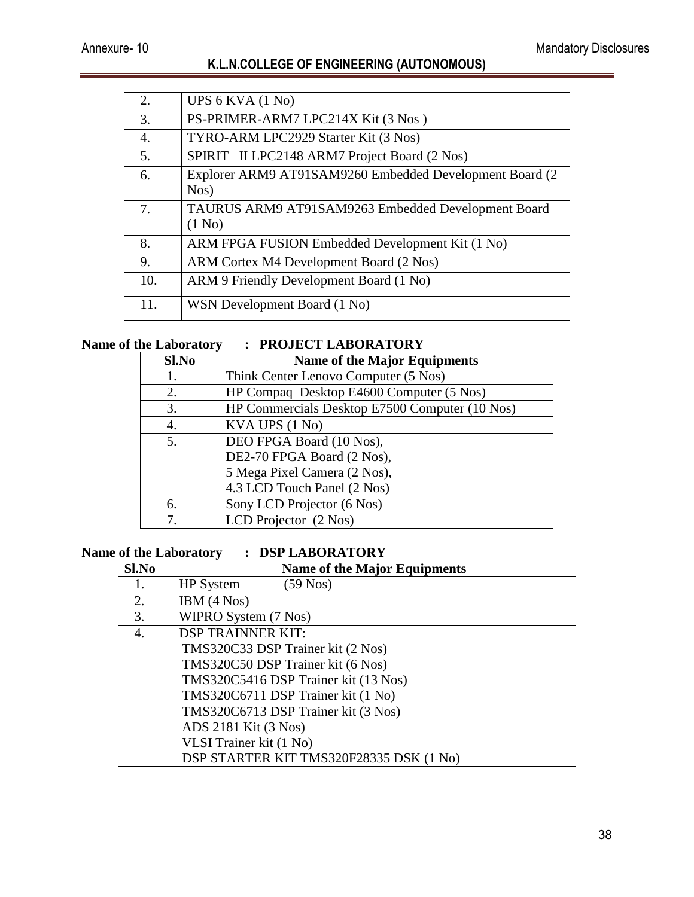| 2.                                    | UPS $6$ KVA $(1$ No)                                     |
|---------------------------------------|----------------------------------------------------------|
| 3.                                    | PS-PRIMER-ARM7 LPC214X Kit (3 Nos)                       |
| 4.                                    | TYRO-ARM LPC2929 Starter Kit (3 Nos)                     |
| 5.                                    | SPIRIT-II LPC2148 ARM7 Project Board (2 Nos)             |
| 6.                                    | Explorer ARM9 AT91SAM9260 Embedded Development Board (2) |
|                                       | Nos)                                                     |
| $7_{\scriptscriptstyle{\ddot{\sim}}}$ | TAURUS ARM9 AT91SAM9263 Embedded Development Board       |
|                                       | (1 N <sub>0</sub> )                                      |
| 8.                                    | ARM FPGA FUSION Embedded Development Kit (1 No)          |
| 9.                                    | ARM Cortex M4 Development Board (2 Nos)                  |
| 10.                                   | ARM 9 Friendly Development Board (1 No)                  |
| 11.                                   | WSN Development Board (1 No)                             |
|                                       |                                                          |

#### **Name of the Laboratory : PROJECT LABORATORY**

| $\cdots$ |                                                |
|----------|------------------------------------------------|
| Sl.No    | <b>Name of the Major Equipments</b>            |
| Ī.       | Think Center Lenovo Computer (5 Nos)           |
| 2.       | HP Compaq Desktop E4600 Computer (5 Nos)       |
| 3.       | HP Commercials Desktop E7500 Computer (10 Nos) |
| 4.       | KVA UPS (1 No)                                 |
| 5.       | DEO FPGA Board (10 Nos),                       |
|          | DE2-70 FPGA Board (2 Nos),                     |
|          | 5 Mega Pixel Camera (2 Nos),                   |
|          | 4.3 LCD Touch Panel (2 Nos)                    |
| 6.       | Sony LCD Projector (6 Nos)                     |
|          | LCD Projector (2 Nos)                          |

#### **Name of the Laboratory : DSP LABORATORY**

| Sl.No | <b>Name of the Major Equipments</b>     |
|-------|-----------------------------------------|
| 1.    | $(59$ Nos)<br><b>HP</b> System          |
| 2.    | IBM $(4$ Nos $)$                        |
| 3.    | WIPRO System (7 Nos)                    |
| 4.    | <b>DSP TRAINNER KIT:</b>                |
|       | TMS320C33 DSP Trainer kit (2 Nos)       |
|       | TMS320C50 DSP Trainer kit (6 Nos)       |
|       | TMS320C5416 DSP Trainer kit (13 Nos)    |
|       | TMS320C6711 DSP Trainer kit (1 No)      |
|       | TMS320C6713 DSP Trainer kit (3 Nos)     |
|       | ADS 2181 Kit (3 Nos)                    |
|       | VLSI Trainer kit (1 No)                 |
|       | DSP STARTER KIT TMS320F28335 DSK (1 No) |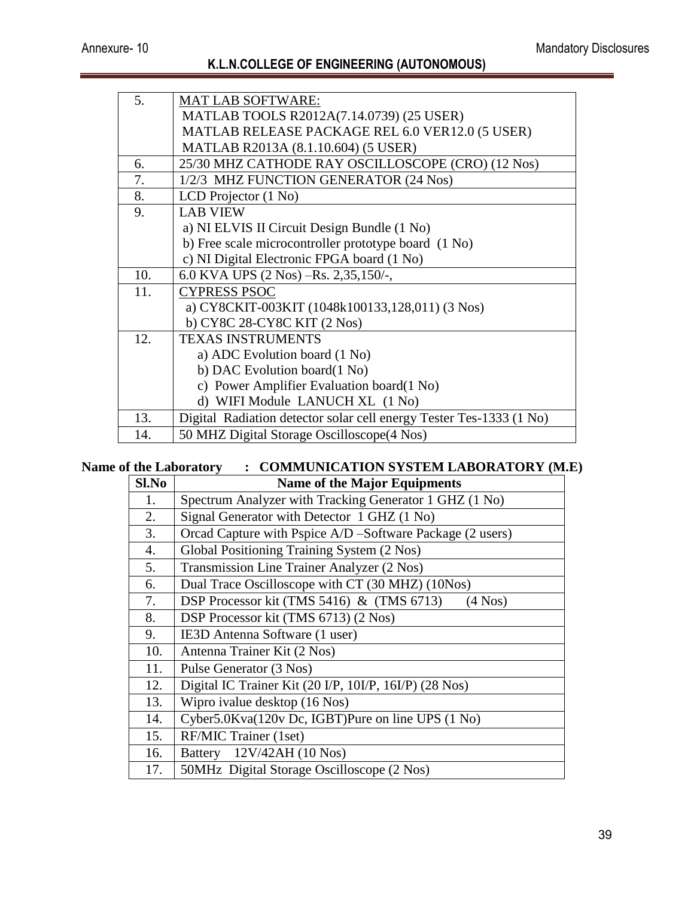| 5.  | <b>MAT LAB SOFTWARE:</b>                                            |
|-----|---------------------------------------------------------------------|
|     | MATLAB TOOLS R2012A(7.14.0739) (25 USER)                            |
|     | MATLAB RELEASE PACKAGE REL 6.0 VER12.0 (5 USER)                     |
|     | MATLAB R2013A (8.1.10.604) (5 USER)                                 |
| б.  | 25/30 MHZ CATHODE RAY OSCILLOSCOPE (CRO) (12 Nos)                   |
| 7.  | 1/2/3 MHZ FUNCTION GENERATOR (24 Nos)                               |
| 8.  | LCD Projector $(1 No)$                                              |
| 9.  | <b>LAB VIEW</b>                                                     |
|     | a) NI ELVIS II Circuit Design Bundle (1 No)                         |
|     | b) Free scale microcontroller prototype board (1 No)                |
|     | c) NI Digital Electronic FPGA board (1 No)                          |
| 10. | 6.0 KVA UPS (2 Nos) -Rs. 2,35,150/-,                                |
| 11. | <b>CYPRESS PSOC</b>                                                 |
|     | a) CY8CKIT-003KIT (1048k100133,128,011) (3 Nos)                     |
|     | b) CY8C 28-CY8C KIT (2 Nos)                                         |
| 12. | <b>TEXAS INSTRUMENTS</b>                                            |
|     | a) ADC Evolution board (1 No)                                       |
|     | b) DAC Evolution board(1 No)                                        |
|     | c) Power Amplifier Evaluation board(1 No)                           |
|     | d) WIFI Module LANUCH XL (1 No)                                     |
| 13. | Digital Radiation detector solar cell energy Tester Tes-1333 (1 No) |
| 14. | 50 MHZ Digital Storage Oscilloscope(4 Nos)                          |

## **Name of the Laboratory : COMMUNICATION SYSTEM LABORATORY (M.E)**

| Sl.No | <b>Name of the Major Equipments</b>                       |  |
|-------|-----------------------------------------------------------|--|
| 1.    | Spectrum Analyzer with Tracking Generator 1 GHZ (1 No)    |  |
| 2.    | Signal Generator with Detector 1 GHZ (1 No)               |  |
| 3.    | Orcad Capture with Pspice A/D -Software Package (2 users) |  |
| 4.    | Global Positioning Training System (2 Nos)                |  |
| 5.    | Transmission Line Trainer Analyzer (2 Nos)                |  |
| 6.    | Dual Trace Oscilloscope with CT (30 MHZ) (10Nos)          |  |
| 7.    | DSP Processor kit (TMS 5416) & (TMS 6713)<br>$(4$ Nos)    |  |
| 8.    | DSP Processor kit (TMS 6713) (2 Nos)                      |  |
| 9.    | IE3D Antenna Software (1 user)                            |  |
| 10.   | Antenna Trainer Kit (2 Nos)                               |  |
| 11.   | Pulse Generator (3 Nos)                                   |  |
| 12.   | Digital IC Trainer Kit (20 I/P, 10I/P, 16I/P) (28 Nos)    |  |
| 13.   | Wipro ivalue desktop (16 Nos)                             |  |
| 14.   | Cyber5.0Kva(120v Dc, IGBT)Pure on line UPS (1 No)         |  |
| 15.   | RF/MIC Trainer (1set)                                     |  |
| 16.   | Battery 12V/42AH (10 Nos)                                 |  |
| 17.   | 50MHz Digital Storage Oscilloscope (2 Nos)                |  |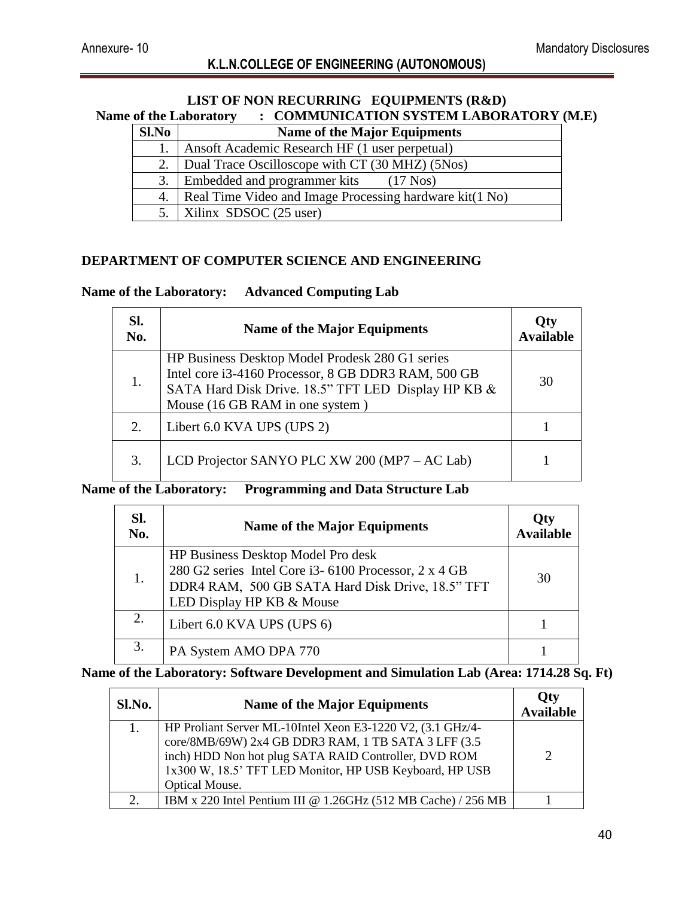#### **LIST OF NON RECURRING EQUIPMENTS (R&D) Name of the Laboratory : COMMUNICATION SYSTEM LABORATORY (M.E) Sl.No Name of the Major Equipments** 1. Ansoft Academic Research HF (1 user perpetual) 2. Dual Trace Oscilloscope with CT (30 MHZ) (5Nos)

| 2. Dual Trace Oscilloscope with $CT(30 MHz)$ (5Nos)          |
|--------------------------------------------------------------|
| 3. Embedded and programmer kits (17 Nos)                     |
| 4.   Real Time Video and Image Processing hardware kit(1 No) |
| 5.   Xilinx SDSOC $(25$ user)                                |

#### **DEPARTMENT OF COMPUTER SCIENCE AND ENGINEERING**

#### **Name of the Laboratory: Advanced Computing Lab**

| SI.<br>No. | <b>Name of the Major Equipments</b>                                                                                                                                                              | Oty<br><b>Available</b> |
|------------|--------------------------------------------------------------------------------------------------------------------------------------------------------------------------------------------------|-------------------------|
| 1.         | HP Business Desktop Model Prodesk 280 G1 series<br>Intel core i3-4160 Processor, 8 GB DDR3 RAM, 500 GB<br>SATA Hard Disk Drive. 18.5" TFT LED Display HP KB &<br>Mouse (16 GB RAM in one system) | 30                      |
| 2.         | Libert 6.0 KVA UPS (UPS 2)                                                                                                                                                                       |                         |
| 3.         | LCD Projector SANYO PLC XW 200 (MP7 – AC Lab)                                                                                                                                                    |                         |

#### **Name of the Laboratory: Programming and Data Structure Lab**

| SI.<br>No. | <b>Name of the Major Equipments</b>                                                                                                                                         | Qty<br><b>Available</b> |
|------------|-----------------------------------------------------------------------------------------------------------------------------------------------------------------------------|-------------------------|
| 1.         | HP Business Desktop Model Pro desk<br>280 G2 series Intel Core i3-6100 Processor, 2 x 4 GB<br>DDR4 RAM, 500 GB SATA Hard Disk Drive, 18.5" TFT<br>LED Display HP KB & Mouse | 30                      |
| 2.         | Libert 6.0 KVA UPS (UPS 6)                                                                                                                                                  |                         |
| 3.         | PA System AMO DPA 770                                                                                                                                                       |                         |

## **Name of the Laboratory: Software Development and Simulation Lab (Area: 1714.28 Sq. Ft)**

| Sl.No. | <b>Name of the Major Equipments</b>                                                                                                                                                                                                                           | <b>Qty</b><br><b>Available</b> |
|--------|---------------------------------------------------------------------------------------------------------------------------------------------------------------------------------------------------------------------------------------------------------------|--------------------------------|
|        | HP Proliant Server ML-10Intel Xeon E3-1220 V2, (3.1 GHz/4-<br>core/8MB/69W) 2x4 GB DDR3 RAM, 1 TB SATA 3 LFF (3.5<br>inch) HDD Non hot plug SATA RAID Controller, DVD ROM<br>1x300 W, 18.5' TFT LED Monitor, HP USB Keyboard, HP USB<br><b>Optical Mouse.</b> | $\gamma$                       |
|        | IBM x 220 Intel Pentium III @ 1.26GHz (512 MB Cache) / 256 MB                                                                                                                                                                                                 |                                |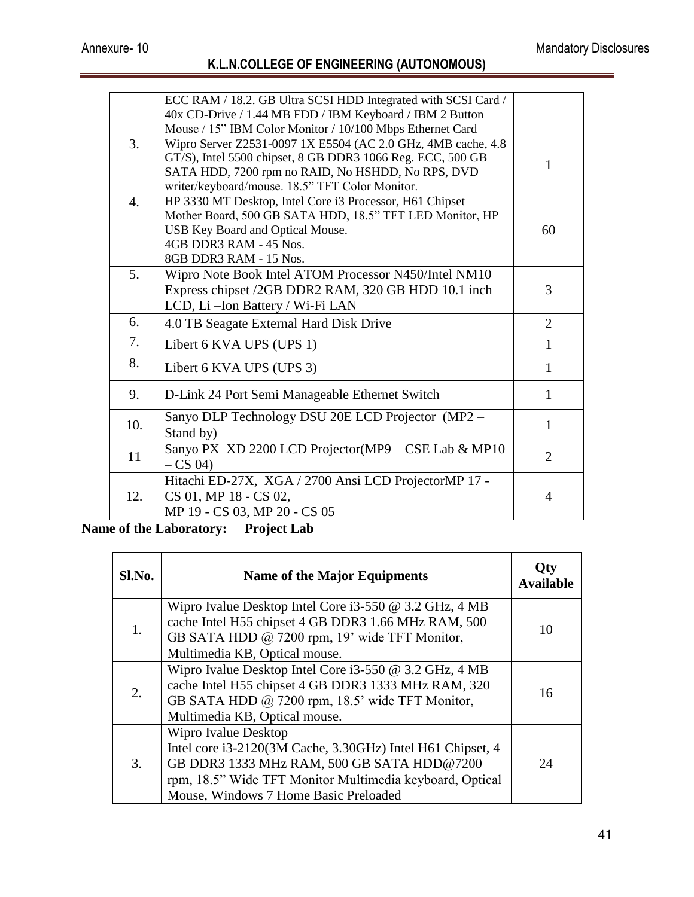|     | ECC RAM / 18.2. GB Ultra SCSI HDD Integrated with SCSI Card / |                |
|-----|---------------------------------------------------------------|----------------|
|     | 40x CD-Drive / 1.44 MB FDD / IBM Keyboard / IBM 2 Button      |                |
|     | Mouse / 15" IBM Color Monitor / 10/100 Mbps Ethernet Card     |                |
| 3.  | Wipro Server Z2531-0097 1X E5504 (AC 2.0 GHz, 4MB cache, 4.8) |                |
|     | GT/S), Intel 5500 chipset, 8 GB DDR3 1066 Reg. ECC, 500 GB    | 1              |
|     | SATA HDD, 7200 rpm no RAID, No HSHDD, No RPS, DVD             |                |
|     | writer/keyboard/mouse. 18.5" TFT Color Monitor.               |                |
| 4.  | HP 3330 MT Desktop, Intel Core i3 Processor, H61 Chipset      |                |
|     | Mother Board, 500 GB SATA HDD, 18.5" TFT LED Monitor, HP      |                |
|     | USB Key Board and Optical Mouse.<br>4GB DDR3 RAM - 45 Nos.    | 60             |
|     | 8GB DDR3 RAM - 15 Nos.                                        |                |
| 5.  |                                                               |                |
|     | Wipro Note Book Intel ATOM Processor N450/Intel NM10          | $\overline{3}$ |
|     | Express chipset /2GB DDR2 RAM, 320 GB HDD 10.1 inch           |                |
|     | LCD, Li-Ion Battery / Wi-Fi LAN                               |                |
| 6.  | 4.0 TB Seagate External Hard Disk Drive                       | $\overline{2}$ |
| 7.  | Libert 6 KVA UPS (UPS 1)                                      | $\mathbf{1}$   |
| 8.  | Libert 6 KVA UPS (UPS 3)                                      | 1              |
| 9.  | D-Link 24 Port Semi Manageable Ethernet Switch                | 1              |
|     | Sanyo DLP Technology DSU 20E LCD Projector (MP2 -             |                |
| 10. | Stand by)                                                     | 1              |
|     | Sanyo PX XD 2200 LCD Projector(MP9 – CSE Lab & MP10           |                |
| 11  | $-CS$ 04)                                                     | $\overline{2}$ |
|     | Hitachi ED-27X, XGA / 2700 Ansi LCD ProjectorMP 17 -          |                |
| 12. | CS 01, MP 18 - CS 02,                                         | $\overline{4}$ |
|     | MP 19 - CS 03, MP 20 - CS 05                                  |                |

**Name of the Laboratory: Project Lab**

| Sl.No. | <b>Name of the Major Equipments</b>                                                                                                                                                                                                   | Otv<br><b>Available</b> |
|--------|---------------------------------------------------------------------------------------------------------------------------------------------------------------------------------------------------------------------------------------|-------------------------|
| 1.     | Wipro Ivalue Desktop Intel Core i3-550 @ 3.2 GHz, 4 MB<br>cache Intel H55 chipset 4 GB DDR3 1.66 MHz RAM, 500<br>GB SATA HDD @ 7200 rpm, 19' wide TFT Monitor,<br>Multimedia KB, Optical mouse.                                       | 10                      |
| 2.     | Wipro Ivalue Desktop Intel Core i3-550 $@$ 3.2 GHz, 4 MB<br>cache Intel H55 chipset 4 GB DDR3 1333 MHz RAM, 320<br>GB SATA HDD @ 7200 rpm, 18.5' wide TFT Monitor,<br>Multimedia KB, Optical mouse.                                   | 16                      |
| 3.     | Wipro Ivalue Desktop<br>Intel core i3-2120(3M Cache, 3.30GHz) Intel H61 Chipset, 4<br>GB DDR3 1333 MHz RAM, 500 GB SATA HDD@7200<br>rpm, 18.5" Wide TFT Monitor Multimedia keyboard, Optical<br>Mouse, Windows 7 Home Basic Preloaded | 24                      |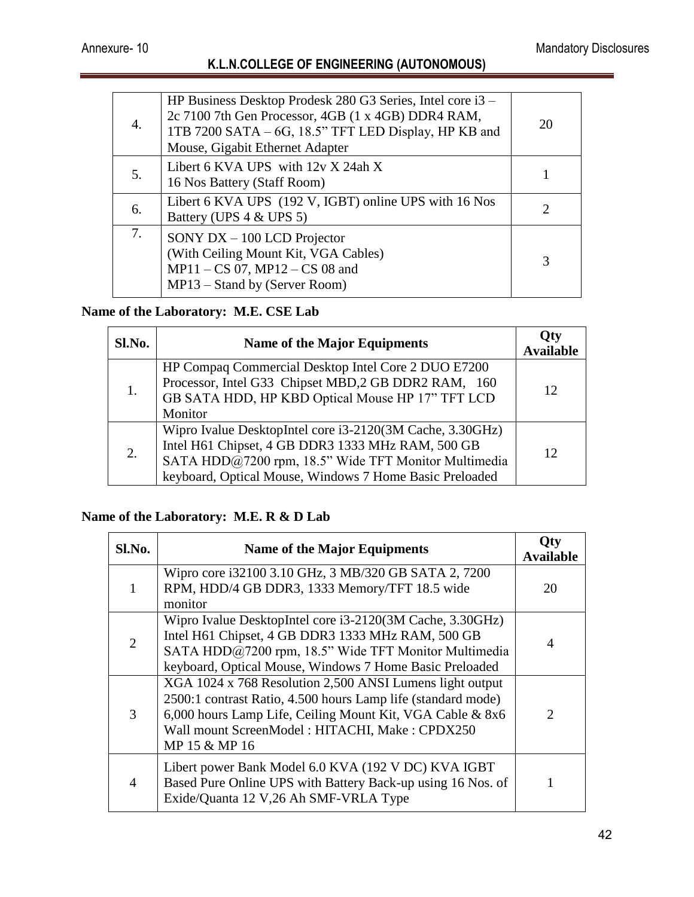| 4. | HP Business Desktop Prodesk 280 G3 Series, Intel core i3 –<br>2c 7100 7th Gen Processor, 4GB (1 x 4GB) DDR4 RAM,<br>1TB 7200 SATA – 6G, 18.5" TFT LED Display, HP KB and<br>Mouse, Gigabit Ethernet Adapter | 20 |
|----|-------------------------------------------------------------------------------------------------------------------------------------------------------------------------------------------------------------|----|
| 5. | Libert 6 KVA UPS with $12vX 24ahX$<br>16 Nos Battery (Staff Room)                                                                                                                                           |    |
| 6. | Libert 6 KVA UPS (192 V, IGBT) online UPS with 16 Nos<br>Battery (UPS 4 & UPS 5)                                                                                                                            |    |
| 7. | SONY $DX - 100$ LCD Projector<br>(With Ceiling Mount Kit, VGA Cables)<br>$MP11 - CS 07$ , $MP12 - CS 08$ and<br>MP13 – Stand by (Server Room)                                                               |    |

## **Name of the Laboratory: M.E. CSE Lab**

| Sl.No. | <b>Name of the Major Equipments</b>                                                                                                                                                                                               | <b>Available</b> |
|--------|-----------------------------------------------------------------------------------------------------------------------------------------------------------------------------------------------------------------------------------|------------------|
| 1.     | HP Compaq Commercial Desktop Intel Core 2 DUO E7200<br>Processor, Intel G33 Chipset MBD,2 GB DDR2 RAM, 160<br>GB SATA HDD, HP KBD Optical Mouse HP 17" TFT LCD<br>Monitor                                                         | 12               |
| 2.     | Wipro Ivalue DesktopIntel core i3-2120(3M Cache, 3.30GHz)<br>Intel H61 Chipset, 4 GB DDR3 1333 MHz RAM, 500 GB<br>SATA HDD@7200 rpm, 18.5" Wide TFT Monitor Multimedia<br>keyboard, Optical Mouse, Windows 7 Home Basic Preloaded | 12               |

## **Name of the Laboratory: M.E. R & D Lab**

| Sl.No.         | <b>Name of the Major Equipments</b>                                                                                                                                                                                                                      | l )tv<br><b>Available</b> |
|----------------|----------------------------------------------------------------------------------------------------------------------------------------------------------------------------------------------------------------------------------------------------------|---------------------------|
| 1              | Wipro core i32100 3.10 GHz, 3 MB/320 GB SATA 2, 7200<br>RPM, HDD/4 GB DDR3, 1333 Memory/TFT 18.5 wide<br>monitor                                                                                                                                         | 20                        |
| $\overline{2}$ | Wipro Ivalue DesktopIntel core i3-2120(3M Cache, 3.30GHz)<br>Intel H61 Chipset, 4 GB DDR3 1333 MHz RAM, 500 GB<br>SATA HDD@7200 rpm, 18.5" Wide TFT Monitor Multimedia<br>keyboard, Optical Mouse, Windows 7 Home Basic Preloaded                        | 4                         |
| 3              | XGA 1024 x 768 Resolution 2,500 ANSI Lumens light output<br>2500:1 contrast Ratio, 4.500 hours Lamp life (standard mode)<br>6,000 hours Lamp Life, Ceiling Mount Kit, VGA Cable & 8x6<br>Wall mount ScreenModel: HITACHI, Make: CPDX250<br>MP 15 & MP 16 | $\mathcal{D}$             |
| $\overline{A}$ | Libert power Bank Model 6.0 KVA (192 V DC) KVA IGBT<br>Based Pure Online UPS with Battery Back-up using 16 Nos. of<br>Exide/Quanta 12 V,26 Ah SMF-VRLA Type                                                                                              |                           |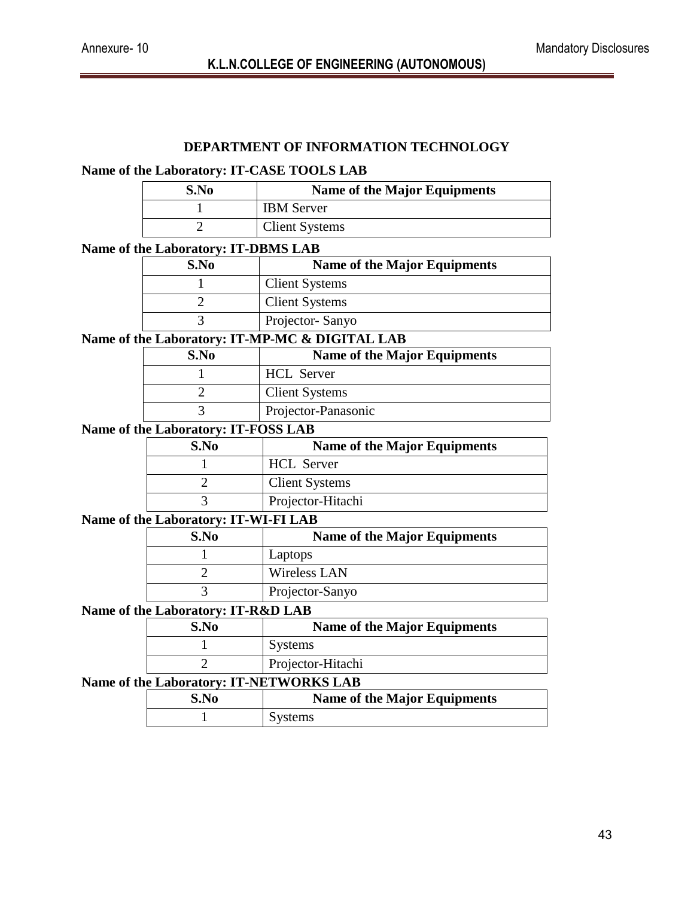#### **DEPARTMENT OF INFORMATION TECHNOLOGY**

#### **Name of the Laboratory: IT-CASE TOOLS LAB**

| S.No | <b>Name of the Major Equipments</b> |
|------|-------------------------------------|
|      | <b>IBM</b> Server                   |
|      | <b>Client Systems</b>               |

#### **Name of the Laboratory: IT-DBMS LAB**

| S.No | <b>Name of the Major Equipments</b> |
|------|-------------------------------------|
|      | <b>Client Systems</b>               |
|      | <b>Client Systems</b>               |
|      | Projector-Sanyo                     |
|      |                                     |

#### **Name of the Laboratory: IT-MP-MC & DIGITAL LAB**

| S.No | <b>Name of the Major Equipments</b> |
|------|-------------------------------------|
|      | <b>HCL</b> Server                   |
|      | <b>Client Systems</b>               |
|      | Projector-Panasonic                 |

#### **Name of the Laboratory: IT-FOSS LAB**

| S.No | <b>Name of the Major Equipments</b> |
|------|-------------------------------------|
|      | <b>HCL</b> Server                   |
|      | <b>Client Systems</b>               |
|      | Projector-Hitachi                   |

# **Name of the Laboratory: IT-WI-FI LAB**

| S.No | <b>Name of the Major Equipments</b> |
|------|-------------------------------------|
|      | Laptops                             |
|      | Wireless LAN                        |
|      | Projector-Sanyo                     |

#### **Name of the Laboratory: IT-R&D LAB**

| S.No | <b>Name of the Major Equipments</b> |
|------|-------------------------------------|
|      | <b>Systems</b>                      |
|      | Projector-Hitachi                   |

#### **Name of the Laboratory: IT-NETWORKS LAB**

| S.No | <b>Name of the Major Equipments</b> |
|------|-------------------------------------|
|      | Systems                             |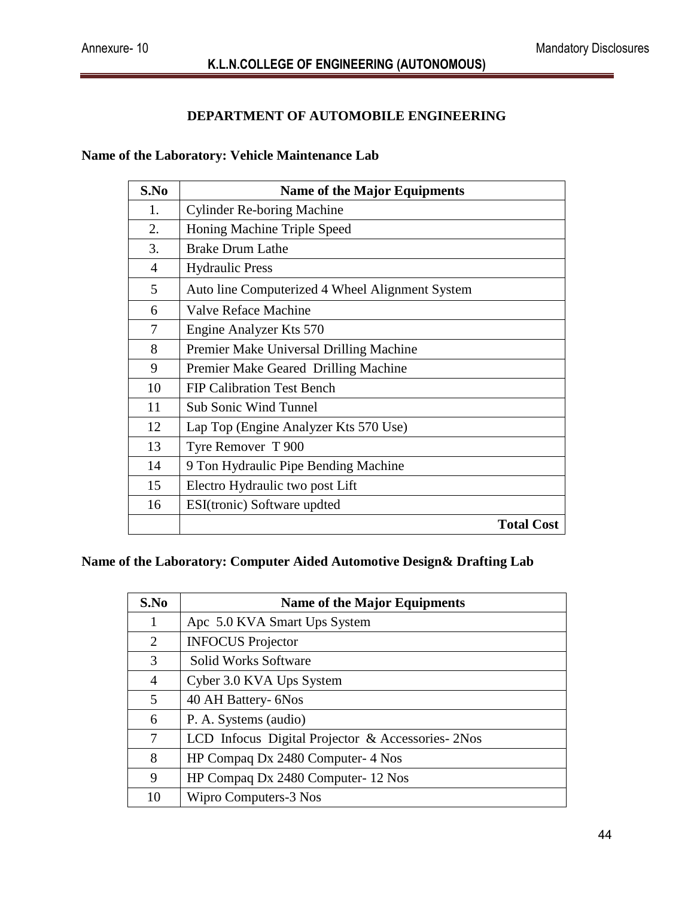#### **DEPARTMENT OF AUTOMOBILE ENGINEERING**

#### **Name of the Laboratory: Vehicle Maintenance Lab**

| S.No            | <b>Name of the Major Equipments</b>             |                   |
|-----------------|-------------------------------------------------|-------------------|
| 1.              | <b>Cylinder Re-boring Machine</b>               |                   |
| 2.              | Honing Machine Triple Speed                     |                   |
| 3.              | <b>Brake Drum Lathe</b>                         |                   |
| $\overline{4}$  | <b>Hydraulic Press</b>                          |                   |
| $5\overline{)}$ | Auto line Computerized 4 Wheel Alignment System |                   |
| 6               | <b>Valve Reface Machine</b>                     |                   |
| 7               | Engine Analyzer Kts 570                         |                   |
| 8               | Premier Make Universal Drilling Machine         |                   |
| 9               | Premier Make Geared Drilling Machine            |                   |
| 10              | <b>FIP Calibration Test Bench</b>               |                   |
| 11              | <b>Sub Sonic Wind Tunnel</b>                    |                   |
| 12              | Lap Top (Engine Analyzer Kts 570 Use)           |                   |
| 13              | Tyre Remover T 900                              |                   |
| 14              | 9 Ton Hydraulic Pipe Bending Machine            |                   |
| 15              | Electro Hydraulic two post Lift                 |                   |
| 16              | ESI(tronic) Software updted                     |                   |
|                 |                                                 | <b>Total Cost</b> |

#### **Name of the Laboratory: Computer Aided Automotive Design& Drafting Lab**

| S.No | <b>Name of the Major Equipments</b>                |
|------|----------------------------------------------------|
| 1    | Apc 5.0 KVA Smart Ups System                       |
| 2    | <b>INFOCUS</b> Projector                           |
| 3    | <b>Solid Works Software</b>                        |
| 4    | Cyber 3.0 KVA Ups System                           |
| 5    | 40 AH Battery- 6Nos                                |
| 6    | P. A. Systems (audio)                              |
| 7    | LCD Infocus Digital Projector & Accessories - 2Nos |
| 8    | HP Compaq Dx 2480 Computer-4 Nos                   |
| 9    | HP Compaq Dx 2480 Computer-12 Nos                  |
| 10   | Wipro Computers-3 Nos                              |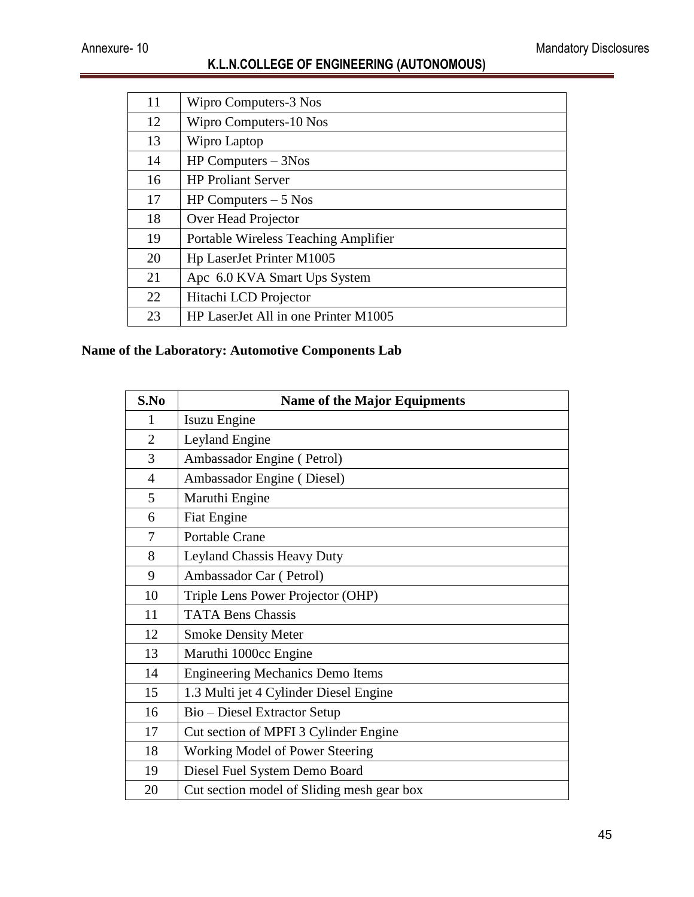| 11 | Wipro Computers-3 Nos                       |
|----|---------------------------------------------|
| 12 | Wipro Computers-10 Nos                      |
| 13 | Wipro Laptop                                |
| 14 | $HP$ Computers $-$ 3Nos                     |
| 16 | <b>HP Proliant Server</b>                   |
| 17 | HP Computers $-5$ Nos                       |
| 18 | Over Head Projector                         |
| 19 | <b>Portable Wireless Teaching Amplifier</b> |
| 20 | Hp LaserJet Printer M1005                   |
| 21 | Apc 6.0 KVA Smart Ups System                |
| 22 | Hitachi LCD Projector                       |
| 23 | HP LaserJet All in one Printer M1005        |

# **Name of the Laboratory: Automotive Components Lab**

| S.No           | <b>Name of the Major Equipments</b>        |
|----------------|--------------------------------------------|
| 1              | Isuzu Engine                               |
| $\overline{2}$ | Leyland Engine                             |
| 3              | Ambassador Engine (Petrol)                 |
| $\overline{4}$ | Ambassador Engine (Diesel)                 |
| 5              | Maruthi Engine                             |
| 6              | <b>Fiat Engine</b>                         |
| 7              | Portable Crane                             |
| 8              | Leyland Chassis Heavy Duty                 |
| 9              | Ambassador Car (Petrol)                    |
| 10             | Triple Lens Power Projector (OHP)          |
| 11             | <b>TATA Bens Chassis</b>                   |
| 12             | <b>Smoke Density Meter</b>                 |
| 13             | Maruthi 1000cc Engine                      |
| 14             | <b>Engineering Mechanics Demo Items</b>    |
| 15             | 1.3 Multi jet 4 Cylinder Diesel Engine     |
| 16             | Bio - Diesel Extractor Setup               |
| 17             | Cut section of MPFI 3 Cylinder Engine      |
| 18             | Working Model of Power Steering            |
| 19             | Diesel Fuel System Demo Board              |
| 20             | Cut section model of Sliding mesh gear box |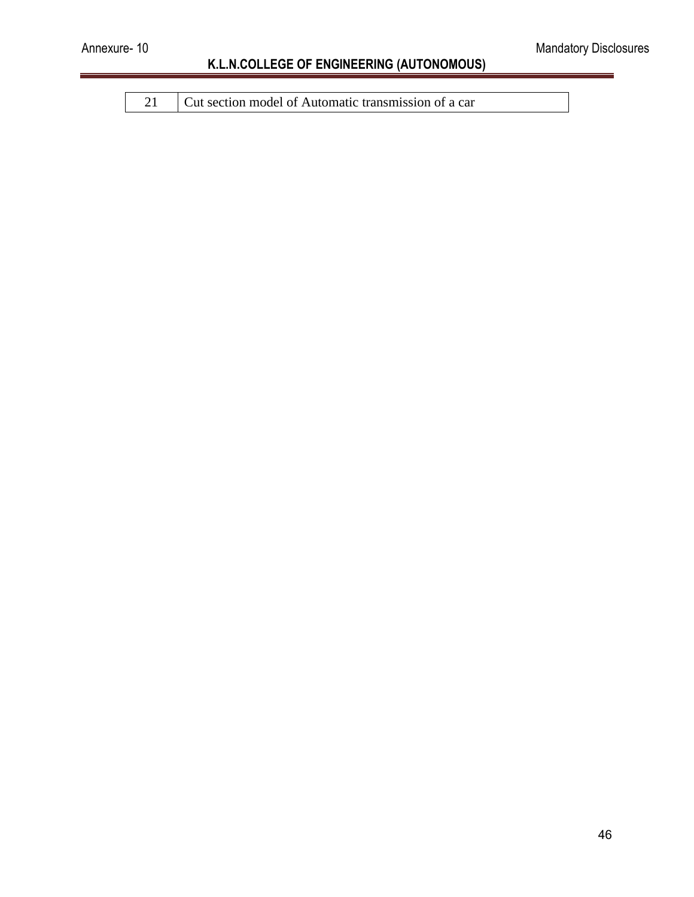21 Cut section model of Automatic transmission of a car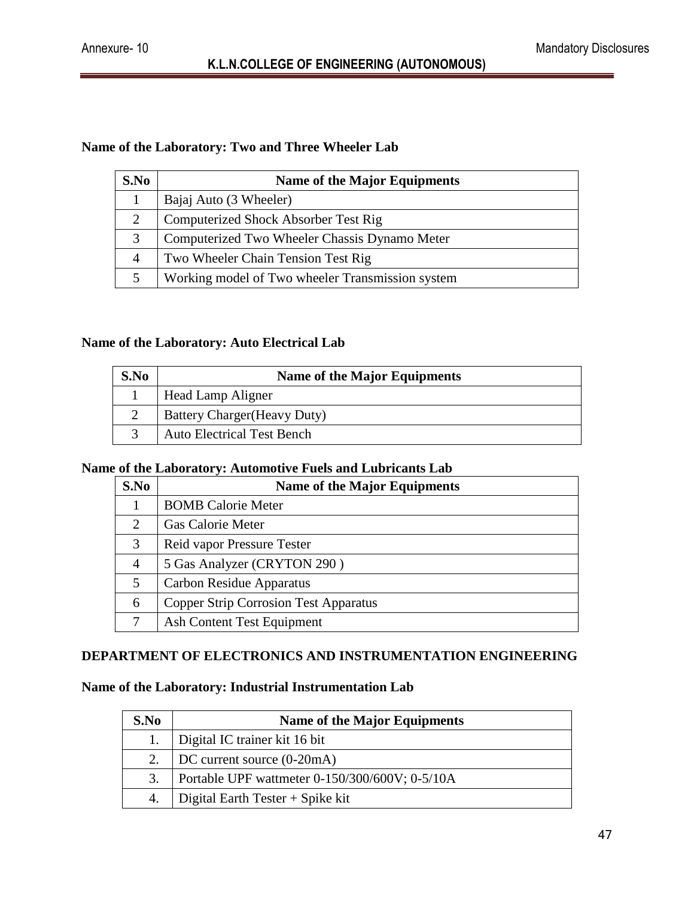#### **Name of the Laboratory: Two and Three Wheeler Lab**

| S.No | <b>Name of the Major Equipments</b>              |
|------|--------------------------------------------------|
|      | Bajaj Auto (3 Wheeler)                           |
| 2    | Computerized Shock Absorber Test Rig             |
| 3    | Computerized Two Wheeler Chassis Dynamo Meter    |
| 4    | Two Wheeler Chain Tension Test Rig               |
|      | Working model of Two wheeler Transmission system |

#### **Name of the Laboratory: Auto Electrical Lab**

| S.No | <b>Name of the Major Equipments</b> |
|------|-------------------------------------|
|      | Head Lamp Aligner                   |
|      | <b>Battery Charger (Heavy Duty)</b> |
|      | <b>Auto Electrical Test Bench</b>   |

#### **Name of the Laboratory: Automotive Fuels and Lubricants Lab**

| S.No           | <b>Name of the Major Equipments</b>          |
|----------------|----------------------------------------------|
|                | <b>BOMB</b> Calorie Meter                    |
|                | Gas Calorie Meter                            |
| 3              | Reid vapor Pressure Tester                   |
| $\overline{4}$ | 5 Gas Analyzer (CRYTON 290)                  |
| 5              | Carbon Residue Apparatus                     |
| 6              | <b>Copper Strip Corrosion Test Apparatus</b> |
|                | Ash Content Test Equipment                   |

#### **DEPARTMENT OF ELECTRONICS AND INSTRUMENTATION ENGINEERING**

#### **Name of the Laboratory: Industrial Instrumentation Lab**

| S.No | <b>Name of the Major Equipments</b>            |
|------|------------------------------------------------|
|      | Digital IC trainer kit 16 bit                  |
|      | DC current source (0-20mA)                     |
| 3.   | Portable UPF wattmeter 0-150/300/600V; 0-5/10A |
|      | Digital Earth Tester $+$ Spike kit             |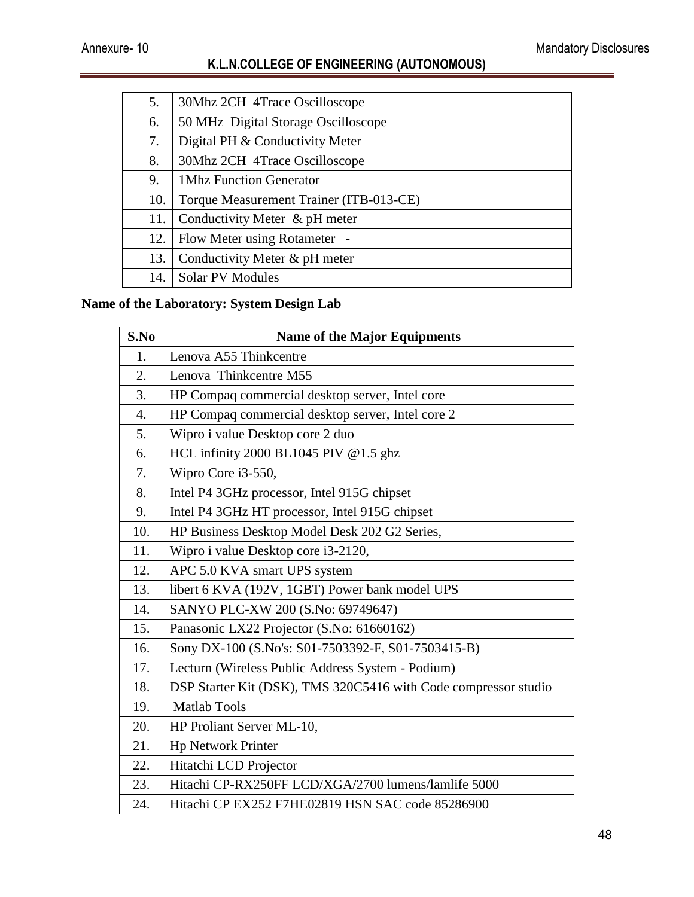| 5.  | 30Mhz 2CH 4Trace Oscilloscope           |
|-----|-----------------------------------------|
| 6.  | 50 MHz Digital Storage Oscilloscope     |
| 7.  | Digital PH & Conductivity Meter         |
| 8.  | 30Mhz 2CH 4Trace Oscilloscope           |
| 9.  | 1Mhz Function Generator                 |
| 10. | Torque Measurement Trainer (ITB-013-CE) |
| 11. | Conductivity Meter & pH meter           |
| 12. | Flow Meter using Rotameter -            |
| 13. | Conductivity Meter & pH meter           |
| 14. | <b>Solar PV Modules</b>                 |
|     |                                         |

## **Name of the Laboratory: System Design Lab**

| S.No             | <b>Name of the Major Equipments</b>                             |
|------------------|-----------------------------------------------------------------|
| 1.               | Lenova A55 Thinkcentre                                          |
| 2.               | Lenova Thinkcentre M55                                          |
| 3.               | HP Compaq commercial desktop server, Intel core                 |
| $\overline{4}$ . | HP Compaq commercial desktop server, Intel core 2               |
| 5.               | Wipro i value Desktop core 2 duo                                |
| 6.               | HCL infinity 2000 BL1045 PIV @1.5 ghz                           |
| 7.               | Wipro Core i3-550,                                              |
| 8.               | Intel P4 3GHz processor, Intel 915G chipset                     |
| 9.               | Intel P4 3GHz HT processor, Intel 915G chipset                  |
| 10.              | HP Business Desktop Model Desk 202 G2 Series,                   |
| 11.              | Wipro i value Desktop core i3-2120,                             |
| 12.              | APC 5.0 KVA smart UPS system                                    |
| 13.              | libert 6 KVA (192V, 1GBT) Power bank model UPS                  |
| 14.              | SANYO PLC-XW 200 (S.No: 69749647)                               |
| 15.              | Panasonic LX22 Projector (S.No: 61660162)                       |
| 16.              | Sony DX-100 (S.No's: S01-7503392-F, S01-7503415-B)              |
| 17.              | Lecturn (Wireless Public Address System - Podium)               |
| 18.              | DSP Starter Kit (DSK), TMS 320C5416 with Code compressor studio |
| 19.              | <b>Matlab Tools</b>                                             |
| 20.              | HP Proliant Server ML-10,                                       |
| 21.              | <b>Hp Network Printer</b>                                       |
| 22.              | Hitatchi LCD Projector                                          |
| 23.              | Hitachi CP-RX250FF LCD/XGA/2700 lumens/lamlife 5000             |
| 24.              | Hitachi CP EX252 F7HE02819 HSN SAC code 85286900                |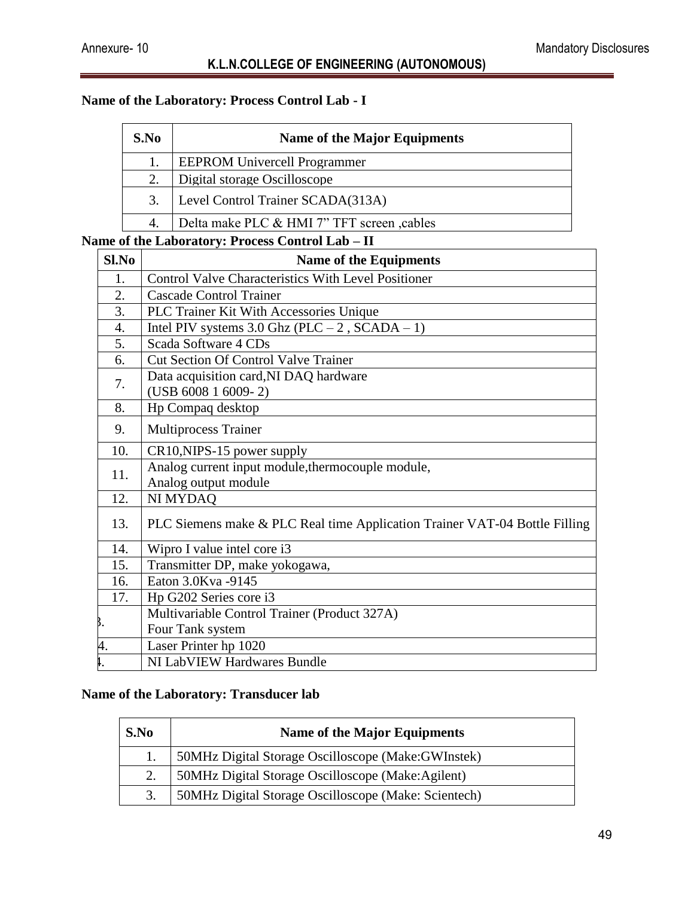### **Name of the Laboratory: Process Control Lab - I**

| S.No | <b>Name of the Major Equipments</b>       |
|------|-------------------------------------------|
|      | <b>EEPROM Univercell Programmer</b>       |
| 2.   | Digital storage Oscilloscope              |
| 3.   | Level Control Trainer SCADA(313A)         |
| 4.   | Delta make PLC & HMI 7" TFT screen cables |

#### **Name of the Laboratory: Process Control Lab – II**

| Sl.No            | <b>Name of the Equipments</b>                                              |
|------------------|----------------------------------------------------------------------------|
| 1.               | <b>Control Valve Characteristics With Level Positioner</b>                 |
| 2.               | <b>Cascade Control Trainer</b>                                             |
| 3.               | PLC Trainer Kit With Accessories Unique                                    |
| $\overline{4}$ . | Intel PIV systems $3.0$ Ghz (PLC $-2$ , SCADA $-1$ )                       |
| 5.               | Scada Software 4 CDs                                                       |
| 6.               | <b>Cut Section Of Control Valve Trainer</b>                                |
| 7.               | Data acquisition card, NI DAQ hardware                                     |
|                  | $(USB 6008 1 6009 - 2)$                                                    |
| 8.               | Hp Compaq desktop                                                          |
| 9.               | <b>Multiprocess Trainer</b>                                                |
| 10.              | CR10, NIPS-15 power supply                                                 |
| 11.              | Analog current input module, thermocouple module,                          |
|                  | Analog output module                                                       |
| 12.              | <b>NI MYDAQ</b>                                                            |
| 13.              | PLC Siemens make & PLC Real time Application Trainer VAT-04 Bottle Filling |
| 14.              | Wipro I value intel core i3                                                |
| 15.              | Transmitter DP, make yokogawa,                                             |
| 16.              | Eaton 3.0Kva -9145                                                         |
| 17.              | Hp G202 Series core i3                                                     |
|                  | Multivariable Control Trainer (Product 327A)                               |
|                  | Four Tank system                                                           |
|                  | Laser Printer hp 1020                                                      |
|                  | NI LabVIEW Hardwares Bundle                                                |

#### **Name of the Laboratory: Transducer lab**

| S.No | <b>Name of the Major Equipments</b>                  |
|------|------------------------------------------------------|
|      | 50MHz Digital Storage Oscilloscope (Make:GWInstek)   |
|      | 50MHz Digital Storage Oscilloscope (Make:Agilent)    |
| 3.   | 50MHz Digital Storage Oscilloscope (Make: Scientech) |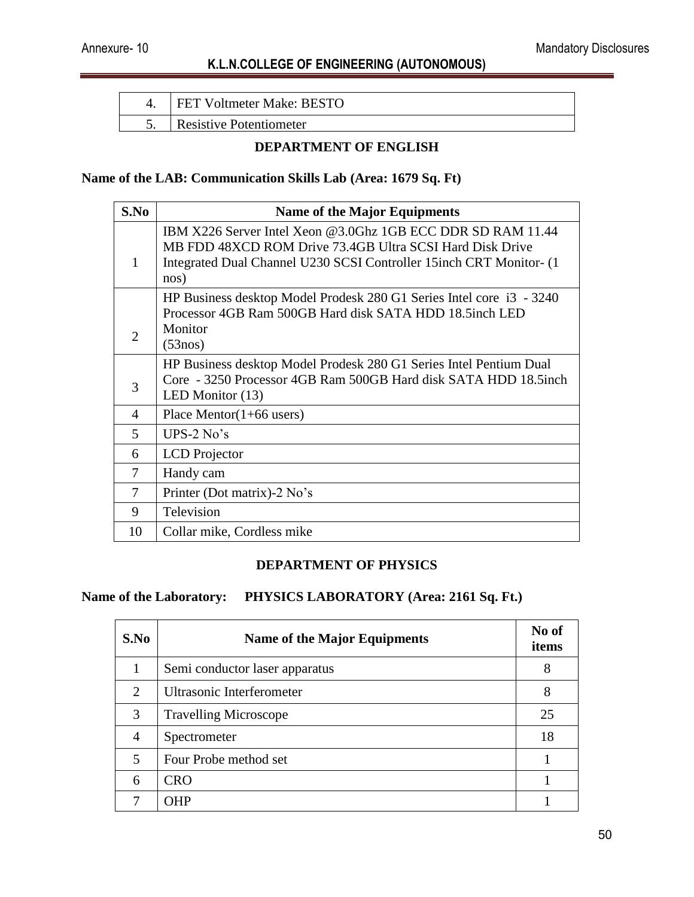| <b>FET Voltmeter Make: BESTO</b> |
|----------------------------------|
| <b>Resistive Potentiometer</b>   |

#### **DEPARTMENT OF ENGLISH**

#### **Name of the LAB: Communication Skills Lab (Area: 1679 Sq. Ft)**

| S.No           | <b>Name of the Major Equipments</b>                                  |
|----------------|----------------------------------------------------------------------|
|                | IBM X226 Server Intel Xeon @3.0Ghz 1GB ECC DDR SD RAM 11.44          |
|                | MB FDD 48XCD ROM Drive 73.4GB Ultra SCSI Hard Disk Drive             |
| 1              | Integrated Dual Channel U230 SCSI Controller 15inch CRT Monitor- (1) |
|                | nos)                                                                 |
|                | HP Business desktop Model Prodesk 280 G1 Series Intel core i3 - 3240 |
|                | Processor 4GB Ram 500GB Hard disk SATA HDD 18.5inch LED              |
| $\overline{2}$ | Monitor                                                              |
|                | (53nos)                                                              |
|                | HP Business desktop Model Prodesk 280 G1 Series Intel Pentium Dual   |
| 3              | Core - 3250 Processor 4GB Ram 500GB Hard disk SATA HDD 18.5inch      |
|                | LED Monitor $(13)$                                                   |
| 4              | Place Mentor $(1+66$ users)                                          |
| 5              | UPS-2 $No's$                                                         |
| 6              | <b>LCD</b> Projector                                                 |
| 7              | Handy cam                                                            |
| 7              | Printer (Dot matrix)-2 No's                                          |
| 9              | Television                                                           |
| 10             | Collar mike, Cordless mike                                           |

#### **DEPARTMENT OF PHYSICS**

#### **Name of the Laboratory: PHYSICS LABORATORY (Area: 2161 Sq. Ft.)**

| S.No                        | <b>Name of the Major Equipments</b> | No of<br>items |
|-----------------------------|-------------------------------------|----------------|
|                             | Semi conductor laser apparatus      | 8              |
| $\mathcal{D}_{\mathcal{L}}$ | Ultrasonic Interferometer           | 8              |
| 3                           | <b>Travelling Microscope</b>        | 25             |
| 4                           | Spectrometer                        | 18             |
| 5                           | Four Probe method set               |                |
| 6                           | <b>CRO</b>                          |                |
|                             | <b>OHP</b>                          |                |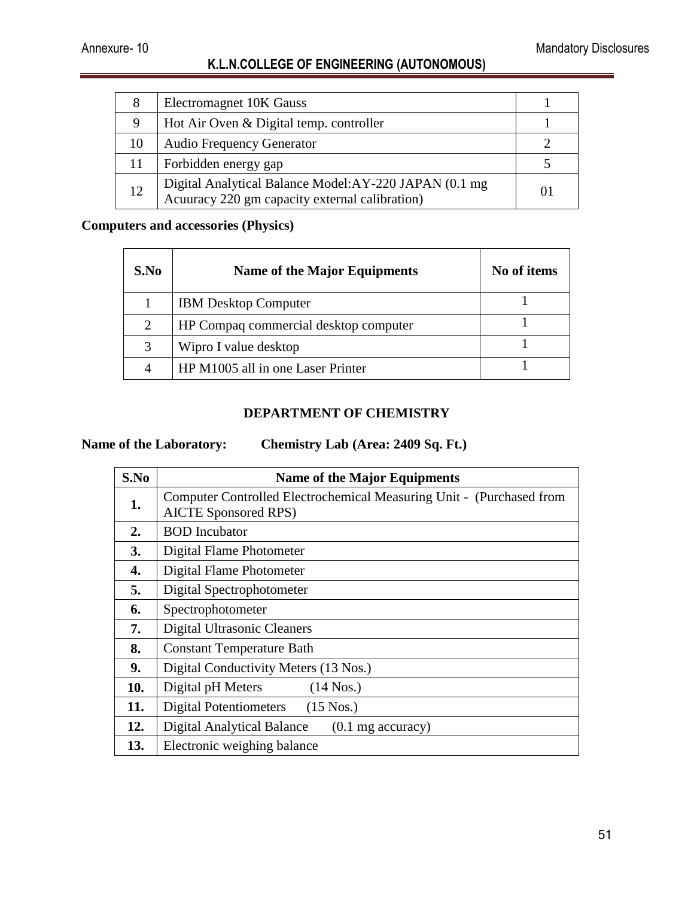| 8  | Electromagnet 10K Gauss                                                                                 |   |
|----|---------------------------------------------------------------------------------------------------------|---|
| 9  | Hot Air Oven & Digital temp. controller                                                                 |   |
| 10 | <b>Audio Frequency Generator</b>                                                                        |   |
| 11 | Forbidden energy gap                                                                                    |   |
| 12 | Digital Analytical Balance Model:AY-220 JAPAN (0.1 mg<br>Acuuracy 220 gm capacity external calibration) | O |

#### **Computers and accessories (Physics)**

| S.No | <b>Name of the Major Equipments</b>   | No of items |
|------|---------------------------------------|-------------|
|      | <b>IBM</b> Desktop Computer           |             |
| 2    | HP Compaq commercial desktop computer |             |
| 3    | Wipro I value desktop                 |             |
|      | HP M1005 all in one Laser Printer     |             |

#### **DEPARTMENT OF CHEMISTRY**

#### **Name of the Laboratory: Chemistry Lab (Area: 2409 Sq. Ft.)**

| S.No | <b>Name of the Major Equipments</b>                                                                 |
|------|-----------------------------------------------------------------------------------------------------|
| 1.   | Computer Controlled Electrochemical Measuring Unit - (Purchased from<br><b>AICTE Sponsored RPS)</b> |
| 2.   | <b>BOD</b> Incubator                                                                                |
| 3.   | Digital Flame Photometer                                                                            |
| 4.   | Digital Flame Photometer                                                                            |
| 5.   | Digital Spectrophotometer                                                                           |
| 6.   | Spectrophotometer                                                                                   |
| 7.   | Digital Ultrasonic Cleaners                                                                         |
| 8.   | <b>Constant Temperature Bath</b>                                                                    |
| 9.   | Digital Conductivity Meters (13 Nos.)                                                               |
| 10.  | Digital pH Meters<br>$(14$ Nos.)                                                                    |
| 11.  | <b>Digital Potentiometers</b><br>$(15$ Nos.)                                                        |
| 12.  | <b>Digital Analytical Balance</b><br>$(0.1 \text{ mg accuracy})$                                    |
| 13.  | Electronic weighing balance                                                                         |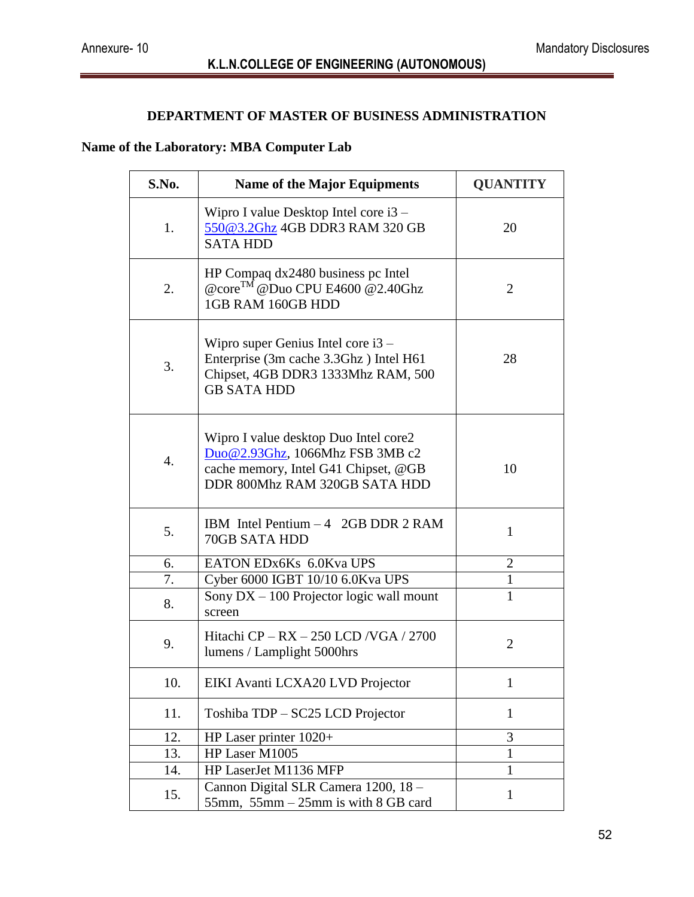#### **DEPARTMENT OF MASTER OF BUSINESS ADMINISTRATION**

#### **Name of the Laboratory: MBA Computer Lab**

| S.No. | <b>Name of the Major Equipments</b>                                                                                                               | <b>QUANTITY</b> |
|-------|---------------------------------------------------------------------------------------------------------------------------------------------------|-----------------|
| 1.    | Wipro I value Desktop Intel core i3 –<br>550@3.2Ghz 4GB DDR3 RAM 320 GB<br><b>SATA HDD</b>                                                        | 20              |
| 2.    | HP Compaq dx2480 business pc Intel<br>@core <sup>TM</sup> @Duo CPU E4600 @2.40Ghz<br>1GB RAM 160GB HDD                                            | $\overline{2}$  |
| 3.    | Wipro super Genius Intel core $i3 -$<br>Enterprise (3m cache 3.3Ghz) Intel H61<br>Chipset, 4GB DDR3 1333Mhz RAM, 500<br><b>GB SATA HDD</b>        | 28              |
| 4.    | Wipro I value desktop Duo Intel core2<br>Duo@2.93Ghz, 1066Mhz FSB 3MB c2<br>cache memory, Intel G41 Chipset, @GB<br>DDR 800Mhz RAM 320GB SATA HDD | 10              |
| 5.    | IBM Intel Pentium $-4$ 2GB DDR 2 RAM<br>70GB SATA HDD                                                                                             | 1               |
| 6.    | EATON EDx6Ks 6.0Kva UPS                                                                                                                           | $\overline{2}$  |
| 7.    | Cyber 6000 IGBT 10/10 6.0Kva UPS                                                                                                                  | $\mathbf{1}$    |
| 8.    | Sony DX - 100 Projector logic wall mount<br>screen                                                                                                | $\mathbf{1}$    |
| 9.    | Hitachi $CP - RX - 250$ LCD /VGA / 2700<br>lumens / Lamplight 5000hrs                                                                             | $\overline{2}$  |
| 10.   | EIKI Avanti LCXA20 LVD Projector                                                                                                                  | $\mathbf{1}$    |
| 11.   | Toshiba TDP - SC25 LCD Projector                                                                                                                  | $\mathbf{1}$    |
| 12.   | HP Laser printer 1020+                                                                                                                            | 3               |
| 13.   | HP Laser M1005                                                                                                                                    | 1               |
| 14.   | HP LaserJet M1136 MFP                                                                                                                             | 1               |
| 15.   | Cannon Digital SLR Camera 1200, 18 -<br>55mm, $55$ mm $-25$ mm is with 8 GB card                                                                  | $\mathbf{1}$    |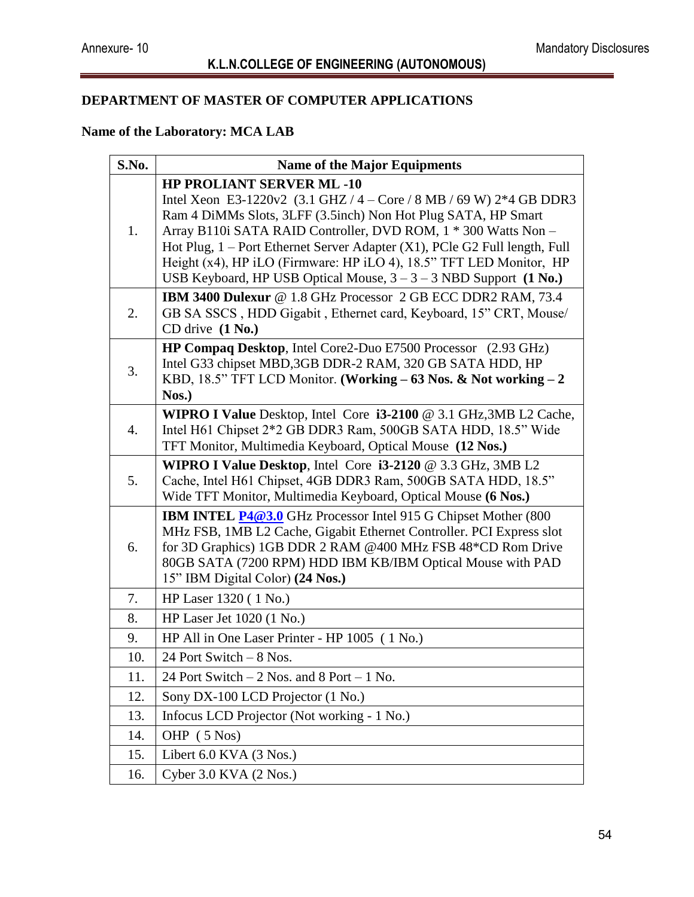## **DEPARTMENT OF MASTER OF COMPUTER APPLICATIONS**

#### **Name of the Laboratory: MCA LAB**

| S.No. | <b>Name of the Major Equipments</b>                                                                                                                                                                                                                                                                                                                                                                                                                                                                    |  |
|-------|--------------------------------------------------------------------------------------------------------------------------------------------------------------------------------------------------------------------------------------------------------------------------------------------------------------------------------------------------------------------------------------------------------------------------------------------------------------------------------------------------------|--|
| 1.    | <b>HP PROLIANT SERVER ML-10</b><br>Intel Xeon E3-1220v2 $(3.1 \text{ GHz} / 4 - \text{Core} / 8 \text{ MB} / 69 \text{ W})$ 2*4 GB DDR3<br>Ram 4 DiMMs Slots, 3LFF (3.5inch) Non Hot Plug SATA, HP Smart<br>Array B110i SATA RAID Controller, DVD ROM, 1 * 300 Watts Non -<br>Hot Plug, 1 – Port Ethernet Server Adapter (X1), PCle G2 Full length, Full<br>Height (x4), HP iLO (Firmware: HP iLO 4), 18.5" TFT LED Monitor, HP<br>USB Keyboard, HP USB Optical Mouse, $3 - 3 - 3$ NBD Support (1 No.) |  |
| 2.    | IBM 3400 Dulexur @ 1.8 GHz Processor 2 GB ECC DDR2 RAM, 73.4<br>GB SA SSCS, HDD Gigabit, Ethernet card, Keyboard, 15" CRT, Mouse/<br>CD drive $(1 No.)$                                                                                                                                                                                                                                                                                                                                                |  |
| 3.    | HP Compaq Desktop, Intel Core2-Duo E7500 Processor (2.93 GHz)<br>Intel G33 chipset MBD,3GB DDR-2 RAM, 320 GB SATA HDD, HP<br>KBD, 18.5" TFT LCD Monitor. (Working - 63 Nos. & Not working - 2<br>Nos.)                                                                                                                                                                                                                                                                                                 |  |
| 4.    | WIPRO I Value Desktop, Intel Core i3-2100 @ 3.1 GHz, 3MB L2 Cache,<br>Intel H61 Chipset 2*2 GB DDR3 Ram, 500GB SATA HDD, 18.5" Wide<br>TFT Monitor, Multimedia Keyboard, Optical Mouse (12 Nos.)                                                                                                                                                                                                                                                                                                       |  |
| 5.    | <b>WIPRO I Value Desktop</b> , Intel Core $i3-2120 \& 3.3 \text{ GHz}$ , 3MB L2<br>Cache, Intel H61 Chipset, 4GB DDR3 Ram, 500GB SATA HDD, 18.5"<br>Wide TFT Monitor, Multimedia Keyboard, Optical Mouse (6 Nos.)                                                                                                                                                                                                                                                                                      |  |
| 6.    | <b>IBM INTEL P4@3.0</b> GHz Processor Intel 915 G Chipset Mother (800<br>MHz FSB, 1MB L2 Cache, Gigabit Ethernet Controller. PCI Express slot<br>for 3D Graphics) 1GB DDR 2 RAM @400 MHz FSB 48*CD Rom Drive<br>80GB SATA (7200 RPM) HDD IBM KB/IBM Optical Mouse with PAD<br>15" IBM Digital Color) (24 Nos.)                                                                                                                                                                                         |  |
| 7.    | HP Laser 1320 (1 No.)                                                                                                                                                                                                                                                                                                                                                                                                                                                                                  |  |
| 8.    | HP Laser Jet $1020(1$ No.)                                                                                                                                                                                                                                                                                                                                                                                                                                                                             |  |
| 9.    | HP All in One Laser Printer - HP 1005 (1 No.)                                                                                                                                                                                                                                                                                                                                                                                                                                                          |  |
| 10.   | 24 Port Switch - 8 Nos.                                                                                                                                                                                                                                                                                                                                                                                                                                                                                |  |
| 11.   | 24 Port Switch $-2$ Nos. and 8 Port $-1$ No.                                                                                                                                                                                                                                                                                                                                                                                                                                                           |  |
| 12.   | Sony DX-100 LCD Projector (1 No.)                                                                                                                                                                                                                                                                                                                                                                                                                                                                      |  |
| 13.   | Infocus LCD Projector (Not working - 1 No.)                                                                                                                                                                                                                                                                                                                                                                                                                                                            |  |
| 14.   | OHP (5 Nos)                                                                                                                                                                                                                                                                                                                                                                                                                                                                                            |  |
| 15.   | Libert 6.0 KVA (3 Nos.)                                                                                                                                                                                                                                                                                                                                                                                                                                                                                |  |
| 16.   | Cyber 3.0 KVA $(2$ Nos.)                                                                                                                                                                                                                                                                                                                                                                                                                                                                               |  |